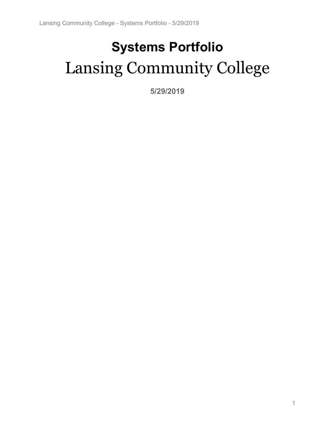# **Systems Portfolio** Lansing Community College

**5/29/2019**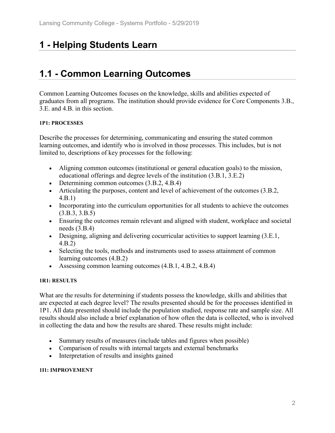# **1 - Helping Students Learn**

# **1.1 - Common Learning Outcomes**

Common Learning Outcomes focuses on the knowledge, skills and abilities expected of graduates from all programs. The institution should provide evidence for Core Components 3.B., 3.E. and 4.B. in this section.

#### **1P1: PROCESSES**

Describe the processes for determining, communicating and ensuring the stated common learning outcomes, and identify who is involved in those processes. This includes, but is not limited to, descriptions of key processes for the following:

- Aligning common outcomes (institutional or general education goals) to the mission, educational offerings and degree levels of the institution (3.B.1, 3.E.2)
- Determining common outcomes  $(3.B.2, 4.B.4)$
- Articulating the purposes, content and level of achievement of the outcomes (3.B.2, 4.B.1)
- Incorporating into the curriculum opportunities for all students to achieve the outcomes (3.B.3, 3.B.5)
- Ensuring the outcomes remain relevant and aligned with student, workplace and societal needs (3.B.4)
- Designing, aligning and delivering cocurricular activities to support learning (3.E.1, 4.B.2)
- Selecting the tools, methods and instruments used to assess attainment of common learning outcomes (4.B.2)
- Assessing common learning outcomes (4.B.1, 4.B.2, 4.B.4)

#### **1R1: RESULTS**

What are the results for determining if students possess the knowledge, skills and abilities that are expected at each degree level? The results presented should be for the processes identified in 1P1. All data presented should include the population studied, response rate and sample size. All results should also include a brief explanation of how often the data is collected, who is involved in collecting the data and how the results are shared. These results might include:

- Summary results of measures (include tables and figures when possible)
- Comparison of results with internal targets and external benchmarks
- Interpretation of results and insights gained

#### **1I1: IMPROVEMENT**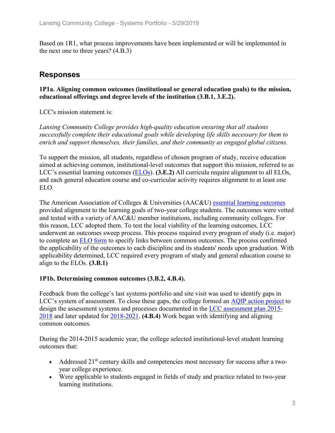Based on 1R1, what process improvements have been implemented or will be implemented in the next one to three years? (4.B.3)

### **Responses**

#### **1P1a. Aligning common outcomes (institutional or general education goals) to the mission, educational offerings and degree levels of the institution (3.B.1, 3.E.2).**

LCC's mission statement is:

*Lansing Community College provides high-quality education ensuring that all students successfully complete their educational goals while developing life skills necessary for them to enrich and support themselves, their families, and their community as engaged global citizens.*

To support the mission, all students, regardless of chosen program of study, receive education aimed at achieving common, institutional-level outcomes that support this mission, referred to as LCC's essential learning outcomes (ELOs). **(3.E.2)** All curricula require alignment to all ELOs, and each general education course and co-curricular activity requires alignment to at least one ELO.

The American Association of Colleges & Universities (AAC&U) essential learning outcomes provided alignment to the learning goals of two-year college students. The outcomes were vetted and tested with a variety of AAC&U member institutions, including community colleges. For this reason, LCC adopted them. To test the local viability of the learning outcomes, LCC underwent an outcomes sweep process. This process required every program of study (i.e. major) to complete an ELO form to specify links between common outcomes. The process confirmed the applicability of the outcomes to each discipline and its students' needs upon graduation. With applicability determined, LCC required every program of study and general education course to align to the ELOs. **(3.B.1)**

#### **1P1b. Determining common outcomes (3.B.2, 4.B.4).**

Feedback from the college's last systems portfolio and site visit was used to identify gaps in LCC's system of assessment. To close these gaps, the college formed an AQIP action project to design the assessment systems and processes documented in the LCC assessment plan 2015- 2018 and later updated for 2018-2021. **(4.B.4)** Work began with identifying and aligning common outcomes.

During the 2014-2015 academic year, the college selected institutional-level student learning outcomes that:

- Addressed  $21<sup>st</sup>$  century skills and competencies most necessary for success after a twoyear college experience.
- Were applicable to students engaged in fields of study and practice related to two-year learning institutions.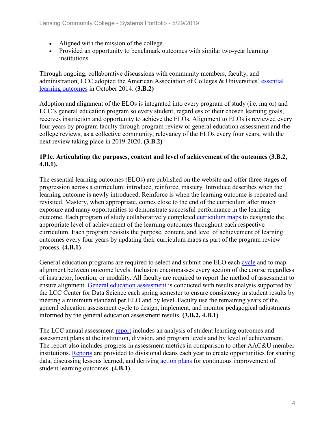- Aligned with the mission of the college.
- Provided an opportunity to benchmark outcomes with similar two-year learning institutions.

Through ongoing, collaborative discussions with community members, faculty, and administration, LCC adopted the American Association of Colleges & Universities' essential learning outcomes in October 2014. **(3.B.2)**

Adoption and alignment of the ELOs is integrated into every program of study (i.e. major) and LCC's general education program so every student, regardless of their chosen learning goals, receives instruction and opportunity to achieve the ELOs. Alignment to ELOs is reviewed every four years by program faculty through program review or general education assessment and the college reviews, as a collective community, relevancy of the ELOs every four years, with the next review taking place in 2019-2020. **(3.B.2)**

#### **1P1c. Articulating the purposes, content and level of achievement of the outcomes (3.B.2, 4.B.1).**

The essential learning outcomes (ELOs) are published on the website and offer three stages of progression across a curriculum: introduce, reinforce, mastery. Introduce describes when the learning outcome is newly introduced. Reinforce is when the learning outcome is repeated and revisited. Mastery, when appropriate, comes close to the end of the curriculum after much exposure and many opportunities to demonstrate successful performance in the learning outcome. Each program of study collaboratively completed curriculum maps to designate the appropriate level of achievement of the learning outcomes throughout each respective curriculum. Each program revisits the purpose, content, and level of achievement of learning outcomes every four years by updating their curriculum maps as part of the program review process. **(4.B.1)**

General education programs are required to select and submit one ELO each cycle and to map alignment between outcome levels. Inclusion encompasses every section of the course regardless of instructor, location, or modality. All faculty are required to report the method of assessment to ensure alignment. General education assessment is conducted with results analysis supported by the LCC Center for Data Science each spring semester to ensure consistency in student results by meeting a minimum standard per ELO and by level. Faculty use the remaining years of the general education assessment cycle to design, implement, and monitor pedagogical adjustments informed by the general education assessment results. **(3.B.2, 4.B.1)**

The LCC annual assessment report includes an analysis of student learning outcomes and assessment plans at the institution, division, and program levels and by level of achievement. The report also includes progress in assessment metrics in comparison to other AAC&U member institutions. Reports are provided to divisional deans each year to create opportunities for sharing data, discussing lessons learned, and deriving action plans for continuous improvement of student learning outcomes. **(4.B.1)**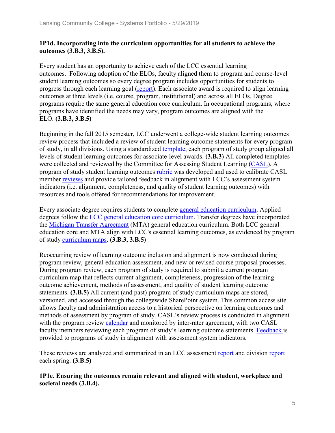#### **1P1d. Incorporating into the curriculum opportunities for all students to achieve the outcomes (3.B.3, 3.B.5).**

Every student has an opportunity to achieve each of the LCC essential learning outcomes. Following adoption of the ELOs, faculty aligned them to program and course-level student learning outcomes so every degree program includes opportunities for students to progress through each learning goal (report). Each associate award is required to align learning outcomes at three levels (i.e. course, program, institutional) and across all ELOs. Degree programs require the same general education core curriculum. In occupational programs, where programs have identified the needs may vary, program outcomes are aligned with the ELO. **(3.B.3, 3.B.5)**

Beginning in the fall 2015 semester, LCC underwent a college-wide student learning outcomes review process that included a review of student learning outcome statements for every program of study, in all divisions. Using a standardized template, each program of study group aligned all levels of student learning outcomes for associate-level awards. **(3.B.3)** All completed templates were collected and reviewed by the Committee for Assessing Student Learning (CASL). A program of study student learning outcomes rubric was developed and used to calibrate CASL member reviews and provide tailored feedback in alignment with LCC's assessment system indicators (i.e. alignment, completeness, and quality of student learning outcomes) with resources and tools offered for recommendations for improvement.

Every associate degree requires students to complete general education curriculum. Applied degrees follow the LCC general education core curriculum. Transfer degrees have incorporated the Michigan Transfer Agreement (MTA) general education curriculum. Both LCC general education core and MTA align with LCC's essential learning outcomes, as evidenced by program of study curriculum maps. **(3.B.3, 3.B.5)**

Reoccurring review of learning outcome inclusion and alignment is now conducted during program review, general education assessment, and new or revised course proposal processes. During program review, each program of study is required to submit a current program curriculum map that reflects current alignment, completeness, progression of the learning outcome achievement, methods of assessment, and quality of student learning outcome statements. **(3.B.5)** All current (and past) program of study curriculum maps are stored, versioned, and accessed through the collegewide SharePoint system. This common access site allows faculty and administration access to a historical perspective on learning outcomes and methods of assessment by program of study. CASL's review process is conducted in alignment with the program review calendar and monitored by inter-rater agreement, with two CASL faculty members reviewing each program of study's learning outcome statements. Feedback is provided to programs of study in alignment with assessment system indicators.

These reviews are analyzed and summarized in an LCC assessment report and division report each spring. **(3.B.5)**

**1P1e. Ensuring the outcomes remain relevant and aligned with student, workplace and societal needs (3.B.4).**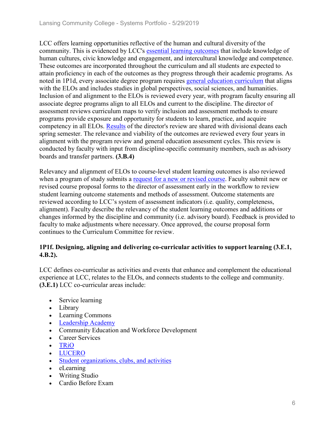LCC offers learning opportunities reflective of the human and cultural diversity of the community. This is evidenced by LCC's essential learning outcomes that include knowledge of human cultures, civic knowledge and engagement, and intercultural knowledge and competence. These outcomes are incorporated throughout the curriculum and all students are expected to attain proficiency in each of the outcomes as they progress through their academic programs. As noted in 1P1d, every associate degree program requires general education curriculum that aligns with the ELOs and includes studies in global perspectives, social sciences, and humanities. Inclusion of and alignment to the ELOs is reviewed every year, with program faculty ensuring all associate degree programs align to all ELOs and current to the discipline. The director of assessment reviews curriculum maps to verify inclusion and assessment methods to ensure programs provide exposure and opportunity for students to learn, practice, and acquire competency in all ELOs. Results of the director's review are shared with divisional deans each spring semester. The relevance and viability of the outcomes are reviewed every four years in alignment with the program review and general education assessment cycles. This review is conducted by faculty with input from discipline-specific community members, such as advisory boards and transfer partners. **(3.B.4)**

Relevancy and alignment of ELOs to course-level student learning outcomes is also reviewed when a program of study submits a request for a new or revised course. Faculty submit new or revised course proposal forms to the director of assessment early in the workflow to review student learning outcome statements and methods of assessment. Outcome statements are reviewed according to LCC's system of assessment indicators (i.e. quality, completeness, alignment). Faculty describe the relevancy of the student learning outcomes and additions or changes informed by the discipline and community (i.e. advisory board). Feedback is provided to faculty to make adjustments where necessary. Once approved, the course proposal form continues to the Curriculum Committee for review.

#### **1P1f. Designing, aligning and delivering co-curricular activities to support learning (3.E.1, 4.B.2).**

LCC defines co-curricular as activities and events that enhance and complement the educational experience at LCC, relates to the ELOs, and connects students to the college and community. **(3.E.1)** LCC co-curricular areas include:

- Service learning
- Library
- Learning Commons
- Leadership Academy
- Community Education and Workforce Development
- Career Services
- TRiO
- LUCERO
- Student organizations, clubs, and activities
- eLearning
- Writing Studio
- Cardio Before Exam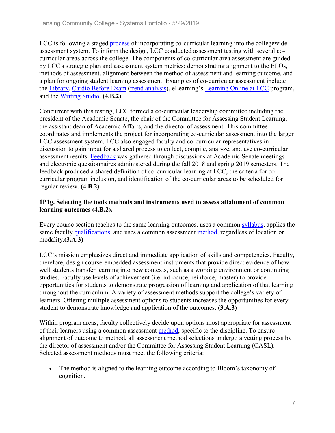LCC is following a staged process of incorporating co-curricular learning into the collegewide assessment system. To inform the design, LCC conducted assessment testing with several cocurricular areas across the college. The components of co-curricular area assessment are guided by LCC's strategic plan and assessment system metrics: demonstrating alignment to the ELOs, methods of assessment, alignment between the method of assessment and learning outcome, and a plan for ongoing student learning assessment. Examples of co-curricular assessment include the Library, Cardio Before Exam (trend analysis), eLearning's Learning Online at LCC program, and the Writing Studio. **(4.B.2)**

Concurrent with this testing, LCC formed a co-curricular leadership committee including the president of the Academic Senate, the chair of the Committee for Assessing Student Learning, the assistant dean of Academic Affairs, and the director of assessment. This committee coordinates and implements the project for incorporating co-curricular assessment into the larger LCC assessment system. LCC also engaged faculty and co-curricular representatives in discussion to gain input for a shared process to collect, compile, analyze, and use co-curricular assessment results. Feedback was gathered through discussions at Academic Senate meetings and electronic questionnaires administered during the fall 2018 and spring 2019 semesters. The feedback produced a shared definition of co-curricular learning at LCC, the criteria for cocurricular program inclusion, and identification of the co-curricular areas to be scheduled for regular review. **(4.B.2)**

#### **1P1g. Selecting the tools methods and instruments used to assess attainment of common learning outcomes (4.B.2).**

Every course section teaches to the same learning outcomes, uses a common syllabus, applies the same faculty qualifications, and uses a common assessment method, regardless of location or modality.**(3.A.3)**

LCC's mission emphasizes direct and immediate application of skills and competencies. Faculty, therefore, design course-embedded assessment instruments that provide direct evidence of how well students transfer learning into new contexts, such as a working environment or continuing studies. Faculty use levels of achievement (i.e. introduce, reinforce, master) to provide opportunities for students to demonstrate progression of learning and application of that learning throughout the curriculum. A variety of assessment methods support the college's variety of learners. Offering multiple assessment options to students increases the opportunities for every student to demonstrate knowledge and application of the outcomes. **(3.A.3)**

Within program areas, faculty collectively decide upon options most appropriate for assessment of their learners using a common assessment method, specific to the discipline. To ensure alignment of outcome to method, all assessment method selections undergo a vetting process by the director of assessment and/or the Committee for Assessing Student Learning (CASL). Selected assessment methods must meet the following criteria:

• The method is aligned to the learning outcome according to Bloom's taxonomy of cognition.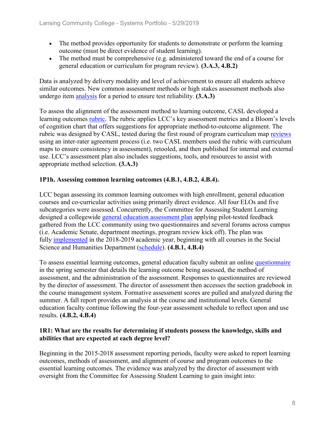- The method provides opportunity for students to demonstrate or perform the learning outcome (must be direct evidence of student learning).
- The method must be comprehensive (e.g. administered toward the end of a course for general education or curriculum for program review). **(3.A.3, 4.B.2)**

Data is analyzed by delivery modality and level of achievement to ensure all students achieve similar outcomes. New common assessment methods or high stakes assessment methods also undergo item analysis for a period to ensure test reliability. **(3.A.3)**

To assess the alignment of the assessment method to learning outcome, CASL developed a learning outcomes *rubric*. The rubric applies LCC's key assessment metrics and a Bloom's levels of cognition chart that offers suggestions for appropriate method-to-outcome alignment. The rubric was designed by CASL, tested during the first round of program curriculum map reviews using an inter-rater agreement process (i.e. two CASL members used the rubric with curriculum maps to ensure consistency in assessment), retooled, and then published for internal and external use. LCC's assessment plan also includes suggestions, tools, and resources to assist with appropriate method selection. **(3.A.3)**

#### **1P1h. Assessing common learning outcomes (4.B.1, 4.B.2, 4.B.4).**

LCC began assessing its common learning outcomes with high enrollment, general education courses and co-curricular activities using primarily direct evidence. All four ELOs and five subcategories were assessed. Concurrently, the Committee for Assessing Student Learning designed a collegewide general education assessment plan applying pilot-tested feedback gathered from the LCC community using two questionnaires and several forums across campus (i.e. Academic Senate, department meetings, program review kick off). The plan was fully implemented in the 2018-2019 academic year, beginning with all courses in the Social Science and Humanities Department (schedule). **(4.B.1, 4.B.4)**

To assess essential learning outcomes, general education faculty submit an online questionnaire in the spring semester that details the learning outcome being assessed, the method of assessment, and the administration of the assessment. Responses to questionnaires are reviewed by the director of assessment. The director of assessment then accesses the section gradebook in the course management system. Formative assessment scores are pulled and analyzed during the summer. A fall report provides an analysis at the course and institutional levels. General education faculty continue following the four-year assessment schedule to reflect upon and use results. **(4.B.2, 4.B.4)**

#### **1R1: What are the results for determining if students possess the knowledge, skills and abilities that are expected at each degree level?**

Beginning in the 2015-2018 assessment reporting periods, faculty were asked to report learning outcomes, methods of assessment, and alignment of course and program outcomes to the essential learning outcomes. The evidence was analyzed by the director of assessment with oversight from the Committee for Assessing Student Learning to gain insight into: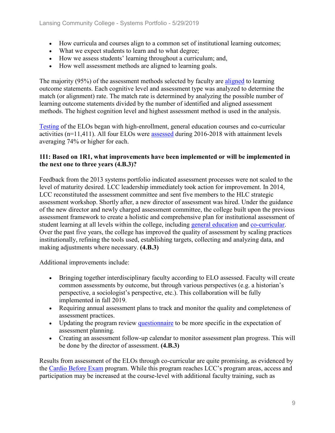- How curricula and courses align to a common set of institutional learning outcomes;
- What we expect students to learn and to what degree;
- How we assess students' learning throughout a curriculum; and,
- How well assessment methods are aligned to learning goals.

The majority (95%) of the assessment methods selected by faculty are aligned to learning outcome statements. Each cognitive level and assessment type was analyzed to determine the match (or alignment) rate. The match rate is determined by analyzing the possible number of learning outcome statements divided by the number of identified and aligned assessment methods. The highest cognition level and highest assessment method is used in the analysis.

Testing of the ELOs began with high-enrollment, general education courses and co-curricular activities (n=11,411). All four ELOs were assessed during 2016-2018 with attainment levels averaging 74% or higher for each.

#### **1I1: Based on 1R1, what improvements have been implemented or will be implemented in the next one to three years (4.B.3)?**

Feedback from the 2013 systems portfolio indicated assessment processes were not scaled to the level of maturity desired. LCC leadership immediately took action for improvement. In 2014, LCC reconstituted the assessment committee and sent five members to the HLC strategic assessment workshop. Shortly after, a new director of assessment was hired. Under the guidance of the new director and newly charged assessment committee, the college built upon the previous assessment framework to create a holistic and comprehensive plan for institutional assessment of student learning at all levels within the college, including general education and co-curricular. Over the past five years, the college has improved the quality of assessment by scaling practices institutionally, refining the tools used, establishing targets, collecting and analyzing data, and making adjustments where necessary. **(4.B.3)**

Additional improvements include:

- Bringing together interdisciplinary faculty according to ELO assessed. Faculty will create common assessments by outcome, but through various perspectives (e.g. a historian's perspective, a sociologist's perspective, etc.). This collaboration will be fully implemented in fall 2019.
- Requiring annual assessment plans to track and monitor the quality and completeness of assessment practices.
- Updating the program review questionnaire to be more specific in the expectation of assessment planning.
- Creating an assessment follow-up calendar to monitor assessment plan progress. This will be done by the director of assessment. **(4.B.3)**

Results from assessment of the ELOs through co-curricular are quite promising, as evidenced by the Cardio Before Exam program. While this program reaches LCC's program areas, access and participation may be increased at the course-level with additional faculty training, such as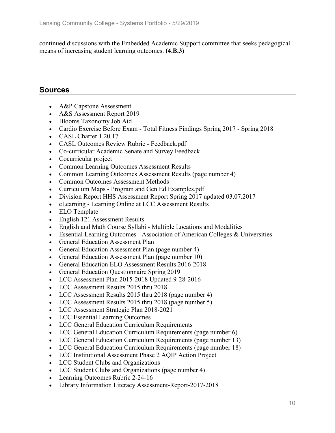continued discussions with the Embedded Academic Support committee that seeks pedagogical means of increasing student learning outcomes. **(4.B.3)**

# **Sources**

- A&P Capstone Assessment
- A&S Assessment Report 2019
- Blooms Taxonomy Job Aid
- Cardio Exercise Before Exam Total Fitness Findings Spring 2017 Spring 2018
- CASL Charter 1.20.17
- CASL Outcomes Review Rubric Feedback.pdf
- Co-curricular Academic Senate and Survey Feedback
- Cocurricular project
- Common Learning Outcomes Assessment Results
- Common Learning Outcomes Assessment Results (page number 4)
- Common Outcomes Assessment Methods
- Curriculum Maps Program and Gen Ed Examples.pdf
- Division Report HHS Assessment Report Spring 2017 updated 03.07.2017
- eLearning Learning Online at LCC Assessment Results
- ELO Template
- English 121 Assessment Results
- English and Math Course Syllabi Multiple Locations and Modalities
- Essential Learning Outcomes Association of American Colleges & Universities
- General Education Assessment Plan
- General Education Assessment Plan (page number 4)
- General Education Assessment Plan (page number 10)
- General Education ELO Assessment Results 2016-2018
- General Education Questionnaire Spring 2019
- LCC Assessment Plan 2015-2018 Updated 9-28-2016
- LCC Assessment Results 2015 thru 2018
- LCC Assessment Results 2015 thru 2018 (page number 4)
- LCC Assessment Results 2015 thru 2018 (page number 5)
- LCC Assessment Strategic Plan 2018-2021
- LCC Essential Learning Outcomes
- LCC General Education Curriculum Requirements
- LCC General Education Curriculum Requirements (page number 6)
- LCC General Education Curriculum Requirements (page number 13)
- LCC General Education Curriculum Requirements (page number 18)
- LCC Institutional Assessment Phase 2 AQIP Action Project
- LCC Student Clubs and Organizations
- LCC Student Clubs and Organizations (page number 4)
- Learning Outcomes Rubric 2-24-16
- Library Information Literacy Assessment-Report-2017-2018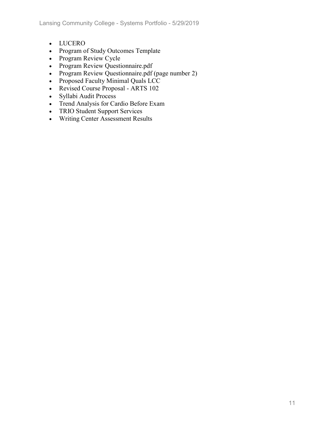- LUCERO
- Program of Study Outcomes Template
- Program Review Cycle
- Program Review Questionnaire.pdf
- Program Review Questionnaire.pdf (page number 2)
- Proposed Faculty Minimal Quals LCC
- Revised Course Proposal ARTS 102
- Syllabi Audit Process
- Trend Analysis for Cardio Before Exam
- TRIO Student Support Services
- Writing Center Assessment Results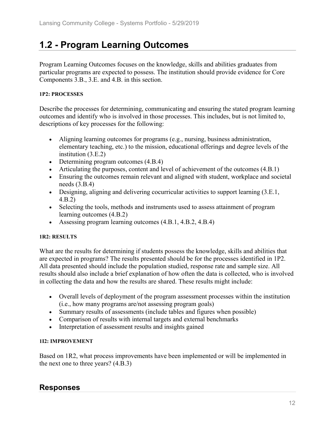# **1.2 - Program Learning Outcomes**

Program Learning Outcomes focuses on the knowledge, skills and abilities graduates from particular programs are expected to possess. The institution should provide evidence for Core Components 3.B., 3.E. and 4.B. in this section.

#### **1P2: PROCESSES**

Describe the processes for determining, communicating and ensuring the stated program learning outcomes and identify who is involved in those processes. This includes, but is not limited to, descriptions of key processes for the following:

- Aligning learning outcomes for programs (e.g., nursing, business administration, elementary teaching, etc.) to the mission, educational offerings and degree levels of the institution (3.E.2)
- Determining program outcomes  $(4.B.4)$
- Articulating the purposes, content and level of achievement of the outcomes (4.B.1)
- Ensuring the outcomes remain relevant and aligned with student, workplace and societal needs (3.B.4)
- Designing, aligning and delivering cocurricular activities to support learning (3.E.1, 4.B.2)
- Selecting the tools, methods and instruments used to assess attainment of program learning outcomes (4.B.2)
- Assessing program learning outcomes (4.B.1, 4.B.2, 4.B.4)

#### **1R2: RESULTS**

What are the results for determining if students possess the knowledge, skills and abilities that are expected in programs? The results presented should be for the processes identified in 1P2. All data presented should include the population studied, response rate and sample size. All results should also include a brief explanation of how often the data is collected, who is involved in collecting the data and how the results are shared. These results might include:

- Overall levels of deployment of the program assessment processes within the institution (i.e., how many programs are/not assessing program goals)
- Summary results of assessments (include tables and figures when possible)
- Comparison of results with internal targets and external benchmarks
- Interpretation of assessment results and insights gained

#### **1I2: IMPROVEMENT**

Based on 1R2, what process improvements have been implemented or will be implemented in the next one to three years? (4.B.3)

### **Responses**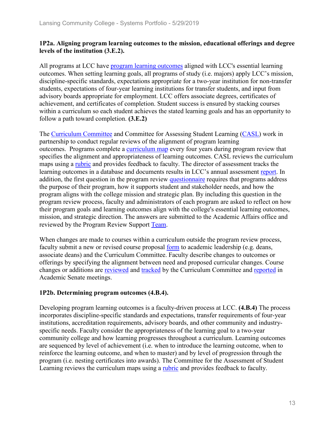#### **1P2a. Aligning program learning outcomes to the mission, educational offerings and degree levels of the institution (3.E.2).**

All programs at LCC have program learning outcomes aligned with LCC's essential learning outcomes. When setting learning goals, all programs of study (i.e. majors) apply LCC's mission, discipline-specific standards, expectations appropriate for a two-year institution for non-transfer students, expectations of four-year learning institutions for transfer students, and input from advisory boards appropriate for employment. LCC offers associate degrees, certificates of achievement, and certificates of completion. Student success is ensured by stacking courses within a curriculum so each student achieves the stated learning goals and has an opportunity to follow a path toward completion. **(3.E.2)**

The Curriculum Committee and Committee for Assessing Student Learning (CASL) work in partnership to conduct regular reviews of the alignment of program learning outcomes. Programs complete a curriculum map every four years during program review that specifies the alignment and appropriateness of learning outcomes. CASL reviews the curriculum maps using a rubric and provides feedback to faculty. The director of assessment tracks the learning outcomes in a database and documents results in LCC's annual assessment report. In addition, the first question in the program review questionnaire requires that programs address the purpose of their program, how it supports student and stakeholder needs, and how the program aligns with the college mission and strategic plan. By including this question in the program review process, faculty and administrators of each program are asked to reflect on how their program goals and learning outcomes align with the college's essential learning outcomes, mission, and strategic direction. The answers are submitted to the Academic Affairs office and reviewed by the Program Review Support Team.

When changes are made to courses within a curriculum outside the program review process, faculty submit a new or revised course proposal form to academic leadership (e.g. deans, associate deans) and the Curriculum Committee. Faculty describe changes to outcomes or offerings by specifying the alignment between need and proposed curricular changes. Course changes or additions are reviewed and tracked by the Curriculum Committee and reported in Academic Senate meetings.

#### **1P2b. Determining program outcomes (4.B.4).**

Developing program learning outcomes is a faculty-driven process at LCC. **(4.B.4)** The process incorporates discipline-specific standards and expectations, transfer requirements of four-year institutions, accreditation requirements, advisory boards, and other community and industryspecific needs. Faculty consider the appropriateness of the learning goal to a two-year community college and how learning progresses throughout a curriculum. Learning outcomes are sequenced by level of achievement (i.e. when to introduce the learning outcome, when to reinforce the learning outcome, and when to master) and by level of progression through the program (i.e. nesting certificates into awards). The Committee for the Assessment of Student Learning reviews the curriculum maps using a rubric and provides feedback to faculty.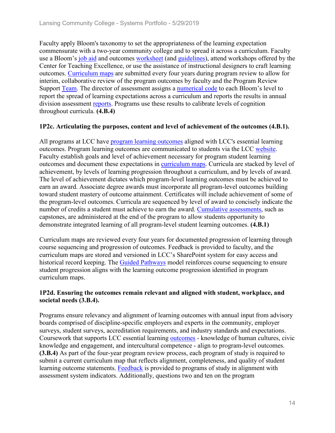Faculty apply Bloom's taxonomy to set the appropriateness of the learning expectation commensurate with a two-year community college and to spread it across a curriculum. Faculty use a Bloom's job aid and outcomes worksheet (and guidelines), attend workshops offered by the Center for Teaching Excellence, or use the assistance of instructional designers to craft learning outcomes. Curriculum maps are submitted every four years during program review to allow for interim, collaborative review of the program outcomes by faculty and the Program Review Support Team. The director of assessment assigns a numerical code to each Bloom's level to report the spread of learning expectations across a curriculum and reports the results in annual division assessment reports. Programs use these results to calibrate levels of cognition throughout curricula. **(4.B.4)**

#### **1P2c. Articulating the purposes, content and level of achievement of the outcomes (4.B.1).**

All programs at LCC have program learning outcomes aligned with LCC's essential learning outcomes. Program learning outcomes are communicated to students via the LCC website. Faculty establish goals and level of achievement necessary for program student learning outcomes and document these expectations in curriculum maps. Curricula are stacked by level of achievement, by levels of learning progression throughout a curriculum, and by levels of award. The level of achievement dictates which program-level learning outcomes must be achieved to earn an award. Associate degree awards must incorporate all program-level outcomes building toward student mastery of outcome attainment. Certificates will include achievement of some of the program-level outcomes. Curricula are sequenced by level of award to concisely indicate the number of credits a student must achieve to earn the award. Cumulative assessments, such as capstones, are administered at the end of the program to allow students opportunity to demonstrate integrated learning of all program-level student learning outcomes. **(4.B.1)**

Curriculum maps are reviewed every four years for documented progression of learning through course sequencing and progression of outcomes. Feedback is provided to faculty, and the curriculum maps are stored and versioned in LCC's SharePoint system for easy access and historical record keeping. The Guided Pathways model reinforces course sequencing to ensure student progression aligns with the learning outcome progression identified in program curriculum maps.

#### **1P2d. Ensuring the outcomes remain relevant and aligned with student, workplace, and societal needs (3.B.4).**

Programs ensure relevancy and alignment of learning outcomes with annual input from advisory boards comprised of discipline-specific employers and experts in the community, employer surveys, student surveys, accreditation requirements, and industry standards and expectations. Coursework that supports LCC essential learning outcomes - knowledge of human cultures, civic knowledge and engagement, and intercultural competence - align to program-level outcomes. **(3.B.4)** As part of the four-year program review process, each program of study is required to submit a current curriculum map that reflects alignment, completeness, and quality of student learning outcome statements. Feedback is provided to programs of study in alignment with assessment system indicators. Additionally, questions two and ten on the program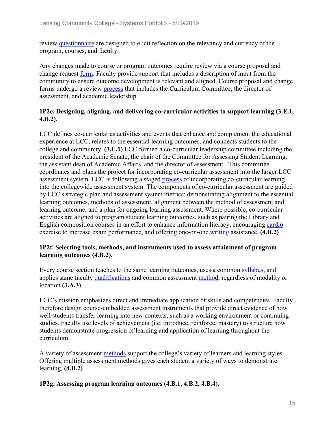review questionnaire are designed to elicit reflection on the relevancy and currency of the program, courses, and faculty.

Any changes made to course or program outcomes require review via a course proposal and change request form. Faculty provide support that includes a description of input from the community to ensure outcome development is relevant and aligned. Course proposal and change forms undergo a review process that includes the Curriculum Committee, the director of assessment, and academic leadership.

#### **1P2e. Designing, aligning, and delivering co-curricular activities to support learning (3.E.1, 4.B.2).**

LCC defines co-curricular as activities and events that enhance and complement the educational experience at LCC, relates to the essential learning outcomes, and connects students to the college and community. **(3.E.1)** LCC formed a co-curricular leadership committee including the president of the Academic Senate, the chair of the Committee for Assessing Student Learning, the assistant dean of Academic Affairs, and the director of assessment. This committee coordinates and plans the project for incorporating co-curricular assessment into the larger LCC assessment system. LCC is following a staged process of incorporating co-curricular learning into the collegewide assessment system. The components of co-curricular assessment are guided by LCC's strategic plan and assessment system metrics: demonstrating alignment to the essential learning outcomes, methods of assessment, alignment between the method of assessment and learning outcome, and a plan for ongoing learning assessment. Where possible, co-curricular activities are aligned to program student learning outcomes, such as pairing the Library and English composition courses in an effort to enhance information literacy, encouraging cardio exercise to increase exam performance, and offering one-on-one writing assistance. **(4.B.2)**

#### **1P2f. Selecting tools, methods, and instruments used to assess attainment of program learning outcomes (4.B.2).**

Every course section teaches to the same learning outcomes, uses a common syllabus, and applies same faculty qualifications and common assessment method, regardless of modality or location.**(3.A.3)**

LCC's mission emphasizes direct and immediate application of skills and competencies. Faculty therefore design course-embedded assessment instruments that provide direct evidence of how well students transfer learning into new contexts, such as a working environment or continuing studies. Faculty use levels of achievement (i.e. introduce, reinforce, mastery) to structure how students demonstrate progression of learning and application of learning throughout the curriculum.

A variety of assessment methods support the college's variety of learners and learning styles. Offering multiple assessment methods gives each student a variety of ways to demonstrate learning. **(4.B.2)**

**1P2g. Assessing program learning outcomes (4.B.1, 4.B.2, 4.B.4).**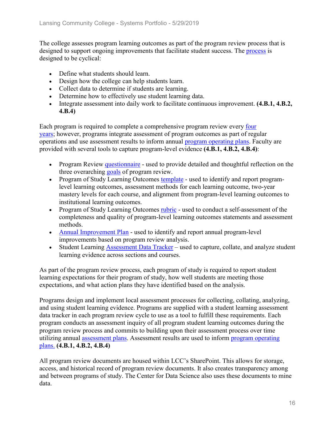The college assesses program learning outcomes as part of the program review process that is designed to support ongoing improvements that facilitate student success. The process is designed to be cyclical:

- Define what students should learn.
- Design how the college can help students learn.
- Collect data to determine if students are learning.
- Determine how to effectively use student learning data.
- Integrate assessment into daily work to facilitate continuous improvement. **(4.B.1, 4.B.2, 4.B.4)**

Each program is required to complete a comprehensive program review every four years; however, programs integrate assessment of program outcomes as part of regular operations and use assessment results to inform annual program operating plans. Faculty are provided with several tools to capture program-level evidence **(4.B.1, 4.B.2, 4.B.4)**:

- Program Review questionnaire used to provide detailed and thoughtful reflection on the three overarching goals of program review.
- Program of Study Learning Outcomes template used to identify and report programlevel learning outcomes, assessment methods for each learning outcome, two-year mastery levels for each course, and alignment from program-level learning outcomes to institutional learning outcomes.
- Program of Study Learning Outcomes rubric used to conduct a self-assessment of the completeness and quality of program-level learning outcomes statements and assessment methods.
- Annual Improvement Plan used to identify and report annual program-level improvements based on program review analysis.
- Student Learning Assessment Data Tracker used to capture, collate, and analyze student learning evidence across sections and courses.

As part of the program review process, each program of study is required to report student learning expectations for their program of study, how well students are meeting those expectations, and what action plans they have identified based on the analysis.

Programs design and implement local assessment processes for collecting, collating, analyzing, and using student learning evidence. Programs are supplied with a student learning assessment data tracker in each program review cycle to use as a tool to fulfill these requirements. Each program conducts an assessment inquiry of all program student learning outcomes during the program review process and commits to building upon their assessment process over time utilizing annual assessment plans. Assessment results are used to inform program operating plans. **(4.B.1, 4.B.2, 4.B.4)**

All program review documents are housed within LCC's SharePoint. This allows for storage, access, and historical record of program review documents. It also creates transparency among and between programs of study. The Center for Data Science also uses these documents to mine data.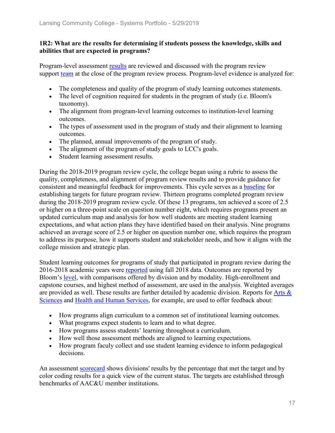#### **1R2: What are the results for determining if students possess the knowledge, skills and abilities that are expected in programs?**

Program-level assessment results are reviewed and discussed with the program review support team at the close of the program review process. Program-level evidence is analyzed for:

- The completeness and quality of the program of study learning outcomes statements.
- The level of cognition required for students in the program of study (i.e. Bloom's taxonomy).
- The alignment from program-level learning outcomes to institution-level learning outcomes.
- The types of assessment used in the program of study and their alignment to learning outcomes.
- The planned, annual improvements of the program of study.
- The alignment of the program of study goals to LCC's goals.
- Student learning assessment results.

During the 2018-2019 program review cycle, the college began using a rubric to assess the quality, completeness, and alignment of program review results and to provide guidance for consistent and meaningful feedback for improvements. This cycle serves as a baseline for establishing targets for future program review. Thirteen programs completed program review during the 2018-2019 program review cycle. Of these 13 programs, ten achieved a score of 2.5 or higher on a three-point scale on question number eight, which requires programs present an updated curriculum map and analysis for how well students are meeting student learning expectations, and what action plans they have identified based on their analysis. Nine programs achieved an average score of 2.5 or higher on question number one, which requires the program to address its purpose, how it supports student and stakeholder needs, and how it aligns with the college mission and strategic plan.

Student learning outcomes for programs of study that participated in program review during the 2016-2018 academic years were reported using fall 2018 data. Outcomes are reported by Bloom's level, with comparisons offered by division and by modality. High-enrollment and capstone courses, and highest method of assessment, are used in the analysis. Weighted averages are provided as well. These results are further detailed by academic division. Reports for Arts & Sciences and Health and Human Services, for example, are used to offer feedback about:

- How programs align curriculum to a common set of institutional learning outcomes.
- What programs expect students to learn and to what degree.
- How programs assess students' learning throughout a curriculum.
- How well those assessment methods are aligned to learning expectations.
- How program faculy collect and use student learning evidence to inform pedagogical decisions.

An assessment scorecard shows divisions' results by the percentage that met the target and by color coding results for a quick view of the current status. The targets are established through benchmarks of AAC&U member institutions.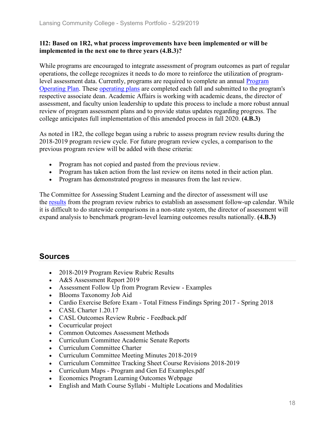#### **1I2: Based on 1R2, what process improvements have been implemented or will be implemented in the next one to three years (4.B.3)?**

While programs are encouraged to integrate assessment of program outcomes as part of regular operations, the college recognizes it needs to do more to reinforce the utilization of programlevel assessment data. Currently, programs are required to complete an annual **Program** Operating Plan. These operating plans are completed each fall and submitted to the program's respective associate dean. Academic Affairs is working with academic deans, the director of assessment, and faculty union leadership to update this process to include a more robust annual review of program assessment plans and to provide status updates regarding progress. The college anticipates full implementation of this amended process in fall 2020. **(4.B.3)**

As noted in 1R2, the college began using a rubric to assess program review results during the 2018-2019 program review cycle. For future program review cycles, a comparison to the previous program review will be added with these criteria:

- Program has not copied and pasted from the previous review.
- Program has taken action from the last review on items noted in their action plan.
- Program has demonstrated progress in measures from the last review.

The Committee for Assessing Student Learning and the director of assessment will use the results from the program review rubrics to establish an assessment follow-up calendar. While it is difficult to do statewide comparisons in a non-state system, the director of assessment will expand analysis to benchmark program-level learning outcomes results nationally. **(4.B.3)**

### **Sources**

- 2018-2019 Program Review Rubric Results
- A&S Assessment Report 2019
- Assessment Follow Up from Program Review Examples
- Blooms Taxonomy Job Aid
- Cardio Exercise Before Exam Total Fitness Findings Spring 2017 Spring 2018
- CASL Charter 1.20.17
- CASL Outcomes Review Rubric Feedback.pdf
- Cocurricular project
- Common Outcomes Assessment Methods
- Curriculum Committee Academic Senate Reports
- Curriculum Committee Charter
- Curriculum Committee Meeting Minutes 2018-2019
- Curriculum Committee Tracking Sheet Course Revisions 2018-2019
- Curriculum Maps Program and Gen Ed Examples.pdf
- Economics Program Learning Outcomes Webpage
- English and Math Course Syllabi Multiple Locations and Modalities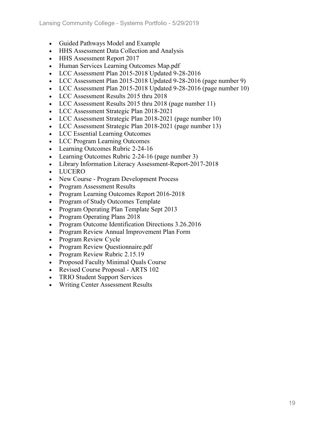- Guided Pathways Model and Example
- HHS Assessment Data Collection and Analysis
- HHS Assessment Report 2017
- Human Services Learning Outcomes Map.pdf
- LCC Assessment Plan 2015-2018 Updated 9-28-2016
- LCC Assessment Plan 2015-2018 Updated 9-28-2016 (page number 9)
- LCC Assessment Plan 2015-2018 Updated 9-28-2016 (page number 10)
- LCC Assessment Results 2015 thru 2018
- LCC Assessment Results 2015 thru 2018 (page number 11)
- LCC Assessment Strategic Plan 2018-2021
- LCC Assessment Strategic Plan 2018-2021 (page number 10)
- LCC Assessment Strategic Plan 2018-2021 (page number 13)
- LCC Essential Learning Outcomes
- LCC Program Learning Outcomes
- Learning Outcomes Rubric 2-24-16
- Learning Outcomes Rubric 2-24-16 (page number 3)
- Library Information Literacy Assessment-Report-2017-2018
- LUCERO
- New Course Program Development Process
- Program Assessment Results
- Program Learning Outcomes Report 2016-2018
- Program of Study Outcomes Template
- Program Operating Plan Template Sept 2013
- Program Operating Plans 2018
- Program Outcome Identification Directions 3.26.2016
- Program Review Annual Improvement Plan Form
- Program Review Cycle
- Program Review Questionnaire.pdf
- Program Review Rubric 2.15.19
- Proposed Faculty Minimal Quals Course
- Revised Course Proposal ARTS 102
- TRIO Student Support Services
- Writing Center Assessment Results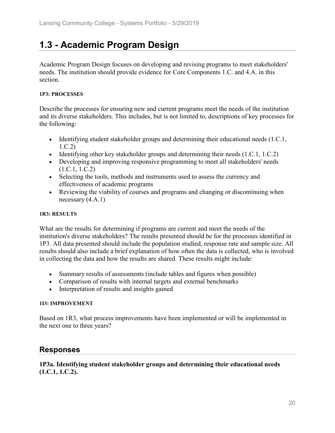# **1.3 - Academic Program Design**

Academic Program Design focuses on developing and revising programs to meet stakeholders' needs. The institution should provide evidence for Core Components 1.C. and 4.A. in this section.

#### **1P3: PROCESSES**

Describe the processes for ensuring new and current programs meet the needs of the institution and its diverse stakeholders. This includes, but is not limited to, descriptions of key processes for the following:

- Identifying student stakeholder groups and determining their educational needs (1.C.1, 1.C.2)
- Identifying other key stakeholder groups and determining their needs (1.C.1, 1.C.2)
- Developing and improving responsive programming to meet all stakeholders' needs (1.C.1, 1.C.2)
- Selecting the tools, methods and instruments used to assess the currency and effectiveness of academic programs
- Reviewing the viability of courses and programs and changing or discontinuing when necessary (4.A.1)

#### **1R3: RESULTS**

What are the results for determining if programs are current and meet the needs of the institution's diverse stakeholders? The results presented should be for the processes identified in 1P3. All data presented should include the population studied, response rate and sample size. All results should also include a brief explanation of how often the data is collected, who is involved in collecting the data and how the results are shared. These results might include:

- Summary results of assessments (include tables and figures when possible)
- Comparison of results with internal targets and external benchmarks
- Interpretation of results and insights gained

#### **1I3: IMPROVEMENT**

Based on 1R3, what process improvements have been implemented or will be implemented in the next one to three years?

# **Responses**

#### **1P3a. Identifying student stakeholder groups and determining their educational needs (1.C.1, 1.C.2).**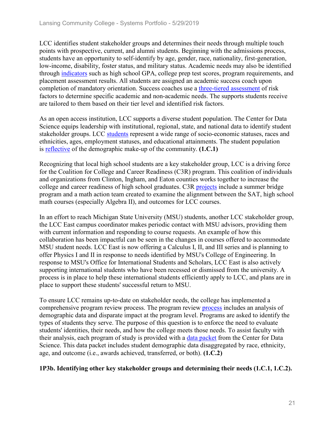LCC identifies student stakeholder groups and determines their needs through multiple touch points with prospective, current, and alumni students. Beginning with the admissions process, students have an opportunity to self-identify by age, gender, race, nationality, first-generation, low-income, disability, foster status, and military status. Academic needs may also be identified through indicators such as high school GPA, college prep test scores, program requirements, and placement assessment results. All students are assigned an academic success coach upon completion of mandatory orientation. Success coaches use a three-tiered assessment of risk factors to determine specific academic and non-academic needs. The supports students receive are tailored to them based on their tier level and identified risk factors.

As an open access institution, LCC supports a diverse student population. The Center for Data Science equips leadership with institutional, regional, state, and national data to identify student stakeholder groups. LCC students represent a wide range of socio-economic statuses, races and ethnicities, ages, employment statuses, and educational attainments. The student population is reflective of the demographic make-up of the community. **(1.C.1)**

Recognizing that local high school students are a key stakeholder group, LCC is a driving force for the Coalition for College and Career Readiness (C3R) program. This coalition of individuals and organizations from Clinton, Ingham, and Eaton counties works together to increase the college and career readiness of high school graduates. C3R projects include a summer bridge program and a math action team created to examine the alignment between the SAT, high school math courses (especially Algebra II), and outcomes for LCC courses.

In an effort to reach Michigan State University (MSU) students, another LCC stakeholder group, the LCC East campus coordinator makes periodic contact with MSU advisors, providing them with current information and responding to course requests. An example of how this collaboration has been impactful can be seen in the changes in courses offered to accommodate MSU student needs. LCC East is now offering a Calculus I, II, and III series and is planning to offer Physics I and II in response to needs identified by MSU's College of Engineering. In response to MSU's Office for International Students and Scholars, LCC East is also actively supporting international students who have been recessed or dismissed from the university. A process is in place to help these international students efficiently apply to LCC, and plans are in place to support these students' successful return to MSU.

To ensure LCC remains up-to-date on stakeholder needs, the college has implemented a comprehensive program review process. The program review process includes an analysis of demographic data and disparate impact at the program level. Programs are asked to identify the types of students they serve. The purpose of this question is to enforce the need to evaluate students' identities, their needs, and how the college meets those needs. To assist faculty with their analysis, each program of study is provided with a data packet from the Center for Data Science. This data packet includes student demographic data disaggregated by race, ethnicity, age, and outcome (i.e., awards achieved, transferred, or both). **(1.C.2)**

#### **1P3b. Identifying other key stakeholder groups and determining their needs (1.C.1, 1.C.2).**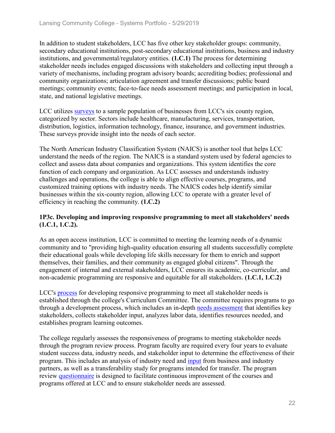In addition to student stakeholders, LCC has five other key stakeholder groups: community, secondary educational institutions, post-secondary educational institutions, business and industry institutions, and governmental/regulatory entities. **(1.C.1)** The process for determining stakeholder needs includes engaged discussions with stakeholders and collecting input through a variety of mechanisms, including program advisory boards; accrediting bodies; professional and community organizations; articulation agreement and transfer discussions; public board meetings; community events; face-to-face needs assessment meetings; and participation in local, state, and national legislative meetings.

LCC utilizes surveys to a sample population of businesses from LCC's six county region, categorized by sector. Sectors include healthcare, manufacturing, services, transportation, distribution, logistics, information technology, finance, insurance, and government industries. These surveys provide insight into the needs of each sector.

The North American Industry Classification System (NAICS) is another tool that helps LCC understand the needs of the region. The NAICS is a standard system used by federal agencies to collect and assess data about companies and organizations. This system identifies the core function of each company and organization. As LCC assesses and understands industry challenges and operations, the college is able to align effective courses, programs, and customized training options with industry needs. The NAICS codes help identify similar businesses within the six-county region, allowing LCC to operate with a greater level of efficiency in reaching the community. **(1.C.2)**

#### **1P3c. Developing and improving responsive programming to meet all stakeholders' needs (1.C.1, 1.C.2).**

As an open access institution, LCC is committed to meeting the learning needs of a dynamic community and to "providing high-quality education ensuring all students successfully complete their educational goals while developing life skills necessary for them to enrich and support themselves, their families, and their community as engaged global citizens". Through the engagement of internal and external stakeholders, LCC ensures its academic, co-curricular, and non-academic programming are responsive and equitable for all stakeholders. **(1.C.1, 1.C.2)**

LCC's process for developing responsive programming to meet all stakeholder needs is established through the college's Curriculum Committee. The committee requires programs to go through a development process, which includes an in-depth needs assessment that identifies key stakeholders, collects stakeholder input, analyzes labor data, identifies resources needed, and establishes program learning outcomes.

The college regularly assesses the responsiveness of programs to meeting stakeholder needs through the program review process. Program faculty are required every four years to evaluate student success data, industry needs, and stakeholder input to determine the effectiveness of their program. This includes an analysis of industry need and input from business and industry partners, as well as a transferability study for programs intended for transfer. The program review questionnaire is designed to facilitate continuous improvement of the courses and programs offered at LCC and to ensure stakeholder needs are assessed.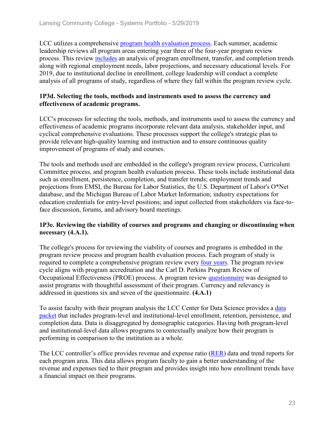LCC utilizes a comprehensive program health evaluation process. Each summer, academic leadership reviews all program areas entering year three of the four‐year program review process. This review includes an analysis of program enrollment, transfer, and completion trends along with regional employment needs, labor projections, and necessary educational levels. For 2019, due to institutional decline in enrollment, college leadership will conduct a complete analysis of all programs of study, regardless of where they fall within the program review cycle.

#### **1P3d. Selecting the tools, methods and instruments used to assess the currency and effectiveness of academic programs.**

LCC's processes for selecting the tools, methods, and instruments used to assess the currency and effectiveness of academic programs incorporate relevant data analysis, stakeholder input, and cyclical comprehensive evaluations. These processes support the college's strategic plan to provide relevant high-quality learning and instruction and to ensure continuous quality improvement of programs of study and courses.

The tools and methods used are embedded in the college's program review process, Curriculum Committee process, and program health evaluation process. These tools include institutional data such as enrollment, persistence, completion, and transfer trends; employment trends and projections from EMSI, the Bureau for Labor Statistics, the U.S. Department of Labor's O\*Net database, and the Michigan Bureau of Labor Market Information; industry expectations for education credentials for entry-level positions; and input collected from stakeholders via face-toface discussion, forums, and advisory board meetings.

#### **1P3e. Reviewing the viability of courses and programs and changing or discontinuing when necessary (4.A.1).**

The college's process for reviewing the viability of courses and programs is embedded in the program review process and program health evaluation process. Each program of study is required to complete a comprehensive program review every four years. The program review cycle aligns with program accreditation and the Carl D. Perkins Program Review of Occupational Effectiveness (PROE) process. A program review questionnaire was designed to assist programs with thoughtful assessment of their program. Currency and relevancy is addressed in questions six and seven of the questionnaire. **(4.A.1)**

To assist faculty with their program analysis the LCC Center for Data Science provides a data packet that includes program-level and institutional-level enrollment, retention, persistence, and completion data. Data is disaggregated by demographic categories. Having both program-level and institutional-level data allows programs to contextually analyze how their program is performing in comparison to the institution as a whole.

The LCC controller's office provides revenue and expense ratio (RER) data and trend reports for each program area. This data allows program faculty to gain a better understanding of the revenue and expenses tied to their program and provides insight into how enrollment trends have a financial impact on their programs.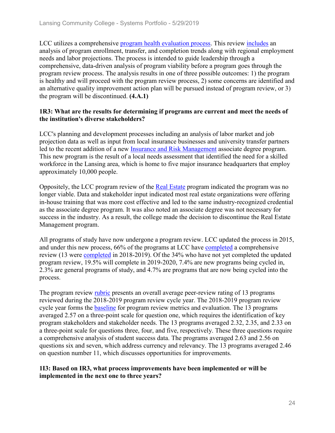LCC utilizes a comprehensive program health evaluation process. This review includes an analysis of program enrollment, transfer, and completion trends along with regional employment needs and labor projections. The process is intended to guide leadership through a comprehensive, data-driven analysis of program viability before a program goes through the program review process. The analysis results in one of three possible outcomes: 1) the program is healthy and will proceed with the program review process, 2) some concerns are identified and an alternative quality improvement action plan will be pursued instead of program review, or 3) the program will be discontinued. **(4.A.1)**

#### **1R3: What are the results for determining if programs are current and meet the needs of the institution's diverse stakeholders?**

LCC's planning and development processes including an analysis of labor market and job projection data as well as input from local insurance businesses and university transfer partners led to the recent addition of a new Insurance and Risk Management associate degree program. This new program is the result of a local needs assessment that identified the need for a skilled workforce in the Lansing area, which is home to five major insurance headquarters that employ approximately 10,000 people.

Oppositely, the LCC program review of the Real Estate program indicated the program was no longer viable. Data and stakeholder input indicated most real estate organizations were offering in-house training that was more cost effective and led to the same industry-recognized credential as the associate degree program. It was also noted an associate degree was not necessary for success in the industry. As a result, the college made the decision to discontinue the Real Estate Management program.

All programs of study have now undergone a program review. LCC updated the process in 2015, and under this new process, 66% of the programs at LCC have completed a comprehensive review (13 were completed in 2018-2019). Of the 34% who have not yet completed the updated program review, 19.5% will complete in 2019-2020, 7.4% are new programs being cycled in, 2.3% are general programs of study, and 4.7% are programs that are now being cycled into the process.

The program review rubric presents an overall average peer-review rating of 13 programs reviewed during the 2018-2019 program review cycle year. The 2018-2019 program review cycle year forms the baseline for program review metrics and evaluation. The 13 programs averaged 2.57 on a three-point scale for question one, which requires the identification of key program stakeholders and stakeholder needs. The 13 programs averaged 2.32, 2.35, and 2.33 on a three-point scale for questions three, four, and five, respectively. These three questions require a comprehensive analysis of student success data. The programs averaged 2.63 and 2.56 on questions six and seven, which address currency and relevancy. The 13 programs averaged 2.46 on question number 11, which discusses opportunities for improvements.

#### **1I3: Based on IR3, what process improvements have been implemented or will be implemented in the next one to three years?**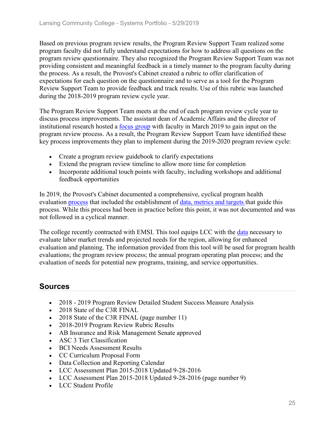Based on previous program review results, the Program Review Support Team realized some program faculty did not fully understand expectations for how to address all questions on the program review questionnaire. They also recognized the Program Review Support Team was not providing consistent and meaningful feedback in a timely manner to the program faculty during the process. As a result, the Provost's Cabinet created a rubric to offer clarification of expectations for each question on the questionnaire and to serve as a tool for the Program Review Support Team to provide feedback and track results. Use of this rubric was launched during the 2018-2019 program review cycle year.

The Program Review Support Team meets at the end of each program review cycle year to discuss process improvements. The assistant dean of Academic Affairs and the director of institutional research hosted a focus group with faculty in March 2019 to gain input on the program review process. As a result, the Program Review Support Team have identified these key process improvements they plan to implement during the 2019-2020 program review cycle:

- Create a program review guidebook to clarify expectations
- Extend the program review timeline to allow more time for completion
- Incorporate additional touch points with faculty, including workshops and additional feedback opportunities

In 2019, the Provost's Cabinet documented a comprehensive, cyclical program health evaluation process that included the establishment of data, metrics and targets that guide this process. While this process had been in practice before this point, it was not documented and was not followed in a cyclical manner.

The college recently contracted with EMSI. This tool equips LCC with the data necessary to evaluate labor market trends and projected needs for the region, allowing for enhanced evaluation and planning. The information provided from this tool will be used for program health evaluations; the program review process; the annual program operating plan process; and the evaluation of needs for potential new programs, training, and service opportunities.

# **Sources**

- 2018 2019 Program Review Detailed Student Success Measure Analysis
- 2018 State of the C3R FINAL
- 2018 State of the C3R FINAL (page number 11)
- 2018-2019 Program Review Rubric Results
- AB Insurance and Risk Management Senate approved
- ASC 3 Tier Classification
- BCI Needs Assessment Results
- CC Curriculum Proposal Form
- Data Collection and Reporting Calendar
- LCC Assessment Plan 2015-2018 Updated 9-28-2016
- LCC Assessment Plan 2015-2018 Updated 9-28-2016 (page number 9)
- LCC Student Profile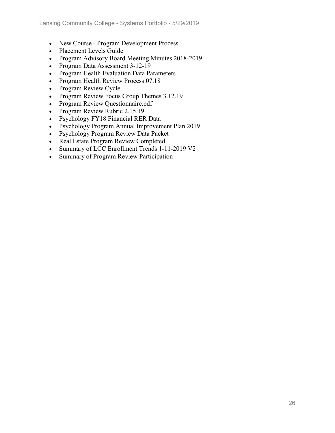- New Course Program Development Process
- Placement Levels Guide
- Program Advisory Board Meeting Minutes 2018-2019
- Program Data Assessment 3-12-19
- Program Health Evaluation Data Parameters
- Program Health Review Process 07.18
- Program Review Cycle
- Program Review Focus Group Themes 3.12.19
- Program Review Questionnaire.pdf
- Program Review Rubric 2.15.19
- Psychology FY18 Financial RER Data
- Psychology Program Annual Improvement Plan 2019
- Psychology Program Review Data Packet
- Real Estate Program Review Completed
- Summary of LCC Enrollment Trends 1-11-2019 V2
- Summary of Program Review Participation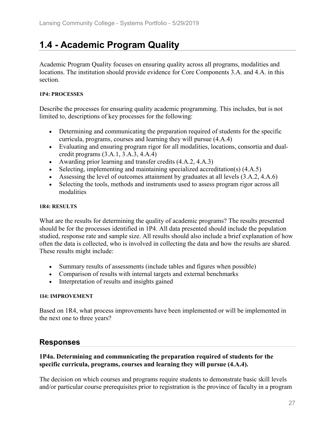# **1.4 - Academic Program Quality**

Academic Program Quality focuses on ensuring quality across all programs, modalities and locations. The institution should provide evidence for Core Components 3.A. and 4.A. in this section.

#### **1P4: PROCESSES**

Describe the processes for ensuring quality academic programming. This includes, but is not limited to, descriptions of key processes for the following:

- Determining and communicating the preparation required of students for the specific curricula, programs, courses and learning they will pursue (4.A.4)
- Evaluating and ensuring program rigor for all modalities, locations, consortia and dualcredit programs (3.A.1, 3.A.3, 4.A.4)
- Awarding prior learning and transfer credits  $(4.A.2, 4.A.3)$
- Selecting, implementing and maintaining specialized accreditation(s) (4.A.5)
- Assessing the level of outcomes attainment by graduates at all levels  $(3.A.2, 4.A.6)$
- Selecting the tools, methods and instruments used to assess program rigor across all modalities

#### **1R4: RESULTS**

What are the results for determining the quality of academic programs? The results presented should be for the processes identified in 1P4. All data presented should include the population studied, response rate and sample size. All results should also include a brief explanation of how often the data is collected, who is involved in collecting the data and how the results are shared. These results might include:

- Summary results of assessments (include tables and figures when possible)
- Comparison of results with internal targets and external benchmarks
- Interpretation of results and insights gained

#### **1I4: IMPROVEMENT**

Based on 1R4, what process improvements have been implemented or will be implemented in the next one to three years?

### **Responses**

#### **1P4a. Determining and communicating the preparation required of students for the specific curricula, programs, courses and learning they will pursue (4.A.4).**

The decision on which courses and programs require students to demonstrate basic skill levels and/or particular course prerequisites prior to registration is the province of faculty in a program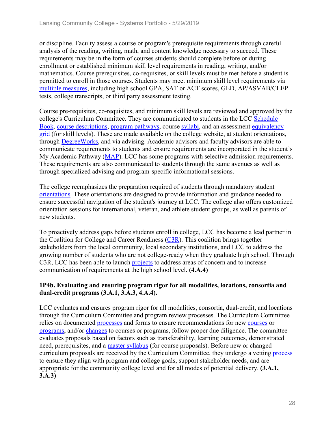or discipline. Faculty assess a course or program's prerequisite requirements through careful analysis of the reading, writing, math, and content knowledge necessary to succeed. These requirements may be in the form of courses students should complete before or during enrollment or established minimum skill level requirements in reading, writing, and/or mathematics. Course prerequisites, co-requisites, or skill levels must be met before a student is permitted to enroll in those courses. Students may meet minimum skill level requirements via multiple measures, including high school GPA, SAT or ACT scores, GED, AP/ASVAB/CLEP tests, college transcripts, or third party assessment testing.

Course pre-requisites, co-requisites, and minimum skill levels are reviewed and approved by the college's Curriculum Committee. They are communicated to students in the LCC Schedule Book, course descriptions, program pathways, course syllabi, and an assessment equivalency grid (for skill levels). These are made available on the college website, at student orientations, through DegreeWorks, and via advising. Academic advisors and faculty advisors are able to communicate requirements to students and ensure requirements are incorporated in the student's My Academic Pathway (MAP). LCC has some programs with selective admission requirements. These requirements are also communicated to students through the same avenues as well as through specialized advising and program-specific informational sessions.

The college reemphasizes the preparation required of students through mandatory student orientations. These orientations are designed to provide information and guidance needed to ensure successful navigation of the student's journey at LCC. The college also offers customized orientation sessions for international, veteran, and athlete student groups, as well as parents of new students.

To proactively address gaps before students enroll in college, LCC has become a lead partner in the Coalition for College and Career Readiness  $(C3R)$ . This coalition brings together stakeholders from the local community, local secondary institutions, and LCC to address the growing number of students who are not college-ready when they graduate high school. Through C3R, LCC has been able to launch projects to address areas of concern and to increase communication of requirements at the high school level. **(4.A.4)**

#### **1P4b. Evaluating and ensuring program rigor for all modalities, locations, consortia and dual-credit programs (3.A.1, 3.A.3, 4.A.4).**

LCC evaluates and ensures program rigor for all modalities, consortia, dual-credit, and locations through the Curriculum Committee and program review processes. The Curriculum Committee relies on documented processes and forms to ensure recommendations for new courses or programs, and/or changes to courses or programs, follow proper due diligence. The committee evaluates proposals based on factors such as transferability, learning outcomes, demonstrated need, prerequisites, and a master syllabus (for course proposals). Before new or changed curriculum proposals are received by the Curriculum Committee, they undergo a vetting process to ensure they align with program and college goals, support stakeholder needs, and are appropriate for the community college level and for all modes of potential delivery. **(3.A.1, 3.A.3)**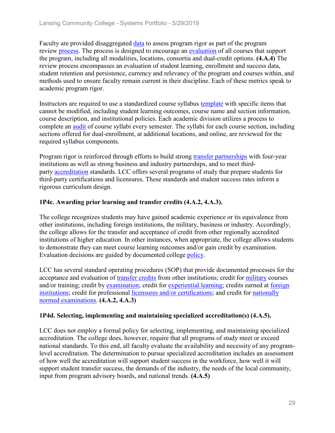Faculty are provided disaggregated data to assess program rigor as part of the program review process. The process is designed to encourage an evaluation of all courses that support the program, including all modalities, locations, consortia and dual-credit options. **(4.A.4)** The review process encompasses an evaluation of student learning, enrollment and success data, student retention and persistence, currency and relevancy of the program and courses within, and methods used to ensure faculty remain current in their discipline. Each of these metrics speak to academic program rigor.

Instructors are required to use a standardized course syllabus template with specific items that cannot be modified, including student learning outcomes, course name and section information, course description, and institutional policies. Each academic division utilizes a process to complete an audit of course syllabi every semester. The syllabi for each course section, including sections offered for dual-enrollment, at additional locations, and online, are reviewed for the required syllabus components.

Program rigor is reinforced through efforts to build strong transfer partnerships with four-year institutions as well as strong business and industry partnerships, and to meet thirdparty accreditation standards. LCC offers several programs of study that prepare students for third-party certifications and licensures. These standards and student success rates inform a rigorous curriculum design.

#### **1P4c. Awarding prior learning and transfer credits (4.A.2, 4.A.3).**

The college recognizes students may have gained academic experience or its equivalence from other institutions, including foreign institutions, the military, business or industry. Accordingly, the college allows for the transfer and acceptance of credit from other regionally accredited institutions of higher education. In other instances, when appropriate, the college allows students to demonstrate they can meet course learning outcomes and/or gain credit by examination. Evaluation decisions are guided by documented college policy.

LCC has several standard operating procedures (SOP) that provide documented processes for the acceptance and evaluation of transfer credits from other institutions; credit for military courses and/or training; credit by examination; credit for experiential learning; credits earned at foreign institutions; credit for professional licensures and/or certifications; and credit for nationally normed examinations. **(4.A.2, 4.A.3)**

#### **1P4d. Selecting, implementing and maintaining specialized accreditation(s) (4.A.5).**

LCC does not employ a formal policy for selecting, implementing, and maintaining specialized accreditation. The college does, however, require that all programs of study meet or exceed national standards. To this end, all faculty evaluate the availability and necessity of any programlevel accreditation. The determination to pursue specialized accreditation includes an assessment of how well the accreditation will support student success in the workforce, how well it will support student transfer success, the demands of the industry, the needs of the local community, input from program advisory boards, and national trends. **(4.A.5)**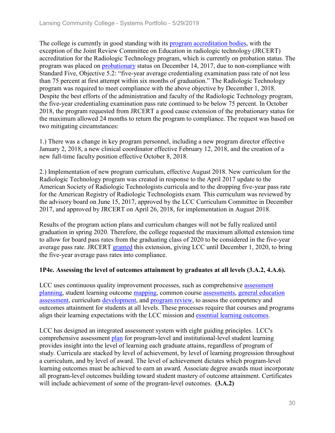The college is currently in good standing with its program accreditation bodies, with the exception of the Joint Review Committee on Education in radiologic technology (JRCERT) accreditation for the Radiologic Technology program, which is currently on probation status. The program was placed on probationary status on December 14, 2017, due to non-compliance with Standard Five, Objective 5.2: "five-year average credentialing examination pass rate of not less than 75 percent at first attempt within six months of graduation." The Radiologic Technology program was required to meet compliance with the above objective by December 1, 2018. Despite the best efforts of the administration and faculty of the Radiologic Technology program, the five-year credentialing examination pass rate continued to be below 75 percent. In October 2018, the program requested from JRCERT a good cause extension of the probationary status for the maximum allowed 24 months to return the program to compliance. The request was based on two mitigating circumstances:

1.) There was a change in key program personnel, including a new program director effective January 2, 2018, a new clinical coordinator effective February 12, 2018, and the creation of a new full-time faculty position effective October 8, 2018.

2.) Implementation of new program curriculum, effective August 2018. New curriculum for the Radiologic Technology program was created in response to the April 2017 update to the American Society of Radiologic Technologists curricula and to the dropping five-year pass rate for the American Registry of Radiologic Technologists exam. This curriculum was reviewed by the advisory board on June 15, 2017, approved by the LCC Curriculum Committee in December 2017, and approved by JRCERT on April 26, 2018, for implementation in August 2018.

Results of the program action plans and curriculum changes will not be fully realized until graduation in spring 2020. Therefore, the college requested the maximum allotted extension time to allow for board pass rates from the graduating class of 2020 to be considered in the five-year average pass rate. JRCERT granted this extension, giving LCC until December 1, 2020, to bring the five-year average pass rates into compliance.

#### **1P4e. Assessing the level of outcomes attainment by graduates at all levels (3.A.2, 4.A.6).**

LCC uses continuous quality improvement processes, such as comprehensive assessment planning, student learning outcome mapping, common course assessments, general education assessment, curriculum development, and program review, to assess the competency and outcomes attainment for students at all levels. These processes require that courses and programs align their learning expectations with the LCC mission and essential learning outcomes.

LCC has designed an integrated assessment system with eight guiding principles. LCC's comprehensive assessment plan for program-level and institutional-level student learning provides insight into the level of learning each graduate attains, regardless of program of study. Curricula are stacked by level of achievement, by level of learning progression throughout a curriculum, and by level of award. The level of achievement dictates which program-level learning outcomes must be achieved to earn an award. Associate degree awards must incorporate all program-level outcomes building toward student mastery of outcome attainment. Certificates will include achievement of some of the program-level outcomes. **(3.A.2)**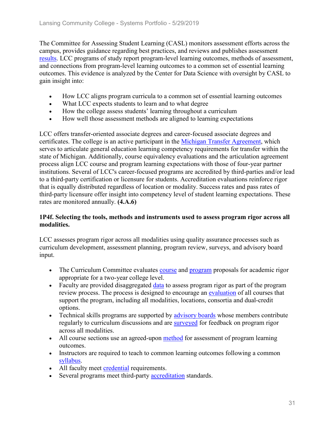The Committee for Assessing Student Learning (CASL) monitors assessment efforts across the campus, provides guidance regarding best practices, and reviews and publishes assessment results. LCC programs of study report program-level learning outcomes, methods of assessment, and connections from program-level learning outcomes to a common set of essential learning outcomes. This evidence is analyzed by the Center for Data Science with oversight by CASL to gain insight into:

- How LCC aligns program curricula to a common set of essential learning outcomes
- What LCC expects students to learn and to what degree
- How the college assess students' learning throughout a curriculum
- How well those assessment methods are aligned to learning expectations

LCC offers transfer-oriented associate degrees and career-focused associate degrees and certificates. The college is an active participant in the Michigan Transfer Agreement, which serves to articulate general education learning competency requirements for transfer within the state of Michigan. Additionally, course equivalency evaluations and the articulation agreement process align LCC course and program learning expectations with those of four-year partner institutions. Several of LCC's career-focused programs are accredited by third-parties and/or lead to a third-party certification or licensure for students. Accreditation evaluations reinforce rigor that is equally distributed regardless of location or modality. Success rates and pass rates of third-party licensure offer insight into competency level of student learning expectations. These rates are monitored annually. **(4.A.6)**

#### **1P4f. Selecting the tools, methods and instruments used to assess program rigor across all modalities.**

LCC assesses program rigor across all modalities using quality assurance processes such as curriculum development, assessment planning, program review, surveys, and advisory board input.

- The Curriculum Committee evaluates course and program proposals for academic rigor appropriate for a two-year college level.
- Faculty are provided disaggregated data to assess program rigor as part of the program review process. The process is designed to encourage an evaluation of all courses that support the program, including all modalities, locations, consortia and dual-credit options.
- Technical skills programs are supported by advisory boards whose members contribute regularly to curriculum discussions and are surveyed for feedback on program rigor across all modalities.
- All course sections use an agreed-upon method for assessment of program learning outcomes.
- Instructors are required to teach to common learning outcomes following a common syllabus.
- All faculty meet credential requirements.
- Several programs meet third-party accreditation standards.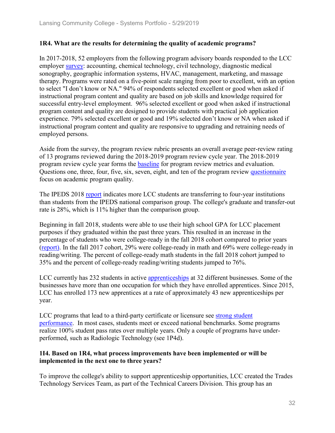#### **1R4. What are the results for determining the quality of academic programs?**

In 2017-2018, 52 employers from the following program advisory boards responded to the LCC employer survey: accounting, chemical technology, civil technology, diagnostic medical sonography, geographic information systems, HVAC, management, marketing, and massage therapy. Programs were rated on a five-point scale ranging from poor to excellent, with an option to select "I don't know or NA." 94% of respondents selected excellent or good when asked if instructional program content and quality are based on job skills and knowledge required for successful entry-level employment. 96% selected excellent or good when asked if instructional program content and quality are designed to provide students with practical job application experience. 79% selected excellent or good and 19% selected don't know or NA when asked if instructional program content and quality are responsive to upgrading and retraining needs of employed persons.

Aside from the survey, the program review rubric presents an overall average peer-review rating of 13 programs reviewed during the 2018-2019 program review cycle year. The 2018-2019 program review cycle year forms the **baseline** for program review metrics and evaluation. Questions one, three, four, five, six, seven, eight, and ten of the program review questionnaire focus on academic program quality.

The IPEDS 2018 report indicates more LCC students are transferring to four-year institutions than students from the IPEDS national comparison group. The college's graduate and transfer-out rate is 28%, which is 11% higher than the comparison group.

Beginning in fall 2018, students were able to use their high school GPA for LCC placement purposes if they graduated within the past three years. This resulted in an increase in the percentage of students who were college-ready in the fall 2018 cohort compared to prior years (report). In the fall 2017 cohort, 29% were college-ready in math and 69% were college-ready in reading/writing. The percent of college-ready math students in the fall 2018 cohort jumped to 35% and the percent of college-ready reading/writing students jumped to 76%.

LCC currently has 232 students in active apprenticeships at 32 different businesses. Some of the businesses have more than one occupation for which they have enrolled apprentices. Since 2015, LCC has enrolled 173 new apprentices at a rate of approximately 43 new apprenticeships per year.

LCC programs that lead to a third-party certificate or licensure see strong student performance. In most cases, students meet or exceed national benchmarks. Some programs realize 100% student pass rates over multiple years. Only a couple of programs have underperformed, such as Radiologic Technology (see 1P4d).

#### **1I4. Based on 1R4, what process improvements have been implemented or will be implemented in the next one to three years?**

To improve the college's ability to support apprenticeship opportunities, LCC created the Trades Technology Services Team, as part of the Technical Careers Division. This group has an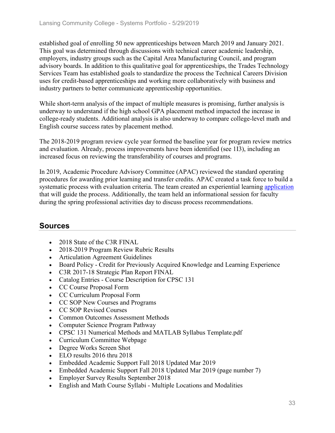established goal of enrolling 50 new apprenticeships between March 2019 and January 2021. This goal was determined through discussions with technical career academic leadership, employers, industry groups such as the Capital Area Manufacturing Council, and program advisory boards. In addition to this qualitative goal for apprenticeships, the Trades Technology Services Team has established goals to standardize the process the Technical Careers Division uses for credit-based apprenticeships and working more collaboratively with business and industry partners to better communicate apprenticeship opportunities.

While short-term analysis of the impact of multiple measures is promising, further analysis is underway to understand if the high school GPA placement method impacted the increase in college-ready students. Additional analysis is also underway to compare college-level math and English course success rates by placement method.

The 2018-2019 program review cycle year formed the baseline year for program review metrics and evaluation. Already, process improvements have been identified (see 1I3), including an increased focus on reviewing the transferability of courses and programs.

In 2019, Academic Procedure Advisory Committee (APAC) reviewed the standard operating procedures for awarding prior learning and transfer credits. APAC created a task force to build a systematic process with evaluation criteria. The team created an experiential learning application that will guide the process. Additionally, the team held an informational session for faculty during the spring professional activities day to discuss process recommendations.

# **Sources**

- 2018 State of the C3R FINAL
- 2018-2019 Program Review Rubric Results
- Articulation Agreement Guidelines
- Board Policy Credit for Previously Acquired Knowledge and Learning Experience
- C3R 2017-18 Strategic Plan Report FINAL
- Catalog Entries Course Description for CPSC 131
- CC Course Proposal Form
- CC Curriculum Proposal Form
- CC SOP New Courses and Programs
- CC SOP Revised Courses
- Common Outcomes Assessment Methods
- Computer Science Program Pathway
- CPSC 131 Numerical Methods and MATLAB Syllabus Template.pdf
- Curriculum Committee Webpage
- Degree Works Screen Shot
- ELO results 2016 thru 2018
- Embedded Academic Support Fall 2018 Updated Mar 2019
- Embedded Academic Support Fall 2018 Updated Mar 2019 (page number 7)
- Employer Survey Results September 2018
- English and Math Course Syllabi Multiple Locations and Modalities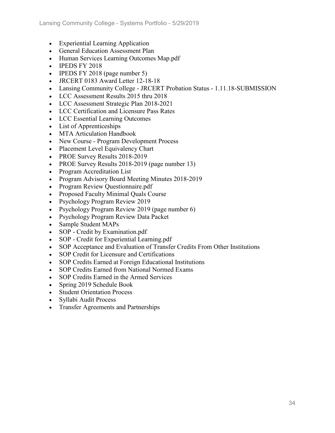- Experiential Learning Application
- General Education Assessment Plan
- Human Services Learning Outcomes Map.pdf
- IPEDS FY 2018
- IPEDS FY 2018 (page number 5)
- JRCERT 0183 Award Letter 12-18-18
- Lansing Community College JRCERT Probation Status 1.11.18-SUBMISSION
- LCC Assessment Results 2015 thru 2018
- LCC Assessment Strategic Plan 2018-2021
- LCC Certification and Licensure Pass Rates
- LCC Essential Learning Outcomes
- List of Apprenticeships
- MTA Articulation Handbook
- New Course Program Development Process
- Placement Level Equivalency Chart
- PROE Survey Results 2018-2019
- PROE Survey Results 2018-2019 (page number 13)
- Program Accreditation List
- Program Advisory Board Meeting Minutes 2018-2019
- Program Review Questionnaire.pdf
- Proposed Faculty Minimal Quals Course
- Psychology Program Review 2019
- Psychology Program Review 2019 (page number 6)
- Psychology Program Review Data Packet
- Sample Student MAPs
- SOP Credit by Examination.pdf
- SOP Credit for Experiential Learning.pdf
- SOP Acceptance and Evaluation of Transfer Credits From Other Institutions
- SOP Credit for Licensure and Certifications
- SOP Credits Earned at Foreign Educational Institutions
- SOP Credits Earned from National Normed Exams
- SOP Credits Earned in the Armed Services
- Spring 2019 Schedule Book
- Student Orientation Process
- Syllabi Audit Process
- Transfer Agreements and Partnerships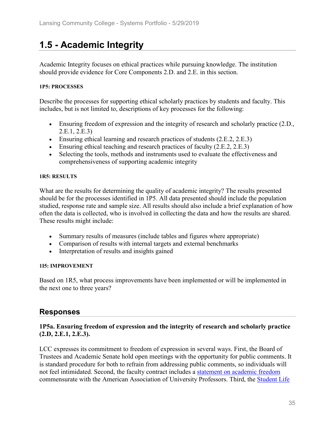# **1.5 - Academic Integrity**

Academic Integrity focuses on ethical practices while pursuing knowledge. The institution should provide evidence for Core Components 2.D. and 2.E. in this section.

#### **1P5: PROCESSES**

Describe the processes for supporting ethical scholarly practices by students and faculty. This includes, but is not limited to, descriptions of key processes for the following:

- Ensuring freedom of expression and the integrity of research and scholarly practice (2.D., 2.E.1, 2.E.3)
- Ensuring ethical learning and research practices of students (2.E.2, 2.E.3)
- Ensuring ethical teaching and research practices of faculty (2.E.2, 2.E.3)
- Selecting the tools, methods and instruments used to evaluate the effectiveness and comprehensiveness of supporting academic integrity

#### **1R5: RESULTS**

What are the results for determining the quality of academic integrity? The results presented should be for the processes identified in 1P5. All data presented should include the population studied, response rate and sample size. All results should also include a brief explanation of how often the data is collected, who is involved in collecting the data and how the results are shared. These results might include:

- Summary results of measures (include tables and figures where appropriate)
- Comparison of results with internal targets and external benchmarks
- Interpretation of results and insights gained

#### **1I5: IMPROVEMENT**

Based on 1R5, what process improvements have been implemented or will be implemented in the next one to three years?

### **Responses**

#### **1P5a. Ensuring freedom of expression and the integrity of research and scholarly practice (2.D, 2.E.1, 2.E.3).**

LCC expresses its commitment to freedom of expression in several ways. First, the Board of Trustees and Academic Senate hold open meetings with the opportunity for public comments. It is standard procedure for both to refrain from addressing public comments, so individuals will not feel intimidated. Second, the faculty contract includes a statement on academic freedom commensurate with the American Association of University Professors. Third, the Student Life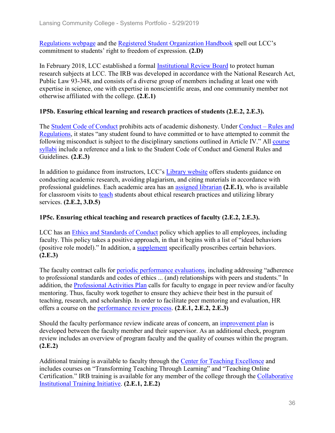Regulations webpage and the Registered Student Organization Handbook spell out LCC's commitment to students' right to freedom of expression. **(2.D)**

In February 2018, LCC established a formal Institutional Review Board to protect human research subjects at LCC. The IRB was developed in accordance with the National Research Act, Public Law 93-348, and consists of a diverse group of members including at least one with expertise in science, one with expertise in nonscientific areas, and one community member not otherwise affiliated with the college. **(2.E.1)**

#### **1P5b. Ensuring ethical learning and research practices of students (2.E.2, 2.E.3).**

The Student Code of Conduct prohibits acts of academic dishonesty. Under Conduct – Rules and Regulations, it states "any student found to have committed or to have attempted to commit the following misconduct is subject to the disciplinary sanctions outlined in Article IV." All course syllabi include a reference and a link to the Student Code of Conduct and General Rules and Guidelines. **(2.E.3)**

In addition to guidance from instructors, LCC's Library website offers students guidance on conducting academic research, avoiding plagiarism, and citing materials in accordance with professional guidelines. Each academic area has an assigned librarian **(2.E.1)**, who is available for classroom visits to teach students about ethical research practices and utilizing library services. **(2.E.2, 3.D.5)**

#### **1P5c. Ensuring ethical teaching and research practices of faculty (2.E.2, 2.E.3).**

LCC has an Ethics and Standards of Conduct policy which applies to all employees, including faculty. This policy takes a positive approach, in that it begins with a list of "ideal behaviors (positive role model)." In addition, a supplement specifically proscribes certain behaviors. **(2.E.3)**

The faculty contract calls for periodic performance evaluations, including addressing "adherence to professional standards and codes of ethics ... (and) relationships with peers and students." In addition, the Professional Activities Plan calls for faculty to engage in peer review and/or faculty mentoring. Thus, faculty work together to ensure they achieve their best in the pursuit of teaching, research, and scholarship. In order to facilitate peer mentoring and evaluation, HR offers a course on the performance review process. **(2.E.1, 2.E.2, 2.E.3)**

Should the faculty performance review indicate areas of concern, an improvement plan is developed between the faculty member and their supervisor. As an additional check, program review includes an overview of program faculty and the quality of courses within the program. **(2.E.2)**

Additional training is available to faculty through the Center for Teaching Excellence and includes courses on "Transforming Teaching Through Learning" and "Teaching Online Certification." IRB training is available for any member of the college through the Collaborative Institutional Training Initiative. **(2.E.1, 2.E.2)**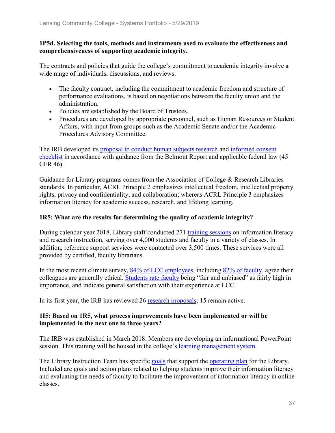#### **1P5d. Selecting the tools, methods and instruments used to evaluate the effectiveness and comprehensiveness of supporting academic integrity.**

The contracts and policies that guide the college's commitment to academic integrity involve a wide range of individuals, discussions, and reviews:

- The faculty contract, including the commitment to academic freedom and structure of performance evaluations, is based on negotiations between the faculty union and the administration.
- Policies are established by the Board of Trustees.
- Procedures are developed by appropriate personnel, such as Human Resources or Student Affairs, with input from groups such as the Academic Senate and/or the Academic Procedures Advisory Committee.

The IRB developed its proposal to conduct human subjects research and informed consent checklist in accordance with guidance from the Belmont Report and applicable federal law (45 CFR 46).

Guidance for Library programs comes from the Association of College & Research Libraries standards. In particular, ACRL Principle 2 emphasizes intellectual freedom, intellectual property rights, privacy and confidentiality, and collaboration; whereas ACRL Principle 3 emphasizes information literacy for academic success, research, and lifelong learning.

#### **1R5: What are the results for determining the quality of academic integrity?**

During calendar year 2018, Library staff conducted 271 training sessions on information literacy and research instruction, serving over 4,000 students and faculty in a variety of classes. In addition, reference support services were contacted over 3,500 times. These services were all provided by certified, faculty librarians.

In the most recent climate survey, 84% of LCC employees, including 82% of faculty, agree their colleagues are generally ethical. Students rate faculty being "fair and unbiased" as fairly high in importance, and indicate general satisfaction with their experience at LCC.

In its first year, the IRB has reviewed 26 research proposals; 15 remain active.

#### **1I5: Based on 1R5, what process improvements have been implemented or will be implemented in the next one to three years?**

The IRB was established in March 2018. Members are developing an informational PowerPoint session. This training will be housed in the college's learning management system.

The Library Instruction Team has specific goals that support the operating plan for the Library. Included are goals and action plans related to helping students improve their information literacy and evaluating the needs of faculty to facilitate the improvement of information literacy in online classes.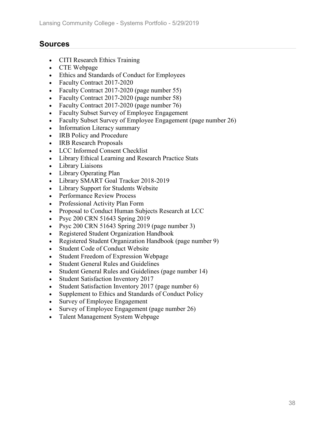## **Sources**

- CITI Research Ethics Training
- CTE Webpage
- Ethics and Standards of Conduct for Employees
- Faculty Contract 2017-2020
- Faculty Contract 2017-2020 (page number 55)
- Faculty Contract 2017-2020 (page number 58)
- Faculty Contract 2017-2020 (page number 76)
- Faculty Subset Survey of Employee Engagement
- Faculty Subset Survey of Employee Engagement (page number 26)
- Information Literacy summary
- IRB Policy and Procedure
- **IRB Research Proposals**
- LCC Informed Consent Checklist
- Library Ethical Learning and Research Practice Stats
- Library Liaisons
- Library Operating Plan
- Library SMART Goal Tracker 2018-2019
- Library Support for Students Website
- Performance Review Process
- Professional Activity Plan Form
- Proposal to Conduct Human Subjects Research at LCC
- Psyc 200 CRN 51643 Spring 2019
- Psyc 200 CRN 51643 Spring 2019 (page number 3)
- Registered Student Organization Handbook
- Registered Student Organization Handbook (page number 9)
- Student Code of Conduct Website
- Student Freedom of Expression Webpage
- Student General Rules and Guidelines
- Student General Rules and Guidelines (page number 14)
- Student Satisfaction Inventory 2017
- Student Satisfaction Inventory 2017 (page number 6)
- Supplement to Ethics and Standards of Conduct Policy
- Survey of Employee Engagement
- Survey of Employee Engagement (page number 26)
- Talent Management System Webpage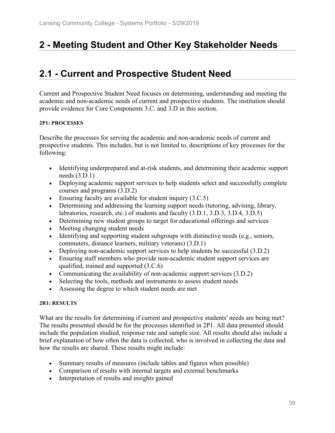# **2 - Meeting Student and Other Key Stakeholder Needs**

# **2.1 - Current and Prospective Student Need**

Current and Prospective Student Need focuses on determining, understanding and meeting the academic and non-academic needs of current and prospective students. The institution should provide evidence for Core Components 3.C. and 3.D in this section.

#### **2P1: PROCESSES**

Describe the processes for serving the academic and non-academic needs of current and prospective students. This includes, but is not limited to, descriptions of key processes for the following:

- Identifying underprepared and at-risk students, and determining their academic support needs (3.D.1)
- Deploying academic support services to help students select and successfully complete courses and programs (3.D.2)
- Ensuring faculty are available for student inquiry (3.C.5)
- Determining and addressing the learning support needs (tutoring, advising, library, labratories, research, etc.) of students and faculty (3.D.1, 3.D.3, 3.D.4, 3.D.5)
- Determining new student groups to target for educational offerings and services
- Meeting changing student needs
- Identifying and supporting student subgroups with distinctive needs (e.g., seniors, commuters, distance learners, military veterans) (3.D.1)
- Deploying non-academic support services to help students be successful (3.D.2)
- Ensuring staff members who provide non-academic student support services are qualified, trained and supported (3.C.6)
- Communicating the availability of non-academic support services (3.D.2)
- Selecting the tools, methods and instruments to assess student needs
- Assessing the degree to which student needs are met

#### **2R1: RESULTS**

What are the results for determining if current and prospective students' needs are being met? The results presented should be for the processes identified in 2P1. All data presented should include the population studied, response rate and sample size. All results should also include a brief explanation of how often the data is collected, who is involved in collecting the data and how the results are shared. These results might include:

- Summary results of measures (include tables and figures when possible)
- Comparison of results with internal targets and external benchmarks
- Interpretation of results and insights gained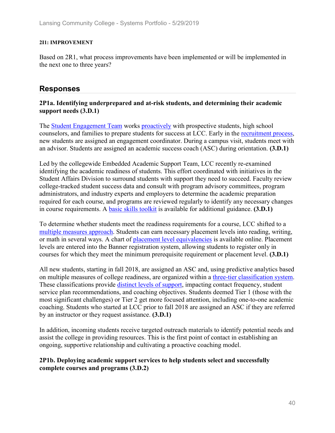#### **2I1: IMPROVEMENT**

Based on 2R1, what process improvements have been implemented or will be implemented in the next one to three years?

## **Responses**

#### **2P1a. Identifying underprepared and at-risk students, and determining their academic support needs (3.D.1)**

The Student Engagement Team works proactively with prospective students, high school counselors, and families to prepare students for success at LCC. Early in the recruitment process, new students are assigned an engagement coordinator. During a campus visit, students meet with an advisor. Students are assigned an academic success coach (ASC) during orientation. **(3.D.1)**

Led by the collegewide Embedded Academic Support Team, LCC recently re-examined identifying the academic readiness of students. This effort coordinated with initiatives in the Student Affairs Division to surround students with support they need to succeed. Faculty review college-tracked student success data and consult with program advisory committees, program administrators, and industry experts and employers to determine the academic preparation required for each course, and programs are reviewed regularly to identify any necessary changes in course requirements. A basic skills toolkit is available for additional guidance. **(3.D.1)**

To determine whether students meet the readiness requirements for a course, LCC shifted to a multiple measures approach. Students can earn necessary placement levels into reading, writing, or math in several ways. A chart of placement level equivalencies is available online. Placement levels are entered into the Banner registration system, allowing students to register only in courses for which they meet the minimum prerequisite requirement or placement level. **(3.D.1)**

All new students, starting in fall 2018, are assigned an ASC and, using predictive analytics based on multiple measures of college readiness, are organized within a three-tier classification system. These classifications provide distinct levels of support, impacting contact frequency, student service plan recommendations, and coaching objectives. Students deemed Tier 1 (those with the most significant challenges) or Tier 2 get more focused attention, including one-to-one academic coaching. Students who started at LCC prior to fall 2018 are assigned an ASC if they are referred by an instructor or they request assistance. **(3.D.1)**

In addition, incoming students receive targeted outreach materials to identify potential needs and assist the college in providing resources. This is the first point of contact in establishing an ongoing, supportive relationship and cultivating a proactive coaching model.

#### **2P1b. Deploying academic support services to help students select and successfully complete courses and programs (3.D.2)**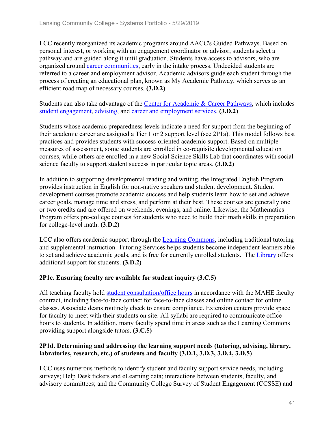LCC recently reorganized its academic programs around AACC's Guided Pathways. Based on personal interest, or working with an engagement coordinator or advisor, students select a pathway and are guided along it until graduation. Students have access to advisors, who are organized around career communities, early in the intake process. Undecided students are referred to a career and employment advisor. Academic advisors guide each student through the process of creating an educational plan, known as My Academic Pathway, which serves as an efficient road map of necessary courses. **(3.D.2)**

Students can also take advantage of the Center for Academic & Career Pathways, which includes student engagement, advising, and career and employment services. **(3.D.2)**

Students whose academic preparedness levels indicate a need for support from the beginning of their academic career are assigned a Tier 1 or 2 support level (see 2P1a). This model follows best practices and provides students with success-oriented academic support. Based on multiplemeasures of assessment, some students are enrolled in co-requisite developmental education courses, while others are enrolled in a new Social Science Skills Lab that coordinates with social science faculty to support student success in particular topic areas. **(3.D.2)**

In addition to supporting developmental reading and writing, the Integrated English Program provides instruction in English for non-native speakers and student development. Student development courses promote academic success and help students learn how to set and achieve career goals, manage time and stress, and perform at their best. These courses are generally one or two credits and are offered on weekends, evenings, and online. Likewise, the Mathematics Program offers pre-college courses for students who need to build their math skills in preparation for college-level math. **(3.D.2)**

LCC also offers academic support through the **Learning Commons**, including traditional tutoring and supplemental instruction. Tutoring Services helps students become independent learners able to set and achieve academic goals, and is free for currently enrolled students. The Library offers additional support for students. **(3.D.2)**

### **2P1c. Ensuring faculty are available for student inquiry (3.C.5)**

All teaching faculty hold student consultation/office hours in accordance with the MAHE faculty contract, including face-to-face contact for face-to-face classes and online contact for online classes. Associate deans routinely check to ensure compliance. Extension centers provide space for faculty to meet with their students on site. All syllabi are required to communicate office hours to students. In addition, many faculty spend time in areas such as the Learning Commons providing support alongside tutors. **(3.C.5)**

### **2P1d. Determining and addressing the learning support needs (tutoring, advising, library, labratories, research, etc.) of students and faculty (3.D.1, 3.D.3, 3.D.4, 3.D.5)**

LCC uses numerous methods to identify student and faculty support service needs, including surveys; Help Desk tickets and eLearning data; interactions between students, faculty, and advisory committees; and the Community College Survey of Student Engagement (CCSSE) and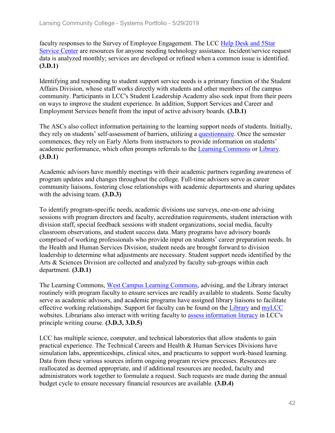faculty responses to the Survey of Employee Engagement. The LCC Help Desk and 5Star Service Center are resources for anyone needing technology assistance. Incident/service request data is analyzed monthly; services are developed or refined when a common issue is identified. **(3.D.1)**

Identifying and responding to student support service needs is a primary function of the Student Affairs Division, whose staff works directly with students and other members of the campus community. Participants in LCC's Student Leadership Academy also seek input from their peers on ways to improve the student experience. In addition, Support Services and Career and Employment Services benefit from the input of active advisory boards. **(3.D.1)**

The ASCs also collect information pertaining to the learning support needs of students. Initially, they rely on students' self-assessment of barriers, utilizing a questionnaire. Once the semester commences, they rely on Early Alerts from instructors to provide information on students' academic performance, which often prompts referrals to the Learning Commons or Library. **(3.D.1)**

Academic advisors have monthly meetings with their academic partners regarding awareness of program updates and changes throughout the college. Full-time advisors serve as career community liaisons, fostering close relationships with academic departments and sharing updates with the advising team. **(3.D.3)**

To identify program-specific needs, academic divisions use surveys, one-on-one advising sessions with program directors and faculty, accreditation requirements, student interaction with division staff, special feedback sessions with student organizations, social media, faculty classroom observations, and student success data. Many programs have advisory boards comprised of working professionals who provide input on students' career preparation needs. In the Health and Human Services Division, student needs are brought forward to division leadership to determine what adjustments are necessary. Student support needs identified by the Arts & Sciences Division are collected and analyzed by faculty sub-groups within each department. **(3.D.1)**

The Learning Commons, West Campus Learning Commons, advising, and the Library interact routinely with program faculty to ensure services are readily available to students. Some faculty serve as academic advisors, and academic programs have assigned library liaisons to facilitate effective working relationships. Support for faculty can be found on the Library and myLCC websites. Librarians also interact with writing faculty to assess information literacy in LCC's principle writing course. **(3.D.3, 3.D.5)**

LCC has multiple science, computer, and technical laboratories that allow students to gain practical experience. The Technical Careers and Health & Human Services Divisions have simulation labs, apprenticeships, clinical sites, and practicums to support work-based learning. Data from these various sources inform ongoing program review processes. Resources are reallocated as deemed appropriate, and if additional resources are needed, faculty and administrators work together to formulate a request. Such requests are made during the annual budget cycle to ensure necessary financial resources are available. **(3.D.4)**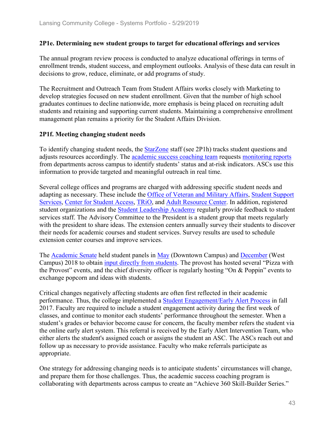#### **2P1e. Determining new student groups to target for educational offerings and services**

The annual program review process is conducted to analyze educational offerings in terms of enrollment trends, student success, and employment outlooks. Analysis of these data can result in decisions to grow, reduce, eliminate, or add programs of study.

The Recruitment and Outreach Team from Student Affairs works closely with Marketing to develop strategies focused on new student enrollment. Given that the number of high school graduates continues to decline nationwide, more emphasis is being placed on recruiting adult students and retaining and supporting current students. Maintaining a comprehensive enrollment management plan remains a priority for the Student Affairs Division.

#### **2P1f. Meeting changing student needs**

To identify changing student needs, the StarZone staff (see 2P1h) tracks student questions and adjusts resources accordingly. The academic success coaching team requests monitoring reports from departments across campus to identify students' status and at-risk indicators. ASCs use this information to provide targeted and meaningful outreach in real time.

Several college offices and programs are charged with addressing specific student needs and adapting as necessary. These include the Office of Veteran and Military Affairs, Student Support Services, Center for Student Access, TRiO, and Adult Resource Center. In addition, registered student organizations and the Student Leadership Academy regularly provide feedback to student services staff. The Advisory Committee to the President is a student group that meets regularly with the president to share ideas. The extension centers annually survey their students to discover their needs for academic courses and student services. Survey results are used to schedule extension center courses and improve services.

The Academic Senate held student panels in May (Downtown Campus) and December (West Campus) 2018 to obtain input directly from students. The provost has hosted several "Pizza with the Provost" events, and the chief diversity officer is regularly hosting "On & Poppin" events to exchange popcorn and ideas with students.

Critical changes negatively affecting students are often first reflected in their academic performance. Thus, the college implemented a **Student Engagement/Early Alert Process** in fall 2017. Faculty are required to include a student engagement activity during the first week of classes, and continue to monitor each students' performance throughout the semester. When a student's grades or behavior become cause for concern, the faculty member refers the student via the online early alert system. This referral is received by the Early Alert Intervention Team, who either alerts the student's assigned coach or assigns the student an ASC. The ASCs reach out and follow up as necessary to provide assistance. Faculty who make referrals participate as appropriate.

One strategy for addressing changing needs is to anticipate students' circumstances will change, and prepare them for those challenges. Thus, the academic success coaching program is collaborating with departments across campus to create an "Achieve 360 Skill-Builder Series."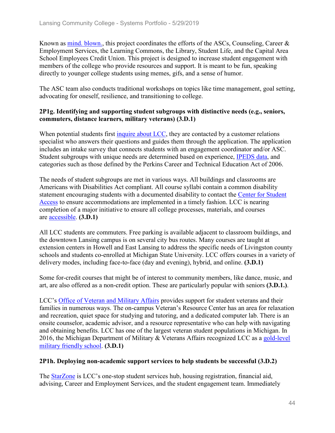Known as mind. blown., this project coordinates the efforts of the ASCs, Counseling, Career & Employment Services, the Learning Commons, the Library, Student Life, and the Capital Area School Employees Credit Union. This project is designed to increase student engagement with members of the college who provide resources and support. It is meant to be fun, speaking directly to younger college students using memes, gifs, and a sense of humor.

The ASC team also conducts traditional workshops on topics like time management, goal setting, advocating for oneself, resilience, and transitioning to college.

#### **2P1g. Identifying and supporting student subgroups with distinctive needs (e.g., seniors, commuters, distance learners, military veterans) (3.D.1)**

When potential students first inquire about LCC, they are contacted by a customer relations specialist who answers their questions and guides them through the application. The application includes an intake survey that connects students with an engagement coordinator and/or ASC. Student subgroups with unique needs are determined based on experience, IPEDS data, and categories such as those defined by the Perkins Career and Technical Education Act of 2006.

The needs of student subgroups are met in various ways. All buildings and classrooms are Americans with Disabilities Act compliant. All course syllabi contain a common disability statement encouraging students with a documented disability to contact the Center for Student Access to ensure accommodations are implemented in a timely fashion. LCC is nearing completion of a major initiative to ensure all college processes, materials, and courses are accessible. **(3.D.1)**

All LCC students are commuters. Free parking is available adjacent to classroom buildings, and the downtown Lansing campus is on several city bus routes. Many courses are taught at extension centers in Howell and East Lansing to address the specific needs of Livingston county schools and students co-enrolled at Michigan State University. LCC offers courses in a variety of delivery modes, including face-to-face (day and evening), hybrid, and online. **(3.D.1)**

Some for-credit courses that might be of interest to community members, like dance, music, and art, are also offered as a non-credit option. These are particularly popular with seniors **(3.D.1.)**.

LCC's Office of Veteran and Military Affairs provides support for student veterans and their families in numerous ways. The on-campus Veteran's Resource Center has an area for relaxation and recreation, quiet space for studying and tutoring, and a dedicated computer lab. There is an onsite counselor, academic advisor, and a resource representative who can help with navigating and obtaining benefits. LCC has one of the largest veteran student populations in Michigan. In 2016, the Michigan Department of Military & Veterans Affairs recognized LCC as a gold-level military friendly school. **(3.D.1)**

#### **2P1h. Deploying non-academic support services to help students be successful (3.D.2)**

The StarZone is LCC's one-stop student services hub, housing registration, financial aid, advising, Career and Employment Services, and the student engagement team. Immediately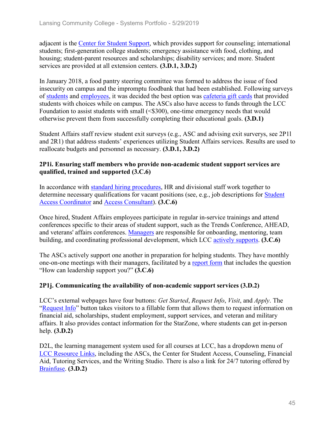adjacent is the Center for Student Support, which provides support for counseling; international students; first-generation college students; emergency assistance with food, clothing, and housing; student-parent resources and scholarships; disability services; and more. Student services are provided at all extension centers. **(3.D.1, 3.D.2)**

In January 2018, a food pantry steering committee was formed to address the issue of food insecurity on campus and the impromptu foodbank that had been established. Following surveys of students and employees, it was decided the best option was cafeteria gift cards that provided students with choices while on campus. The ASCs also have access to funds through the LCC Foundation to assist students with small (<\$300), one-time emergency needs that would otherwise prevent them from successfully completing their educational goals. **(3.D.1)**

Student Affairs staff review student exit surveys (e.g., ASC and advising exit surverys, see 2P1l and 2R1) that address students' experiences utilizing Student Affairs services. Results are used to reallocate budgets and personnel as necessary. **(3.D.1, 3.D.2)**

#### **2P1i. Ensuring staff members who provide non-academic student support services are qualified, trained and supported (3.C.6)**

In accordance with standard hiring procedures, HR and divisional staff work together to determine necessary qualifications for vacant positions (see, e.g., job descriptions for Student Access Coordinator and Access Consultant). **(3.C.6)**

Once hired, Student Affairs employees participate in regular in-service trainings and attend conferences specific to their areas of student support, such as the Trends Conference, AHEAD, and veterans' affairs conferences. Managers are responsible for onboarding, mentoring, team building, and coordinating professional development, which LCC actively supports. **(3.C.6)**

The ASCs actively support one another in preparation for helping students. They have monthly one-on-one meetings with their managers, facilitated by a report form that includes the question "How can leadership support you?" **(3.C.6)**

### **2P1j. Communicating the availability of non-academic support services (3.D.2)**

LCC's external webpages have four buttons: *Get Started*, *Request Info*, *Visit*, and *Apply*. The "Request Info" button takes visitors to a fillable form that allows them to request information on financial aid, scholarships, student employment, support services, and veteran and military affairs. It also provides contact information for the StarZone, where students can get in-person help. **(3.D.2)**

D2L, the learning management system used for all courses at LCC, has a dropdown menu of LCC Resource Links, including the ASCs, the Center for Student Access, Counseling, Financial Aid, Tutoring Services, and the Writing Studio. There is also a link for 24/7 tutoring offered by Brainfuse. **(3.D.2)**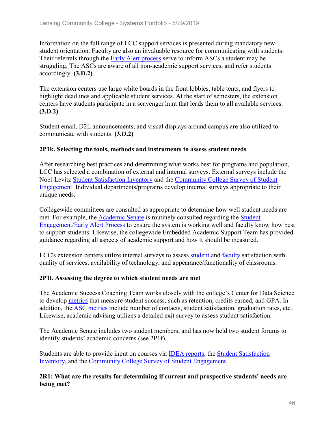Information on the full range of LCC support services is presented during mandatory newstudent orientation. Faculty are also an invaluable resource for communicating with students. Their referrals through the Early Alert process serve to inform ASCs a student may be struggling. The ASCs are aware of all non-academic support services, and refer students accordingly. **(3.D.2)**

The extension centers use large white boards in the front lobbies, table tents, and flyers to highlight deadlines and applicable student services. At the start of semesters, the extension centers have students participate in a scavenger hunt that leads them to all available services. **(3.D.2)**

Student email, D2L announcements, and visual displays around campus are also utilized to communicate with students. **(3.D.2)**

#### **2P1k. Selecting the tools, methods and instruments to assess student needs**

After researching best practices and determining what works best for programs and population, LCC has selected a combination of external and internal surveys. External surveys include the Noel-Levitz Student Satisfaction Inventory and the Community College Survey of Student Engagement. Individual departments/programs develop internal surveys appropriate to their unique needs.

Collegewide committees are consulted as appropriate to determine how well student needs are met. For example, the Academic Senate is routinely consulted regarding the Student Engagement/Early Alert Process to ensure the system is working well and faculty know how best to support students. Likewise, the collegewide Embedded Academic Support Team has provided guidance regarding all aspects of academic support and how it should be measured.

LCC's extension centers utilize internal surveys to assess student and faculty satisfaction with quality of services, availability of technology, and appearance/functionality of classrooms.

#### **2P1l. Assessing the degree to which student needs are met**

The Academic Success Coaching Team works closely with the college's Center for Data Science to develop metrics that measure student success, such as retention, credits earned, and GPA. In addition, the ASC metrics include number of contacts, student satisfaction, graduation rates, etc. Likewise, academic advising utilizes a detailed exit survey to assess student satisfaction.

The Academic Senate includes two student members, and has now held two student forums to identify students' academic concerns (see 2P1f).

Students are able to provide input on courses via IDEA reports, the Student Satisfaction Inventory, and the Community College Survey of Student Engagement.

**2R1: What are the results for determining if current and prospective students' needs are being met?**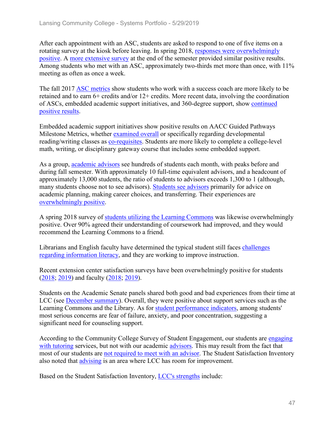After each appointment with an ASC, students are asked to respond to one of five items on a rotating survey at the kiosk before leaving. In spring 2018, responses were overwhelmingly positive. A more extensive survey at the end of the semester provided similar positive results. Among students who met with an ASC, approximately two-thirds met more than once, with 11% meeting as often as once a week.

The fall 2017 ASC metrics show students who work with a success coach are more likely to be retained and to earn 6+ credits and/or 12+ credits. More recent data, involving the coordination of ASCs, embedded academic support initiatives, and 360-degree support, show continued positive results.

Embedded academic support initiatives show positive results on AACC Guided Pathways Milestone Metrics, whether examined overall or specifically regarding developmental reading/writing classes as co-requisites. Students are more likely to complete a college-level math, writing, or disciplinary gateway course that includes some embedded support.

As a group, academic advisors see hundreds of students each month, with peaks before and during fall semester. With approximately 10 full-time equivalent advisors, and a headcount of approximately 13,000 students, the ratio of students to advisors exceeds 1,300 to 1 (although, many students choose not to see advisors). Students see advisors primarily for advice on academic planning, making career choices, and transferring. Their experiences are overwhelmingly positive.

A spring 2018 survey of students utilizing the Learning Commons was likewise overwhelmingly positive. Over 90% agreed their understanding of coursework had improved, and they would recommend the Learning Commons to a friend.

Librarians and English faculty have determined the typical student still faces challenges regarding information literacy, and they are working to improve instruction.

Recent extension center satisfaction surveys have been overwhelmingly positive for students (2018; 2019) and faculty (2018; 2019).

Students on the Academic Senate panels shared both good and bad experiences from their time at LCC (see **December summary**). Overall, they were positive about support services such as the Learning Commons and the Library. As for student performance indicators, among students' most serious concerns are fear of failure, anxiety, and poor concentration, suggesting a significant need for counseling support.

According to the Community College Survey of Student Engagement, our students are engaging with tutoring services, but not with our academic advisors. This may result from the fact that most of our students are not required to meet with an advisor. The Student Satisfaction Inventory also noted that advising is an area where LCC has room for improvement.

Based on the Student Satisfaction Inventory, LCC's strengths include: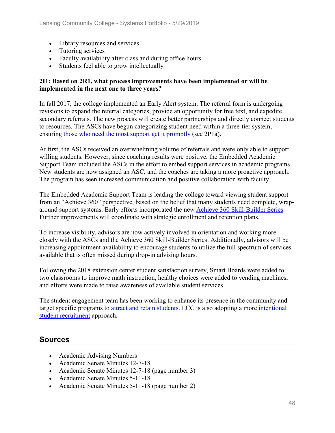- Library resources and services
- Tutoring services
- Faculty availability after class and during office hours
- Students feel able to grow intellectually

#### **2I1: Based on 2R1, what process improvements have been implemented or will be implemented in the next one to three years?**

In fall 2017, the college implemented an Early Alert system. The referral form is undergoing revisions to expand the referral categories, provide an opportunity for free text, and expedite secondary referrals. The new process will create better partnerships and directly connect students to resources. The ASCs have begun categorizing student need within a three-tier system, ensuring those who need the most support get it promptly (see 2P1a).

At first, the ASCs received an overwhelming volume of referrals and were only able to support willing students. However, since coaching results were positive, the Embedded Academic Support Team included the ASCs in the effort to embed support services in academic programs. New students are now assigned an ASC, and the coaches are taking a more proactive approach. The program has seen increased communication and positive collaboration with faculty.

The Embedded Academic Support Team is leading the college toward viewing student support from an "Achieve 360" perspective, based on the belief that many students need complete, wraparound support systems. Early efforts incorporated the new Achieve 360 Skill-Builder Series. Further improvements will coordinate with strategic enrollment and retention plans.

To increase visibility, advisors are now actively involved in orientation and working more closely with the ASCs and the Achieve 360 Skill-Builder Series. Additionally, advisors will be increasing appointment availability to encourage students to utilize the full spectrum of services available that is often missed during drop-in advising hours.

Following the 2018 extension center student satisfaction survey, Smart Boards were added to two classrooms to improve math instruction, healthy choices were added to vending machines, and efforts were made to raise awareness of available student services.

The student engagement team has been working to enhance its presence in the community and target specific programs to attract and retain students. LCC is also adopting a more intentional student recruitment approach.

## **Sources**

- Academic Advising Numbers
- Academic Senate Minutes 12-7-18
- Academic Senate Minutes 12-7-18 (page number 3)
- Academic Senate Minutes 5-11-18
- Academic Senate Minutes 5-11-18 (page number 2)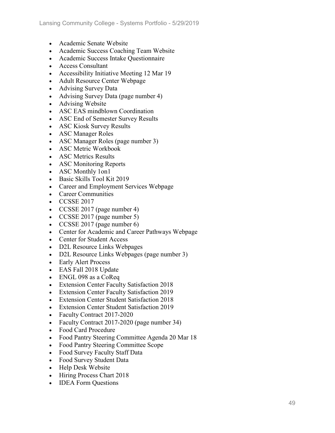- Academic Senate Website
- Academic Success Coaching Team Website
- Academic Success Intake Questionnaire
- Access Consultant
- Accessibility Initiative Meeting 12 Mar 19
- Adult Resource Center Webpage
- Advising Survey Data
- Advising Survey Data (page number 4)
- Advising Website
- ASC EAS mindblown Coordination
- ASC End of Semester Survey Results
- ASC Kiosk Survey Results
- ASC Manager Roles
- ASC Manager Roles (page number 3)
- ASC Metric Workbook
- ASC Metrics Results
- ASC Monitoring Reports
- ASC Monthly 1on1
- Basic Skills Tool Kit 2019
- Career and Employment Services Webpage
- Career Communities
- CCSSE 2017
- CCSSE 2017 (page number 4)
- CCSSE 2017 (page number 5)
- CCSSE 2017 (page number 6)
- Center for Academic and Career Pathways Webpage
- Center for Student Access
- D2L Resource Links Webpages
- D2L Resource Links Webpages (page number 3)
- Early Alert Process
- EAS Fall 2018 Update
- ENGL 098 as a CoReq
- Extension Center Faculty Satisfaction 2018
- Extension Center Faculty Satisfaction 2019
- Extension Center Student Satisfaction 2018
- Extension Center Student Satisfaction 2019
- Faculty Contract 2017-2020
- Faculty Contract 2017-2020 (page number 34)
- Food Card Procedure
- Food Pantry Steering Committee Agenda 20 Mar 18
- Food Pantry Steering Committee Scope
- Food Survey Faculty Staff Data
- Food Survey Student Data
- Help Desk Website
- Hiring Process Chart 2018
- IDEA Form Questions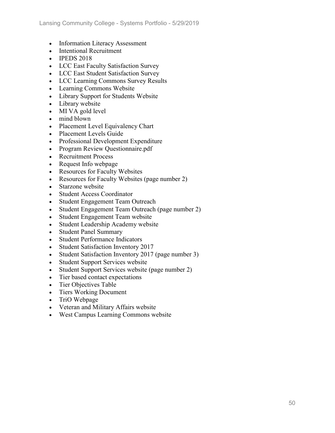- Information Literacy Assessment
- Intentional Recruitment
- **IPEDS 2018**
- LCC East Faculty Satisfaction Survey
- LCC East Student Satisfaction Survey
- LCC Learning Commons Survey Results
- Learning Commons Website
- Library Support for Students Website
- Library website
- MI VA gold level
- mind blown
- Placement Level Equivalency Chart
- Placement Levels Guide
- Professional Development Expenditure
- Program Review Questionnaire.pdf
- Recruitment Process
- Request Info webpage
- Resources for Faculty Websites
- Resources for Faculty Websites (page number 2)
- Starzone website
- Student Access Coordinator
- Student Engagement Team Outreach
- Student Engagement Team Outreach (page number 2)
- Student Engagement Team website
- Student Leadership Academy website
- Student Panel Summary
- Student Performance Indicators
- Student Satisfaction Inventory 2017
- Student Satisfaction Inventory 2017 (page number 3)
- Student Support Services website
- Student Support Services website (page number 2)
- Tier based contact expectations
- Tier Objectives Table
- Tiers Working Document
- TriO Webpage
- Veteran and Military Affairs website
- West Campus Learning Commons website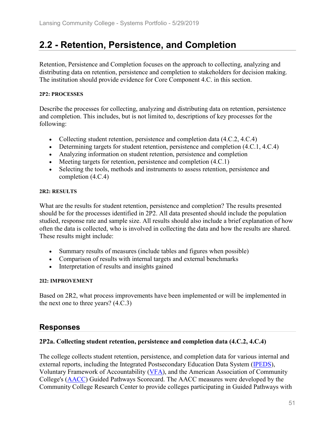# **2.2 - Retention, Persistence, and Completion**

Retention, Persistence and Completion focuses on the approach to collecting, analyzing and distributing data on retention, persistence and completion to stakeholders for decision making. The institution should provide evidence for Core Component 4.C. in this section.

#### **2P2: PROCESSES**

Describe the processes for collecting, analyzing and distributing data on retention, persistence and completion. This includes, but is not limited to, descriptions of key processes for the following:

- Collecting student retention, persistence and completion data  $(4.C.2, 4.C.4)$
- Determining targets for student retention, persistence and completion  $(4.C.1, 4.C.4)$
- Analyzing information on student retention, persistence and completion
- Meeting targets for retention, persistence and completion  $(4.C.1)$
- Selecting the tools, methods and instruments to assess retention, persistence and completion (4.C.4)

#### **2R2: RESULTS**

What are the results for student retention, persistence and completion? The results presented should be for the processes identified in 2P2. All data presented should include the population studied, response rate and sample size. All results should also include a brief explanation of how often the data is collected, who is involved in collecting the data and how the results are shared. These results might include:

- Summary results of measures (include tables and figures when possible)
- Comparison of results with internal targets and external benchmarks
- Interpretation of results and insights gained

#### **2I2: IMPROVEMENT**

Based on 2R2, what process improvements have been implemented or will be implemented in the next one to three years? (4.C.3)

## **Responses**

#### **2P2a. Collecting student retention, persistence and completion data (4.C.2, 4.C.4)**

The college collects student retention, persistence, and completion data for various internal and external reports, including the Integrated Postsecondary Education Data System (IPEDS), Voluntary Framework of Accountability (VFA), and the American Association of Community College's (AACC) Guided Pathways Scorecard. The AACC measures were developed by the Community College Research Center to provide colleges participating in Guided Pathways with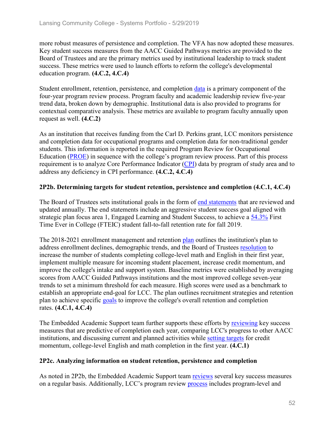more robust measures of persistence and completion. The VFA has now adopted these measures. Key student success measures from the AACC Guided Pathways metrics are provided to the Board of Trustees and are the primary metrics used by institutional leadership to track student success. These metrics were used to launch efforts to reform the college's developmental education program. **(4.C.2, 4.C.4)**

Student enrollment, retention, persistence, and completion data is a primary component of the four-year program review process. Program faculty and academic leadership review five-year trend data, broken down by demographic. Institutional data is also provided to programs for contextual comparative analysis. These metrics are available to program faculty annually upon request as well. **(4.C.2)**

As an institution that receives funding from the Carl D. Perkins grant, LCC monitors persistence and completion data for occupational programs and completion data for non-traditional gender students. This information is reported in the required Program Review for Occupational Education (PROE) in sequence with the college's program review process. Part of this process requirement is to analyze Core Performance Indicator (CPI) data by program of study area and to address any deficiency in CPI performance. **(4.C.2, 4.C.4)**

### **2P2b. Determining targets for student retention, persistence and completion (4.C.1, 4.C.4)**

The Board of Trustees sets institutional goals in the form of end statements that are reviewed and updated annually. The end statements include an aggressive student success goal aligned with strategic plan focus area 1, Engaged Learning and Student Success, to achieve a 54.3% First Time Ever in College (FTEIC) student fall-to-fall retention rate for fall 2019.

The 2018-2021 enrollment management and retention plan outlines the institution's plan to address enrollment declines, demographic trends, and the Board of Trustees resolution to increase the number of students completing college-level math and English in their first year, implement multiple measure for incoming student placement, increase credit momentum, and improve the college's intake and support system. Baseline metrics were established by averaging scores from AACC Guided Pathways institutions and the most improved college seven-year trends to set a minimum threshold for each measure. High scores were used as a benchmark to establish an appropriate end-goal for LCC. The plan outlines recruitment strategies and retention plan to achieve specific goals to improve the college's overall retention and completion rates. **(4.C.1, 4.C.4)**

The Embedded Academic Support team further supports these efforts by reviewing key success measures that are predictive of completion each year, comparing LCC's progress to other AACC institutions, and discussing current and planned activities while setting targets for credit momentum, college-level English and math completion in the first year. **(4.C.1)**

#### **2P2c. Analyzing information on student retention, persistence and completion**

As noted in 2P2b, the Embedded Academic Support team reviews several key success measures on a regular basis. Additionally, LCC's program review process includes program-level and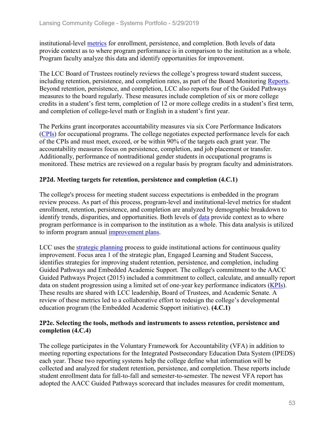institutional-level metrics for enrollment, persistence, and completion. Both levels of data provide context as to where program performance is in comparison to the institution as a whole. Program faculty analyze this data and identify opportunities for improvement.

The LCC Board of Trustees routinely reviews the college's progress toward student success, including retention, persistence, and completion rates, as part of the Board Monitoring Reports. Beyond retention, persistence, and completion, LCC also reports four of the Guided Pathways measures to the board regularly. These measures include completion of six or more college credits in a student's first term, completion of 12 or more college credits in a student's first term, and completion of college-level math or English in a student's first year.

The Perkins grant incorporates accountability measures via six Core Performance Indicators (CPIs) for occupational programs. The college negotiates expected performance levels for each of the CPIs and must meet, exceed, or be within 90% of the targets each grant year. The accountability measures focus on persistence, completion, and job placement or transfer. Additionally, performance of nontraditional gender students in occupational programs is monitored. These metrics are reviewed on a regular basis by program faculty and administrators.

### **2P2d. Meeting targets for retention, persistence and completion (4.C.1)**

The college's process for meeting student success expectations is embedded in the program review process. As part of this process, program-level and institutional-level metrics for student enrollment, retention, persistence, and completion are analyzed by demographic breakdown to identify trends, disparities, and opportunities. Both levels of data provide context as to where program performance is in comparison to the institution as a whole. This data analysis is utilized to inform program annual improvement plans.

LCC uses the strategic planning process to guide institutional actions for continuous quality improvement. Focus area 1 of the strategic plan, Engaged Learning and Student Success, identifies strategies for improving student retention, persistence, and completion, including Guided Pathways and Embedded Academic Support. The college's commitment to the AACC Guided Pathways Project (2015) included a commitment to collect, calculate, and annually report data on student progression using a limited set of one-year key performance indicators (KPIs). These results are shared with LCC leadership, Board of Trustees, and Academic Senate. A review of these metrics led to a collaborative effort to redesign the college's developmental education program (the Embedded Academic Support initiative). **(4.C.1)**

### **2P2e. Selecting the tools, methods and instruments to assess retention, persistence and completion (4.C.4)**

The college participates in the Voluntary Framework for Accountability (VFA) in addition to meeting reporting expectations for the Integrated Postsecondary Education Data System (IPEDS) each year. These two reporting systems help the college define what information will be collected and analyzed for student retention, persistence, and completion. These reports include student enrollment data for fall-to-fall and semester-to-semester. The newest VFA report has adopted the AACC Guided Pathways scorecard that includes measures for credit momentum,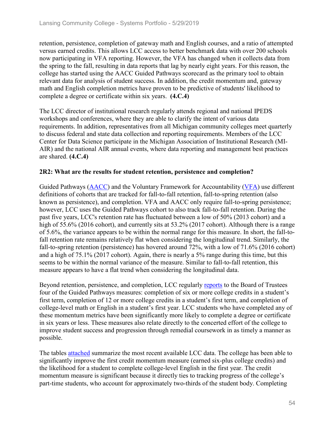retention, persistence, completion of gateway math and English courses, and a ratio of attempted versus earned credits. This allows LCC access to better benchmark data with over 200 schools now participating in VFA reporting. However, the VFA has changed when it collects data from the spring to the fall, resulting in data reports that lag by nearly eight years. For this reason, the college has started using the AACC Guided Pathways scorecard as the primary tool to obtain relevant data for analysis of student success. In addition, the credit momentum and, gateway math and English completion metrics have proven to be predictive of students' likelihood to complete a degree or certificate within six years. **(4.C.4)**

The LCC director of institutional research regularly attends regional and national IPEDS workshops and conferences, where they are able to clarify the intent of various data requirements. In addition, representatives from all Michigan community colleges meet quarterly to discuss federal and state data collection and reporting requirements. Members of the LCC Center for Data Science participate in the Michigan Association of Institutional Research (MI-AIR) and the national AIR annual events, where data reporting and management best practices are shared. **(4.C.4)**

### **2R2: What are the results for student retention, persistence and completion?**

Guided Pathways (AACC) and the Voluntary Framework for Accountability (VFA) use different definitions of cohorts that are tracked for fall-to-fall retention, fall-to-spring retention (also known as persistence), and completion. VFA and AACC only require fall-to-spring persistence; however, LCC uses the Guided Pathways cohort to also track fall-to-fall retention. During the past five years, LCC's retention rate has fluctuated between a low of 50% (2013 cohort) and a high of 55.6% (2016 cohort), and currently sits at 53.2% (2017 cohort). Although there is a range of 5.6%, the variance appears to be within the normal range for this measure. In short, the fall-tofall retention rate remains relatively flat when considering the longitudinal trend. Similarly, the fall-to-spring retention (persistence) has hovered around 72%, with a low of 71.6% (2016 cohort) and a high of 75.1% (2017 cohort). Again, there is nearly a 5% range during this time, but this seems to be within the normal variance of the measure. Similar to fall-to-fall retention, this measure appears to have a flat trend when considering the longitudinal data.

Beyond retention, persistence, and completion, LCC regularly reports to the Board of Trustees four of the Guided Pathways measures: completion of six or more college credits in a student's first term, completion of 12 or more college credits in a student's first term, and completion of college-level math or English in a student's first year. LCC students who have completed any of these momentum metrics have been significantly more likely to complete a degree or certificate in six years or less. These measures also relate directly to the concerted effort of the college to improve student success and progression through remedial coursework in as timely a manner as possible.

The tables attached summarize the most recent available LCC data. The college has been able to significantly improve the first credit momentum measure (earned six-plus college credits) and the likelihood for a student to complete college-level English in the first year. The credit momentum measure is significant because it directly ties to tracking progress of the college's part-time students, who account for approximately two-thirds of the student body. Completing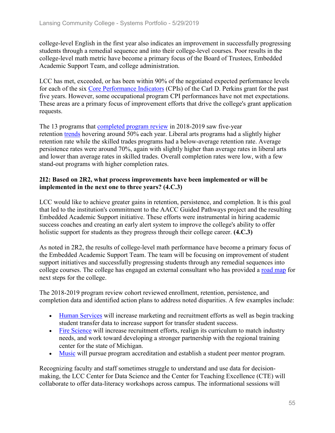college-level English in the first year also indicates an improvement in successfully progressing students through a remedial sequence and into their college-level courses. Poor results in the college-level math metric have become a primary focus of the Board of Trustees, Embedded Academic Support Team, and college administration.

LCC has met, exceeded, or has been within 90% of the negotiated expected performance levels for each of the six Core Performance Indicators (CPIs) of the Carl D. Perkins grant for the past five years. However, some occupational program CPI performances have not met expectations. These areas are a primary focus of improvement efforts that drive the college's grant application requests.

The 13 programs that completed program review in 2018-2019 saw five-year retention trends hovering around 50% each year. Liberal arts programs had a slightly higher retention rate while the skilled trades programs had a below-average retention rate. Average persistence rates were around 70%, again with slightly higher than average rates in liberal arts and lower than average rates in skilled trades. Overall completion rates were low, with a few stand-out programs with higher completion rates.

#### **2I2: Based on 2R2, what process improvements have been implemented or will be implemented in the next one to three years? (4.C.3)**

LCC would like to achieve greater gains in retention, persistence, and completion. It is this goal that led to the institution's commitment to the AACC Guided Pathways project and the resulting Embedded Academic Support initiative. These efforts were instrumental in hiring academic success coaches and creating an early alert system to improve the college's ability to offer holistic support for students as they progress through their college career. **(4.C.3)**

As noted in 2R2, the results of college-level math performance have become a primary focus of the Embedded Academic Support Team. The team will be focusing on improvement of student support initiatives and successfully progressing students through any remedial sequences into college courses. The college has engaged an external consultant who has provided a road map for next steps for the college.

The 2018-2019 program review cohort reviewed enrollment, retention, persistence, and completion data and identified action plans to address noted disparities. A few examples include:

- Human Services will increase marketing and recruitment efforts as well as begin tracking student transfer data to increase support for transfer student success.
- Fire Science will increase recruitment efforts, realign its curriculum to match industry needs, and work toward developing a stronger partnership with the regional training center for the state of Michigan.
- Music will pursue program accreditation and establish a student peer mentor program.

Recognizing faculty and staff sometimes struggle to understand and use data for decisionmaking, the LCC Center for Data Science and the Center for Teaching Excellence (CTE) will collaborate to offer data-literacy workshops across campus. The informational sessions will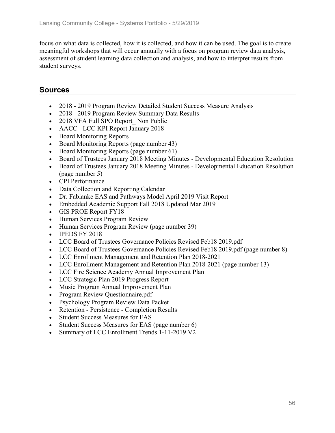focus on what data is collected, how it is collected, and how it can be used. The goal is to create meaningful workshops that will occur annually with a focus on program review data analysis, assessment of student learning data collection and analysis, and how to interpret results from student surveys.

## **Sources**

- 2018 2019 Program Review Detailed Student Success Measure Analysis
- 2018 2019 Program Review Summary Data Results
- 2018 VFA Full SPO Report Non Public
- AACC LCC KPI Report January 2018
- Board Monitoring Reports
- Board Monitoring Reports (page number 43)
- Board Monitoring Reports (page number 61)
- Board of Trustees January 2018 Meeting Minutes Developmental Education Resolution
- Board of Trustees January 2018 Meeting Minutes Developmental Education Resolution (page number 5)
- CPI Performance
- Data Collection and Reporting Calendar
- Dr. Fabianke EAS and Pathways Model April 2019 Visit Report
- Embedded Academic Support Fall 2018 Updated Mar 2019
- GIS PROE Report FY18
- Human Services Program Review
- Human Services Program Review (page number 39)
- IPEDS FY 2018
- LCC Board of Trustees Governance Policies Revised Feb18 2019.pdf
- LCC Board of Trustees Governance Policies Revised Feb18 2019.pdf (page number 8)
- LCC Enrollment Management and Retention Plan 2018-2021
- LCC Enrollment Management and Retention Plan 2018-2021 (page number 13)
- LCC Fire Science Academy Annual Improvement Plan
- LCC Strategic Plan 2019 Progress Report
- Music Program Annual Improvement Plan
- Program Review Questionnaire.pdf
- Psychology Program Review Data Packet
- Retention Persistence Completion Results
- Student Success Measures for EAS
- Student Success Measures for EAS (page number 6)
- Summary of LCC Enrollment Trends 1-11-2019 V2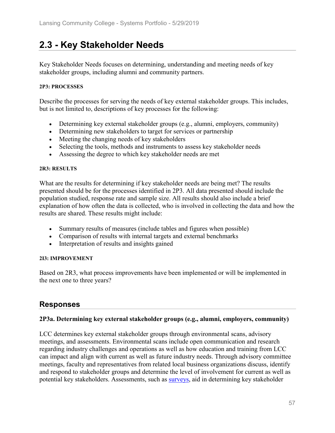# **2.3 - Key Stakeholder Needs**

Key Stakeholder Needs focuses on determining, understanding and meeting needs of key stakeholder groups, including alumni and community partners.

#### **2P3: PROCESSES**

Describe the processes for serving the needs of key external stakeholder groups. This includes, but is not limited to, descriptions of key processes for the following:

- Determining key external stakeholder groups (e.g., alumni, employers, community)
- Determining new stakeholders to target for services or partnership
- Meeting the changing needs of key stakeholders
- Selecting the tools, methods and instruments to assess key stakeholder needs
- Assessing the degree to which key stakeholder needs are met

#### **2R3: RESULTS**

What are the results for determining if key stakeholder needs are being met? The results presented should be for the processes identified in 2P3. All data presented should include the population studied, response rate and sample size. All results should also include a brief explanation of how often the data is collected, who is involved in collecting the data and how the results are shared. These results might include:

- Summary results of measures (include tables and figures when possible)
- Comparison of results with internal targets and external benchmarks
- Interpretation of results and insights gained

#### **2I3: IMPROVEMENT**

Based on 2R3, what process improvements have been implemented or will be implemented in the next one to three years?

## **Responses**

#### **2P3a. Determining key external stakeholder groups (e.g., alumni, employers, community)**

LCC determines key external stakeholder groups through environmental scans, advisory meetings, and assessments. Environmental scans include open communication and research regarding industry challenges and operations as well as how education and training from LCC can impact and align with current as well as future industry needs. Through advisory committee meetings, faculty and representatives from related local business organizations discuss, identify and respond to stakeholder groups and determine the level of involvement for current as well as potential key stakeholders. Assessments, such as surveys, aid in determining key stakeholder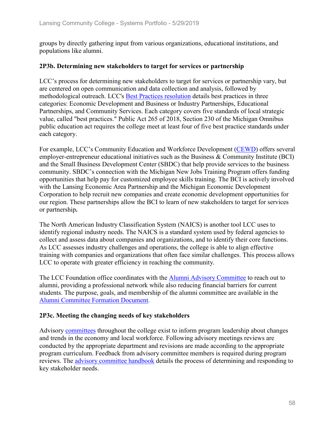groups by directly gathering input from various organizations, educational institutions, and populations like alumni.

#### **2P3b. Determining new stakeholders to target for services or partnership**

LCC's process for determining new stakeholders to target for services or partnership vary, but are centered on open communication and data collection and analysis, followed by methodological outreach. LCC's Best Practices resolution details best practices in three categories: Economic Development and Business or Industry Partnerships, Educational Partnerships, and Community Services. Each category covers five standards of local strategic value, called "best practices." Public Act 265 of 2018, Section 230 of the Michigan Omnibus public education act requires the college meet at least four of five best practice standards under each category.

For example, LCC's Community Education and Workforce Development (CEWD) offers several employer-entrepreneur educational initiatives such as the Business & Community Institute (BCI) and the Small Business Development Center (SBDC) that help provide services to the business community. SBDC's connection with the Michigan New Jobs Training Program offers funding opportunities that help pay for customized employee skills training. The BCI is actively involved with the Lansing Economic Area Partnership and the Michigan Economic Development Corporation to help recruit new companies and create economic development opportunities for our region. These partnerships allow the BCI to learn of new stakeholders to target for services or partnership**.**

The North American Industry Classification System (NAICS) is another tool LCC uses to identify regional industry needs. The NAICS is a standard system used by federal agencies to collect and assess data about companies and organizations, and to identify their core functions. As LCC assesses industry challenges and operations, the college is able to align effective training with companies and organizations that often face similar challenges. This process allows LCC to operate with greater efficiency in reaching the community.

The LCC Foundation office coordinates with the Alumni Advisory Committee to reach out to alumni, providing a professional network while also reducing financial barriers for current students. The purpose, goals, and membership of the alumni committee are available in the Alumni Committee Formation Document.

#### **2P3c. Meeting the changing needs of key stakeholders**

Advisory committees throughout the college exist to inform program leadership about changes and trends in the economy and local workforce. Following advisory meetings reviews are conducted by the appropriate department and revisions are made according to the appropriate program curriculum. Feedback from advisory committee members is required during program reviews. The advisory committee handbook details the process of determining and responding to key stakeholder needs.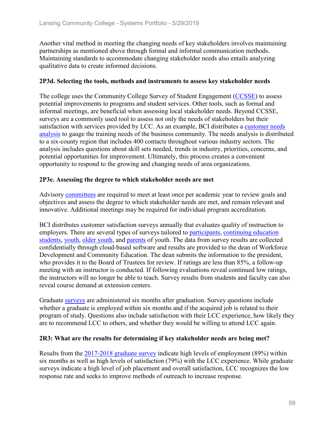Another vital method in meeting the changing needs of key stakeholders involves maintaining partnerships as mentioned above through formal and informal communication methods. Maintaining standards to accommodate changing stakeholder needs also entails analyzing qualitative data to create informed decisions.

#### **2P3d. Selecting the tools, methods and instruments to assess key stakeholder needs**

The college uses the Community College Survey of Student Engagement (CCSSE) to assess potential improvements to programs and student services. Other tools, such as formal and informal meetings, are beneficial when assessing local stakeholder needs. Beyond CCSSE, surveys are a commonly used tool to assess not only the needs of stakeholders but their satisfaction with services provided by LCC. As an example, BCI distributes a customer needs analysis to gauge the training needs of the business community. The needs analysis is distributed to a six-county region that includes 400 contacts throughout various industry sectors. The analysis includes questions about skill sets needed, trends in industry, priorities, concerns, and potential opportunities for improvement. Ultimately, this process creates a convenient opportunity to respond to the growing and changing needs of area organizations.

#### **2P3e. Assessing the degree to which stakeholder needs are met**

Advisory committees are required to meet at least once per academic year to review goals and objectives and assess the degree to which stakeholder needs are met, and remain relevant and innovative. Additional meetings may be required for individual program accreditation.

BCI distributes customer satisfaction surveys annually that evaluates quality of instruction to employers. There are several types of surveys tailored to participants, continuing education students, youth, older youth, and parents of youth. The data from survey results are collected confidentially through cloud-based software and results are provided to the dean of Workforce Development and Community Education. The dean submits the information to the president, who provides it to the Board of Trustees for review. If ratings are less than 85%, a follow-up meeting with an instructor is conducted. If following evaluations reveal continued low ratings, the instructors will no longer be able to teach. Survey results from students and faculty can also reveal course demand at extension centers.

Graduate surveys are administered six months after graduation. Survey questions include whether a graduate is employed within six months and if the acquired job is related to their program of study. Questions also include satisfaction with their LCC experience, how likely they are to recommend LCC to others, and whether they would be willing to attend LCC again.

#### **2R3: What are the results for determining if key stakeholder needs are being met?**

Results from the 2017-2018 graduate survey indicate high levels of employment (89%) within six months as well as high levels of satisfaction (79%) with the LCC experience. While graduate surveys indicate a high level of job placement and overall satisfaction, LCC recognizes the low response rate and seeks to improve methods of outreach to increase response.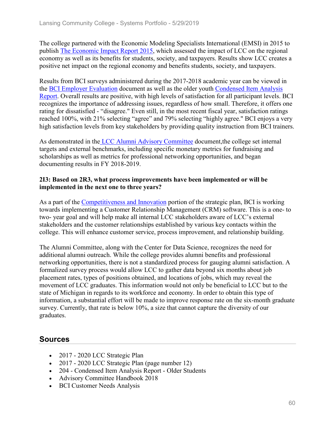The college partnered with the Economic Modeling Specialists International (EMSI) in 2015 to publish The Economic Impact Report 2015, which assessed the impact of LCC on the regional economy as well as its benefits for students, society, and taxpayers. Results show LCC creates a positive net impact on the regional economy and benefits students, society, and taxpayers.

Results from BCI surveys administered during the 2017-2018 academic year can be viewed in the BCI Employer Evaluation document as well as the older youth Condensed Item Analysis Report. Overall results are positive, with high levels of satisfaction for all participant levels. BCI recognizes the importance of addressing issues, regardless of how small. Therefore, it offers one rating for dissatisfied - "disagree." Even still, in the most recent fiscal year, satisfaction ratings reached 100%, with 21% selecting "agree" and 79% selecting "highly agree." BCI enjoys a very high satisfaction levels from key stakeholders by providing quality instruction from BCI trainers.

As demonstrated in the LCC Alumni Advisory Committee document,the college set internal targets and external benchmarks, including specific monetary metrics for fundraising and scholarships as well as metrics for professional networking opportunities, and began documenting results in FY 2018-2019.

#### **2I3: Based on 2R3, what process improvements have been implemented or will be implemented in the next one to three years?**

As a part of the Competitiveness and Innovation portion of the strategic plan, BCI is working towards implementing a Customer Relationship Management (CRM) software. This is a one- to two- year goal and will help make all internal LCC stakeholders aware of LCC's external stakeholders and the customer relationships established by various key contacts within the college. This will enhance customer service, process improvement, and relationship building.

The Alumni Committee, along with the Center for Data Science, recognizes the need for additional alumni outreach. While the college provides alumni benefits and professional networking opportunities, there is not a standardized process for gauging alumni satisfaction. A formalized survey process would allow LCC to gather data beyond six months about job placement rates, types of positions obtained, and locations of jobs, which may reveal the movement of LCC graduates. This information would not only be beneficial to LCC but to the state of Michigan in regards to its workforce and economy. In order to obtain this type of information, a substantial effort will be made to improve response rate on the six-month graduate survey. Currently, that rate is below 10%, a size that cannot capture the diversity of our graduates.

## **Sources**

- 2017 2020 LCC Strategic Plan
- 2017 2020 LCC Strategic Plan (page number 12)
- 204 Condensed Item Analysis Report Older Students
- Advisory Committee Handbook 2018
- BCI Customer Needs Analysis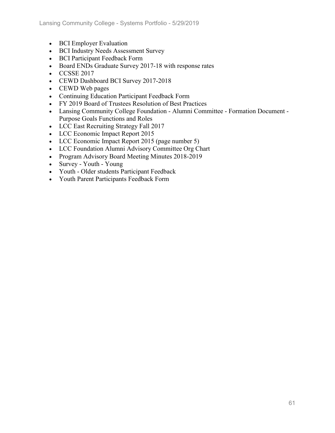- BCI Employer Evaluation
- BCI Industry Needs Assessment Survey
- BCI Participant Feedback Form
- Board ENDs Graduate Survey 2017-18 with response rates
- CCSSE 2017
- CEWD Dashboard BCI Survey 2017-2018
- CEWD Web pages
- Continuing Education Participant Feedback Form
- FY 2019 Board of Trustees Resolution of Best Practices
- Lansing Community College Foundation Alumni Committee Formation Document Purpose Goals Functions and Roles
- LCC East Recruiting Strategy Fall 2017
- LCC Economic Impact Report 2015
- LCC Economic Impact Report 2015 (page number 5)
- LCC Foundation Alumni Advisory Committee Org Chart
- Program Advisory Board Meeting Minutes 2018-2019
- Survey Youth Young
- Youth Older students Participant Feedback
- Youth Parent Participants Feedback Form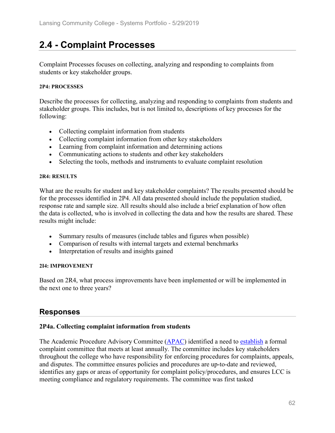# **2.4 - Complaint Processes**

Complaint Processes focuses on collecting, analyzing and responding to complaints from students or key stakeholder groups.

#### **2P4: PROCESSES**

Describe the processes for collecting, analyzing and responding to complaints from students and stakeholder groups. This includes, but is not limited to, descriptions of key processes for the following:

- Collecting complaint information from students
- Collecting complaint information from other key stakeholders
- Learning from complaint information and determining actions
- Communicating actions to students and other key stakeholders
- Selecting the tools, methods and instruments to evaluate complaint resolution

#### **2R4: RESULTS**

What are the results for student and key stakeholder complaints? The results presented should be for the processes identified in 2P4. All data presented should include the population studied, response rate and sample size. All results should also include a brief explanation of how often the data is collected, who is involved in collecting the data and how the results are shared. These results might include:

- Summary results of measures (include tables and figures when possible)
- Comparison of results with internal targets and external benchmarks
- Interpretation of results and insights gained

#### **2I4: IMPROVEMENT**

Based on 2R4, what process improvements have been implemented or will be implemented in the next one to three years?

## **Responses**

#### **2P4a. Collecting complaint information from students**

The Academic Procedure Advisory Committee (APAC) identified a need to establish a formal complaint committee that meets at least annually. The committee includes key stakeholders throughout the college who have responsibility for enforcing procedures for complaints, appeals, and disputes. The committee ensures policies and procedures are up-to-date and reviewed, identifies any gaps or areas of opportunity for complaint policy/procedures, and ensures LCC is meeting compliance and regulatory requirements. The committee was first tasked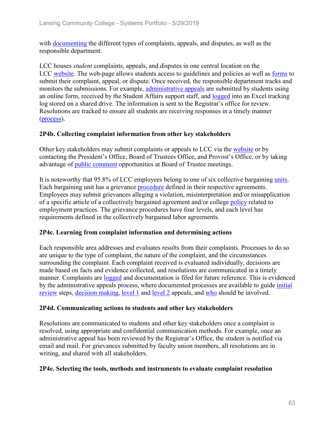with documenting the different types of complaints, appeals, and disputes, as well as the responsible department.

LCC houses *student* complaints, appeals, and disputes in one central location on the LCC website. The web-page allows students access to guidelines and policies as well as forms to submit their complaint, appeal, or dispute. Once received, the responsible department tracks and monitors the submissions. For example, administrative appeals are submitted by students using an online form, received by the Student Affairs support staff, and logged into an Excel tracking log stored on a shared drive. The information is sent to the Registrar's office for review. Resolutions are tracked to ensure all students are receiving responses in a timely manner (process).

#### **2P4b. Collecting complaint information from other key stakeholders**

Other key stakeholders may submit complaints or appeals to LCC via the website or by contacting the President's Office, Board of Trustees Office, and Provost's Office, or by taking advantage of public comment opportunities at Board of Trustee meetings.

It is noteworthy that 95.8% of LCC employees belong to one of six collective bargaining units. Each bargaining unit has a grievance procedure defined in their respective agreements. Employees may submit grievances alleging a violation, misinterpretation and/or misapplication of a specific article of a collectively bargained agreement and/or college policy related to employment practices. The grievance procedures have four levels, and each level has requirements defined in the collectively bargained labor agreements.

#### **2P4c. Learning from complaint information and determining actions**

Each responsible area addresses and evaluates results from their complaints. Processes to do so are unique to the type of complaint, the nature of the complaint, and the circumstances surrounding the complaint. Each complaint received is evaluated individually, decisions are made based on facts and evidence collected, and resolutions are communicated in a timely manner. Complaints are logged and documentation is filed for future reference. This is evidenced by the administrative appeals process, where documented processes are available to guide *initial* review steps, decision making, level 1 and level 2 appeals, and who should be involved.

#### **2P4d. Communicating actions to students and other key stakeholders**

Resolutions are communicated to students and other key stakeholders once a complaint is resolved, using appropriate and confidential communication methods. For example, once an administrative appeal has been reviewed by the Registrar's Office, the student is notified via email and mail. For grievances submitted by faculty union members, all resolutions are in writing, and shared with all stakeholders.

#### **2P4e. Selecting the tools, methods and instruments to evaluate complaint resolution**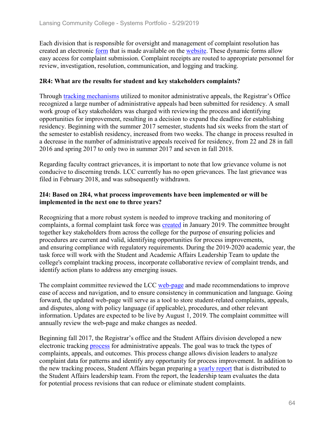Each division that is responsible for oversight and management of complaint resolution has created an electronic <u>form</u> that is made available on the website. These dynamic forms allow easy access for complaint submission. Complaint receipts are routed to appropriate personnel for review, investigation, resolution, communication, and logging and tracking.

#### **2R4: What are the results for student and key stakeholders complaints?**

Through tracking mechanisms utilized to monitor administrative appeals, the Registrar's Office recognized a large number of administrative appeals had been submitted for residency. A small work group of key stakeholders was charged with reviewing the process and identifying opportunities for improvement, resulting in a decision to expand the deadline for establishing residency. Beginning with the summer 2017 semester, students had six weeks from the start of the semester to establish residency, increased from two weeks. The change in process resulted in a decrease in the number of administrative appeals received for residency, from 22 and 28 in fall 2016 and spring 2017 to only two in summer 2017 and seven in fall 2018.

Regarding faculty contract grievances, it is important to note that low grievance volume is not conducive to discerning trends. LCC currently has no open grievances. The last grievance was filed in February 2018, and was subsequently withdrawn.

#### **2I4: Based on 2R4, what process improvements have been implemented or will be implemented in the next one to three years?**

Recognizing that a more robust system is needed to improve tracking and monitoring of complaints, a formal complaint task force was created in January 2019. The committee brought together key stakeholders from across the college for the purpose of ensuring policies and procedures are current and valid, identifying opportunities for process improvements, and ensuring compliance with regulatory requirements. During the 2019-2020 academic year, the task force will work with the Student and Academic Affairs Leadership Team to update the college's complaint tracking process, incorporate collaborative review of complaint trends, and identify action plans to address any emerging issues.

The complaint committee reviewed the LCC web-page and made recommendations to improve ease of access and navigation, and to ensure consistency in communication and language. Going forward, the updated web-page will serve as a tool to store student-related complaints, appeals, and disputes, along with policy language (if applicable), procedures, and other relevant information. Updates are expected to be live by August 1, 2019. The complaint committee will annually review the web-page and make changes as needed.

Beginning fall 2017, the Registrar's office and the Student Affairs division developed a new electronic tracking process for administrative appeals. The goal was to track the types of complaints, appeals, and outcomes. This process change allows division leaders to analyze complaint data for patterns and identify any opportunity for process improvement. In addition to the new tracking process, Student Affairs began preparing a yearly report that is distributed to the Student Affairs leadership team. From the report, the leadership team evaluates the data for potential process revisions that can reduce or eliminate student complaints.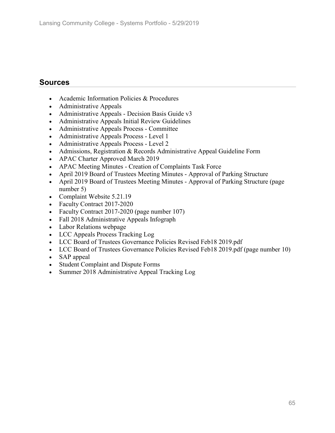## **Sources**

- Academic Information Policies & Procedures
- Administrative Appeals
- Administrative Appeals Decision Basis Guide v3
- Administrative Appeals Initial Review Guidelines
- Administrative Appeals Process Committee
- Administrative Appeals Process Level 1
- Administrative Appeals Process Level 2
- Admissions, Registration & Records Administrative Appeal Guideline Form
- APAC Charter Approved March 2019
- APAC Meeting Minutes Creation of Complaints Task Force
- April 2019 Board of Trustees Meeting Minutes Approval of Parking Structure
- April 2019 Board of Trustees Meeting Minutes Approval of Parking Structure (page number 5)
- Complaint Website 5.21.19
- Faculty Contract 2017-2020
- Faculty Contract 2017-2020 (page number 107)
- Fall 2018 Administrative Appeals Infograph
- Labor Relations webpage
- LCC Appeals Process Tracking Log
- LCC Board of Trustees Governance Policies Revised Feb18 2019.pdf
- LCC Board of Trustees Governance Policies Revised Feb18 2019.pdf (page number 10)
- SAP appeal
- Student Complaint and Dispute Forms
- Summer 2018 Administrative Appeal Tracking Log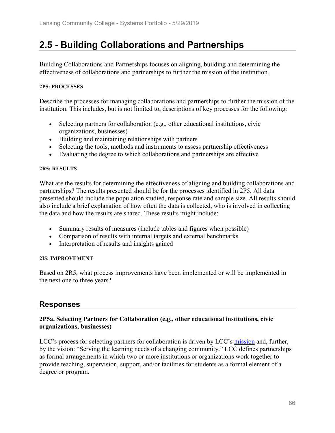# **2.5 - Building Collaborations and Partnerships**

Building Collaborations and Partnerships focuses on aligning, building and determining the effectiveness of collaborations and partnerships to further the mission of the institution.

#### **2P5: PROCESSES**

Describe the processes for managing collaborations and partnerships to further the mission of the institution. This includes, but is not limited to, descriptions of key processes for the following:

- Selecting partners for collaboration (e.g., other educational institutions, civic organizations, businesses)
- Building and maintaining relationships with partners
- Selecting the tools, methods and instruments to assess partnership effectiveness
- Evaluating the degree to which collaborations and partnerships are effective

#### **2R5: RESULTS**

What are the results for determining the effectiveness of aligning and building collaborations and partnerships? The results presented should be for the processes identified in 2P5. All data presented should include the population studied, response rate and sample size. All results should also include a brief explanation of how often the data is collected, who is involved in collecting the data and how the results are shared. These results might include:

- Summary results of measures (include tables and figures when possible)
- Comparison of results with internal targets and external benchmarks
- Interpretation of results and insights gained

#### **2I5: IMPROVEMENT**

Based on 2R5, what process improvements have been implemented or will be implemented in the next one to three years?

## **Responses**

#### **2P5a. Selecting Partners for Collaboration (e.g., other educational institutions, civic organizations, businesses)**

LCC's process for selecting partners for collaboration is driven by LCC's mission and, further, by the vision: "Serving the learning needs of a changing community." LCC defines partnerships as formal arrangements in which two or more institutions or organizations work together to provide teaching, supervision, support, and/or facilities for students as a formal element of a degree or program.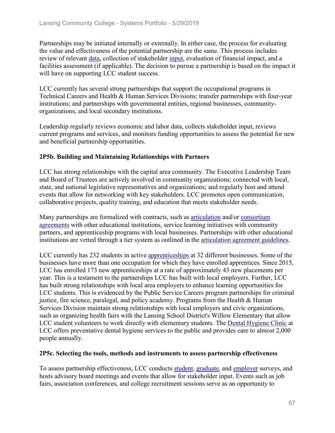Partnerships may be initiated internally or externally. In either case, the process for evaluating the value and effectiveness of the potential partnership are the same. This process includes review of relevant data, collection of stakeholder input, evaluation of financial impact, and a facilities assessment (if applicable). The decision to pursue a partnership is based on the impact it will have on supporting LCC student success.

LCC currently has several strong partnerships that support the occupational programs in Technical Careers and Health & Human Services Divisions; transfer partnerships with four-year institutions; and partnerships with governmental entities, regional businesses, communityorganizations, and local secondary institutions.

Leadership regularly reviews economic and labor data, collects stakeholder input, reviews current programs and services, and monitors funding opportunities to assess the potential for new and beneficial partnership opportunities.

### **2P5b. Building and Maintaining Relationships with Partners**

LCC has strong relationships with the capital area community. The Executive Leadership Team and Board of Trustees are actively involved in community organizations; connected with local, state, and national legislative representatives and organizations; and regularly host and attend events that allow for networking with key stakeholders. LCC promotes open communication, collaborative projects, quality training, and education that meets stakeholder needs.

Many partnerships are formalized with contracts, such as articulation and/or consortium agreements with other educational institutions, service learning initiatives with community partners, and apprenticeship programs with local businesses. Partnerships with other educational institutions are vetted through a tier system as outlined in the articulation agreement guidelines.

LCC currently has 232 students in active apprenticeships at 32 different businesses. Some of the businesses have more than one occupation for which they have enrolled apprentices. Since 2015, LCC has enrolled 173 new apprenticeships at a rate of approximately 43 new placements per year. This is a testament to the partnerships LCC has built with local employers. Further, LCC has built strong relationships with local area employers to enhance learning opportunities for LCC students. This is evidenced by the Public Service Careers program partnerships for criminal justice, fire science, paralegal, and policy academy. Programs from the Health & Human Services Division maintain strong relationships with local employers and civic organizations, such as organizing health fairs with the Lansing School District's Willow Elementary that allow LCC student volunteers to work directly with elementary students. The Dental Hygiene Clinic at LCC offers preventative dental hygiene services to the public and provides care to almost 2,000 people annually.

#### **2P5c. Selecting the tools, methods and instruments to assess partnership effectiveness**

To assess partnership effectiveness, LCC conducts student, graduate, and employer surveys, and hosts advisory board meetings and events that allow for stakeholder input. Events such as job fairs, association conferences, and college recruitment sessions serve as an opportunity to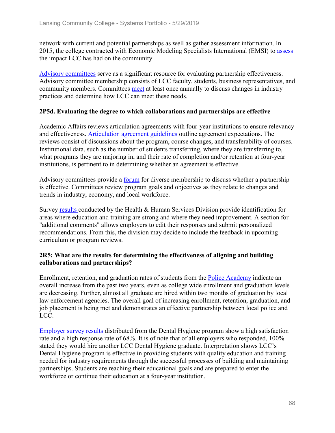network with current and potential partnerships as well as gather assessment information. In 2015, the college contracted with Economic Modeling Specialists International (EMSI) to assess the impact LCC has had on the community.

Advisory committees serve as a significant resource for evaluating partnership effectiveness. Advisory committee membership consists of LCC faculty, students, business representatives, and community members. Committees meet at least once annually to discuss changes in industry practices and determine how LCC can meet these needs.

#### **2P5d. Evaluating the degree to which collaborations and partnerships are effective**

Academic Affairs reviews articulation agreements with four-year institutions to ensure relevancy and effectiveness. Articulation agreement guidelines outline agreement expectations. The reviews consist of discussions about the program, course changes, and transferability of courses. Institutional data, such as the number of students transferring, where they are transferring to, what programs they are majoring in, and their rate of completion and/or retention at four-year institutions, is pertinent to in determining whether an agreement is effective.

Advisory committees provide a <u>forum</u> for diverse membership to discuss whether a partnership is effective. Committees review program goals and objectives as they relate to changes and trends in industry, economy, and local workforce.

Survey results conducted by the Health & Human Services Division provide identification for areas where education and training are strong and where they need improvement. A section for "additional comments" allows employers to edit their responses and submit personalized recommendations. From this, the division may decide to include the feedback in upcoming curriculum or program reviews.

#### **2R5: What are the results for determining the effectiveness of aligning and building collaborations and partnerships?**

Enrollment, retention, and graduation rates of students from the Police Academy indicate an overall increase from the past two years, even as college wide enrollment and graduation levels are decreasing. Further, almost all graduate are hired within two months of graduation by local law enforcement agencies. The overall goal of increasing enrollment, retention, graduation, and job placement is being met and demonstrates an effective partnership between local police and LCC.

Employer survey results distributed from the Dental Hygiene program show a high satisfaction rate and a high response rate of 68%. It is of note that of all employers who responded, 100% stated they would hire another LCC Dental Hygiene graduate. Interpretation shows LCC's Dental Hygiene program is effective in providing students with quality education and training needed for industry requirements through the successful processes of building and maintaining partnerships. Students are reaching their educational goals and are prepared to enter the workforce or continue their education at a four-year institution.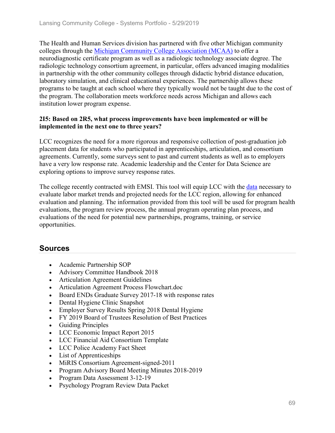The Health and Human Services division has partnered with five other Michigan community colleges through the Michigan Community College Association (MCAA) to offer a neurodiagnostic certificate program as well as a radiologic technology associate degree. The radiologic technology consortium agreement, in particular, offers advanced imaging modalities in partnership with the other community colleges through didactic hybrid distance education, laboratory simulation, and clinical educational experiences. The partnership allows these programs to be taught at each school where they typically would not be taught due to the cost of the program. The collaboration meets workforce needs across Michigan and allows each institution lower program expense.

#### **2I5: Based on 2R5, what process improvements have been implemented or will be implemented in the next one to three years?**

LCC recognizes the need for a more rigorous and responsive collection of post-graduation job placement data for students who participated in apprenticeships, articulation, and consortium agreements. Currently, some surveys sent to past and current students as well as to employers have a very low response rate. Academic leadership and the Center for Data Science are exploring options to improve survey response rates.

The college recently contracted with EMSI. This tool will equip LCC with the data necessary to evaluate labor market trends and projected needs for the LCC region, allowing for enhanced evaluation and planning. The information provided from this tool will be used for program health evaluations, the program review process, the annual program operating plan process, and evaluations of the need for potential new partnerships, programs, training, or service opportunities.

## **Sources**

- Academic Partnership SOP
- Advisory Committee Handbook 2018
- Articulation Agreement Guidelines
- Articulation Agreement Process Flowchart.doc
- Board ENDs Graduate Survey 2017-18 with response rates
- Dental Hygiene Clinic Snapshot
- Employer Survey Results Spring 2018 Dental Hygiene
- FY 2019 Board of Trustees Resolution of Best Practices
- Guiding Principles
- LCC Economic Impact Report 2015
- LCC Financial Aid Consortium Template
- LCC Police Academy Fact Sheet
- List of Apprenticeships
- MiRIS Consortium Agreement-signed-2011
- Program Advisory Board Meeting Minutes 2018-2019
- Program Data Assessment 3-12-19
- Psychology Program Review Data Packet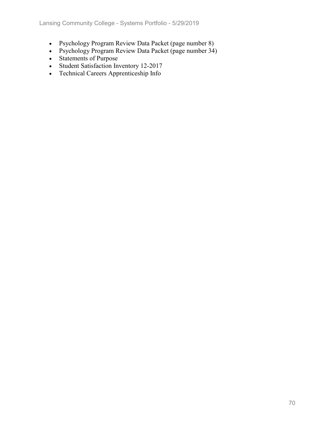- Psychology Program Review Data Packet (page number 8)
- Psychology Program Review Data Packet (page number 34)
- Statements of Purpose
- Student Satisfaction Inventory 12-2017
- Technical Careers Apprenticeship Info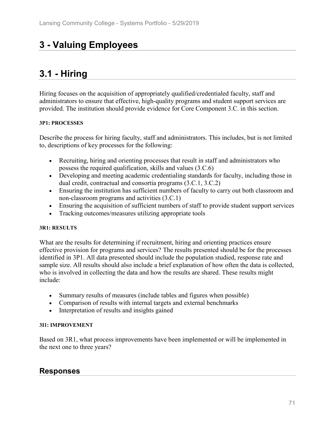# **3 - Valuing Employees**

# **3.1 - Hiring**

Hiring focuses on the acquisition of appropriately qualified/credentialed faculty, staff and administrators to ensure that effective, high-quality programs and student support services are provided. The institution should provide evidence for Core Component 3.C. in this section.

#### **3P1: PROCESSES**

Describe the process for hiring faculty, staff and administrators. This includes, but is not limited to, descriptions of key processes for the following:

- Recruiting, hiring and orienting processes that result in staff and administrators who possess the required qualification, skills and values (3.C.6)
- Developing and meeting academic credentialing standards for faculty, including those in dual credit, contractual and consortia programs (3.C.1, 3.C.2)
- Ensuring the institution has sufficient numbers of faculty to carry out both classroom and non-classroom programs and activities (3.C.1)
- Ensuring the acquisition of sufficient numbers of staff to provide student support services
- Tracking outcomes/measures utilizing appropriate tools

#### **3R1: RESULTS**

What are the results for determining if recruitment, hiring and orienting practices ensure effective provision for programs and services? The results presented should be for the processes identified in 3P1. All data presented should include the population studied, response rate and sample size. All results should also include a brief explanation of how often the data is collected, who is involved in collecting the data and how the results are shared. These results might include:

- Summary results of measures (include tables and figures when possible)
- Comparison of results with internal targets and external benchmarks
- Interpretation of results and insights gained

#### **3I1: IMPROVEMENT**

Based on 3R1, what process improvements have been implemented or will be implemented in the next one to three years?

## **Responses**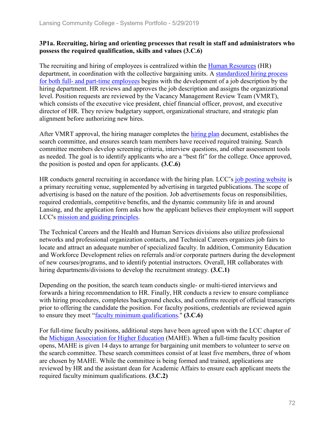#### **3P1a. Recruiting, hiring and orienting processes that result in staff and administrators who possess the required qualification, skills and values (3.C.6)**

The recruiting and hiring of employees is centralized within the Human Resources (HR) department, in coordination with the collective bargaining units. A standardized hiring process for both full- and part-time employees begins with the development of a job description by the hiring department. HR reviews and approves the job description and assigns the organizational level. Position requests are reviewed by the Vacancy Management Review Team (VMRT), which consists of the executive vice president, chief financial officer, provost, and executive director of HR. They review budgetary support, organizational structure, and strategic plan alignment before authorizing new hires.

After VMRT approval, the hiring manager completes the hiring plan document, establishes the search committee, and ensures search team members have received required training. Search committee members develop screening criteria, interview questions, and other assessment tools as needed. The goal is to identify applicants who are a "best fit" for the college. Once approved, the position is posted and open for applicants. **(3.C.6)**

HR conducts general recruiting in accordance with the hiring plan. LCC's job posting website is a primary recruiting venue, supplemented by advertising in targeted publications. The scope of advertising is based on the nature of the position. Job advertisements focus on responsibilities, required credentials, competitive benefits, and the dynamic community life in and around Lansing, and the application form asks how the applicant believes their employment will support LCC's mission and guiding principles.

The Technical Careers and the Health and Human Services divisions also utilize professional networks and professional organization contacts, and Technical Careers organizes job fairs to locate and attract an adequate number of specialized faculty. In addition, Community Education and Workforce Development relies on referrals and/or corporate partners during the development of new courses/programs, and to identify potential instructors. Overall, HR collaborates with hiring departments/divisions to develop the recruitment strategy. **(3.C.1)**

Depending on the position, the search team conducts single- or multi-tiered interviews and forwards a hiring recommendation to HR. Finally, HR conducts a review to ensure compliance with hiring procedures, completes background checks, and confirms receipt of official transcripts prior to offering the candidate the position. For faculty positions, credentials are reviewed again to ensure they meet "faculty minimum qualifications." **(3.C.6)**

For full-time faculty positions, additional steps have been agreed upon with the LCC chapter of the Michigan Association for Higher Education (MAHE). When a full-time faculty position opens, MAHE is given 14 days to arrange for bargaining unit members to volunteer to serve on the search committee. These search committees consist of at least five members, three of whom are chosen by MAHE. While the committee is being formed and trained, applications are reviewed by HR and the assistant dean for Academic Affairs to ensure each applicant meets the required faculty minimum qualifications. **(3.C.2)**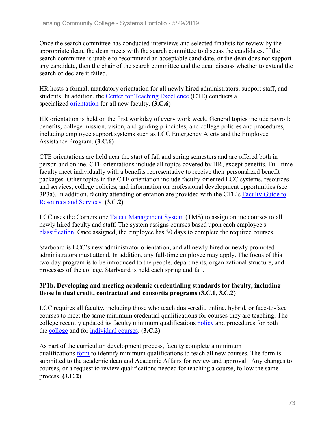Once the search committee has conducted interviews and selected finalists for review by the appropriate dean, the dean meets with the search committee to discuss the candidates. If the search committee is unable to recommend an acceptable candidate, or the dean does not support any candidate, then the chair of the search committee and the dean discuss whether to extend the search or declare it failed.

HR hosts a formal, mandatory orientation for all newly hired administrators, support staff, and students. In addition, the Center for Teaching Excellence (CTE) conducts a specialized orientation for all new faculty. **(3.C.6)**

HR orientation is held on the first workday of every work week. General topics include payroll; benefits; college mission, vision, and guiding principles; and college policies and procedures, including employee support systems such as LCC Emergency Alerts and the Employee Assistance Program. **(3.C.6)**

CTE orientations are held near the start of fall and spring semesters and are offered both in person and online. CTE orientations include all topics covered by HR, except benefits. Full-time faculty meet individually with a benefits representative to receive their personalized benefit packages. Other topics in the CTE orientation include faculty-oriented LCC systems, resources and services, college policies, and information on professional development opportunities (see 3P3a). In addition, faculty attending orientation are provided with the CTE's Faculty Guide to Resources and Services. **(3.C.2)**

LCC uses the Cornerstone Talent Management System (TMS) to assign online courses to all newly hired faculty and staff. The system assigns courses based upon each employee's classification. Once assigned, the employee has 30 days to complete the required courses.

Starboard is LCC's new administrator orientation, and all newly hired or newly promoted administrators must attend. In addition, any full-time employee may apply. The focus of this two-day program is to be introduced to the people, departments, organizational structure, and processes of the college. Starboard is held each spring and fall.

## **3P1b. Developing and meeting academic credentialing standards for faculty, including those in dual credit, contractual and consortia programs (3.C.1, 3.C.2)**

LCC requires all faculty, including those who teach dual-credit, online, hybrid, or face-to-face courses to meet the same minimum credential qualifications for courses they are teaching. The college recently updated its faculty minimum qualifications policy and procedures for both the college and for individual courses. **(3.C.2)**

As part of the curriculum development process, faculty complete a minimum qualifications form to identify minimum qualifications to teach all new courses. The form is submitted to the academic dean and Academic Affairs for review and approval. Any changes to courses, or a request to review qualifications needed for teaching a course, follow the same process. **(3.C.2)**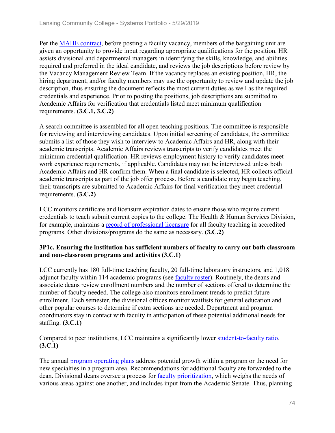Per the MAHE contract, before posting a faculty vacancy, members of the bargaining unit are given an opportunity to provide input regarding appropriate qualifications for the position. HR assists divisional and departmental managers in identifying the skills, knowledge, and abilities required and preferred in the ideal candidate, and reviews the job descriptions before review by the Vacancy Management Review Team. If the vacancy replaces an existing position, HR, the hiring department, and/or faculty members may use the opportunity to review and update the job description, thus ensuring the document reflects the most current duties as well as the required credentials and experience. Prior to posting the positions, job descriptions are submitted to Academic Affairs for verification that credentials listed meet minimum qualification requirements. **(3.C.1, 3.C.2)**

A search committee is assembled for all open teaching positions. The committee is responsible for reviewing and interviewing candidates. Upon initial screening of candidates, the committee submits a list of those they wish to interview to Academic Affairs and HR, along with their academic transcripts. Academic Affairs reviews transcripts to verify candidates meet the minimum credential qualification. HR reviews employment history to verify candidates meet work experience requirements, if applicable. Candidates may not be interviewed unless both Academic Affairs and HR confirm them. When a final candidate is selected, HR collects official academic transcripts as part of the job offer process. Before a candidate may begin teaching, their transcripts are submitted to Academic Affairs for final verification they meet credential requirements. **(3.C.2)**

LCC monitors certificate and licensure expiration dates to ensure those who require current credentials to teach submit current copies to the college. The Health & Human Services Division, for example, maintains a record of professional licensure for all faculty teaching in accredited programs. Other divisions/programs do the same as necessary. **(3.C.2)**

## **3P1c. Ensuring the institution has sufficient numbers of faculty to carry out both classroom and non-classroom programs and activities (3.C.1)**

LCC currently has 180 full-time teaching faculty, 20 full-time laboratory instructors, and 1,018 adjunct faculty within 114 academic programs (see faculty roster). Routinely, the deans and associate deans review enrollment numbers and the number of sections offered to determine the number of faculty needed. The college also monitors enrollment trends to predict future enrollment. Each semester, the divisional offices monitor waitlists for general education and other popular courses to determine if extra sections are needed. Department and program coordinators stay in contact with faculty in anticipation of these potential additional needs for staffing. **(3.C.1)**

## Compared to peer institutions, LCC maintains a significantly lower student-to-faculty ratio. **(3.C.1)**

The annual **program** operating plans address potential growth within a program or the need for new specialties in a program area. Recommendations for additional faculty are forwarded to the dean. Divisional deans oversee a process for faculty prioritization, which weighs the needs of various areas against one another, and includes input from the Academic Senate. Thus, planning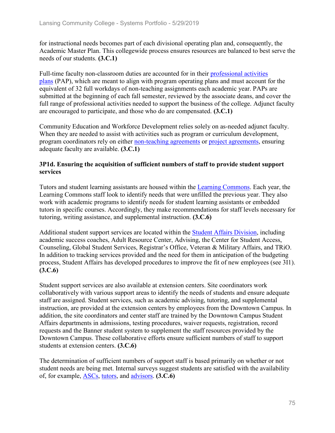for instructional needs becomes part of each divisional operating plan and, consequently, the Academic Master Plan. This collegewide process ensures resources are balanced to best serve the needs of our students. **(3.C.1)**

Full-time faculty non-classroom duties are accounted for in their professional activities plans (PAP), which are meant to align with program operating plans and must account for the equivalent of 32 full workdays of non-teaching assignments each academic year. PAPs are submitted at the beginning of each fall semester, reviewed by the associate deans, and cover the full range of professional activities needed to support the business of the college. Adjunct faculty are encouraged to participate, and those who do are compensated. **(3.C.1)**

Community Education and Workforce Development relies solely on as-needed adjunct faculty. When they are needed to assist with activities such as program or curriculum development, program coordinators rely on either non-teaching agreements or project agreements, ensuring adequate faculty are available. **(3.C.1)**

## **3P1d. Ensuring the acquisition of sufficient numbers of staff to provide student support services**

Tutors and student learning assistants are housed within the Learning Commons. Each year, the Learning Commons staff look to identify needs that were unfilled the previous year. They also work with academic programs to identify needs for student learning assistants or embedded tutors in specific courses. Accordingly, they make recommendations for staff levels necessary for tutoring, writing assistance, and supplemental instruction. **(3.C.6)**

Additional student support services are located within the Student Affairs Division, including academic success coaches, Adult Resource Center, Advising, the Center for Student Access, Counseling, Global Student Services, Registrar's Office, Veteran & Military Affairs, and TRiO. In addition to tracking services provided and the need for them in anticipation of the budgeting process, Student Affairs has developed procedures to improve the fit of new employees (see 3I1). **(3.C.6)**

Student support services are also available at extension centers. Site coordinators work collaboratively with various support areas to identify the needs of students and ensure adequate staff are assigned. Student services, such as academic advising, tutoring, and supplemental instruction, are provided at the extension centers by employees from the Downtown Campus. In addition, the site coordinators and center staff are trained by the Downtown Campus Student Affairs departments in admissions, testing procedures, waiver requests, registration, record requests and the Banner student system to supplement the staff resources provided by the Downtown Campus. These collaborative efforts ensure sufficient numbers of staff to support students at extension centers. **(3.C.6)**

The determination of sufficient numbers of support staff is based primarily on whether or not student needs are being met. Internal surveys suggest students are satisfied with the availability of, for example, ASCs, tutors, and advisors. **(3.C.6)**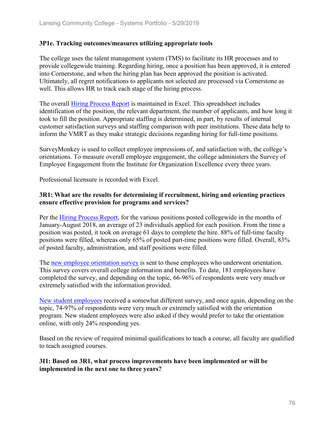## **3P1e. Tracking outcomes/measures utilizing appropriate tools**

The college uses the talent management system (TMS) to facilitate its HR processes and to provide collegewide training. Regarding hiring, once a position has been approved, it is entered into Cornerstone, and when the hiring plan has been approved the position is activated. Ultimately, all regret notifications to applicants not selected are processed via Cornerstone as well. This allows HR to track each stage of the hiring process.

The overall Hiring Process Report is maintained in Excel. This spreadsheet includes identification of the position, the relevant department, the number of applicants, and how long it took to fill the position. Appropriate staffing is determined, in part, by results of internal customer satisfaction surveys and staffing comparison with peer institutions. These data help to inform the VMRT as they make strategic decisions regarding hiring for full-time positions.

SurveyMonkey is used to collect employee impressions of, and satisfaction with, the college's orientations. To measure overall employee engagement, the college administers the Survey of Employee Engagement from the Institute for Organization Excellence every three years.

Professional licensure is recorded with Excel.

## **3R1: What are the results for determining if recruitment, hiring and orienting practices ensure effective provision for programs and services?**

Per the Hiring Process Report, for the various positions posted collegewide in the months of January-August 2018, an average of 23 individuals applied for each position. From the time a position was posted, it took on average 61 days to complete the hire. 88% of full-time faculty positions were filled, whereas only 65% of posted part-time positions were filled. Overall, 83% of posted faculty, administration, and staff positions were filled.

The new employee orientation survey is sent to those employees who underwent orientation. This survey covers overall college information and benefits. To date, 181 employees have completed the survey, and depending on the topic, 66-96% of respondents were very much or extremely satisfied with the information provided.

New student employees received a somewhat different survey, and once again, depending on the topic, 74-97% of respondents were very much or extremely satisfied with the orientation program. New student employees were also asked if they would prefer to take the orientation online, with only 24% responding yes.

Based on the review of required minimal qualifications to teach a course, all faculty are qualified to teach assigned courses.

## **3I1: Based on 3R1, what process improvements have been implemented or will be implemented in the next one to three years?**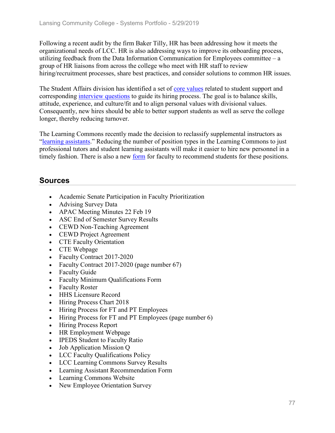Following a recent audit by the firm Baker Tilly, HR has been addressing how it meets the organizational needs of LCC. HR is also addressing ways to improve its onboarding process, utilizing feedback from the Data Information Communication for Employees committee  $-a$ group of HR liaisons from across the college who meet with HR staff to review hiring/recruitment processes, share best practices, and consider solutions to common HR issues.

The Student Affairs division has identified a set of core values related to student support and corresponding interview questions to guide its hiring process. The goal is to balance skills, attitude, experience, and culture/fit and to align personal values with divisional values. Consequently, new hires should be able to better support students as well as serve the college longer, thereby reducing turnover.

The Learning Commons recently made the decision to reclassify supplemental instructors as "learning assistants." Reducing the number of position types in the Learning Commons to just professional tutors and student learning assistants will make it easier to hire new personnel in a timely fashion. There is also a new form for faculty to recommend students for these positions.

# **Sources**

- Academic Senate Participation in Faculty Prioritization
- Advising Survey Data
- APAC Meeting Minutes 22 Feb 19
- ASC End of Semester Survey Results
- CEWD Non-Teaching Agreement
- CEWD Project Agreement
- CTE Faculty Orientation
- CTE Webpage
- Faculty Contract 2017-2020
- Faculty Contract 2017-2020 (page number 67)
- Faculty Guide
- Faculty Minimum Qualifications Form
- Faculty Roster
- HHS Licensure Record
- Hiring Process Chart 2018
- Hiring Process for FT and PT Employees
- Hiring Process for FT and PT Employees (page number 6)
- Hiring Process Report
- HR Employment Webpage
- IPEDS Student to Faculty Ratio
- Job Application Mission Q
- LCC Faculty Qualifications Policy
- LCC Learning Commons Survey Results
- Learning Assistant Recommendation Form
- Learning Commons Website
- New Employee Orientation Survey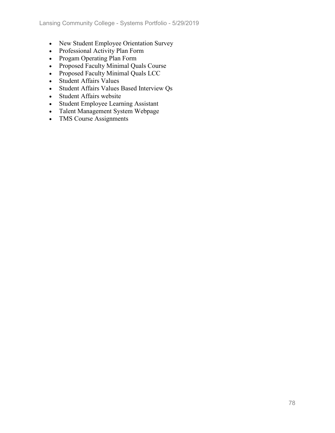- New Student Employee Orientation Survey
- Professional Activity Plan Form
- Progam Operating Plan Form
- Proposed Faculty Minimal Quals Course
- Proposed Faculty Minimal Quals LCC
- Student Affairs Values
- Student Affairs Values Based Interview Qs
- Student Affairs website
- Student Employee Learning Assistant
- Talent Management System Webpage
- TMS Course Assignments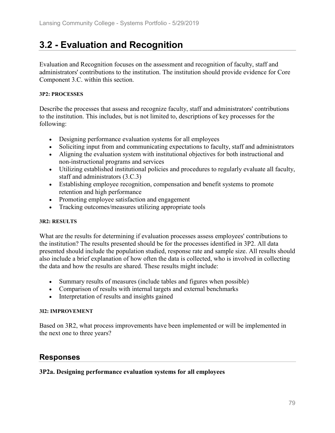# **3.2 - Evaluation and Recognition**

Evaluation and Recognition focuses on the assessment and recognition of faculty, staff and administrators' contributions to the institution. The institution should provide evidence for Core Component 3.C. within this section.

#### **3P2: PROCESSES**

Describe the processes that assess and recognize faculty, staff and administrators' contributions to the institution. This includes, but is not limited to, descriptions of key processes for the following:

- Designing performance evaluation systems for all employees
- Soliciting input from and communicating expectations to faculty, staff and administrators
- Aligning the evaluation system with institutional objectives for both instructional and non-instructional programs and services
- Utilizing established institutional policies and procedures to regularly evaluate all faculty, staff and administrators (3.C.3)
- Establishing employee recognition, compensation and benefit systems to promote retention and high performance
- Promoting employee satisfaction and engagement
- Tracking outcomes/measures utilizing appropriate tools

## **3R2: RESULTS**

What are the results for determining if evaluation processes assess employees' contributions to the institution? The results presented should be for the processes identified in 3P2. All data presented should include the population studied, response rate and sample size. All results should also include a brief explanation of how often the data is collected, who is involved in collecting the data and how the results are shared. These results might include:

- Summary results of measures (include tables and figures when possible)
- Comparison of results with internal targets and external benchmarks
- Interpretation of results and insights gained

## **3I2: IMPROVEMENT**

Based on 3R2, what process improvements have been implemented or will be implemented in the next one to three years?

## **Responses**

## **3P2a. Designing performance evaluation systems for all employees**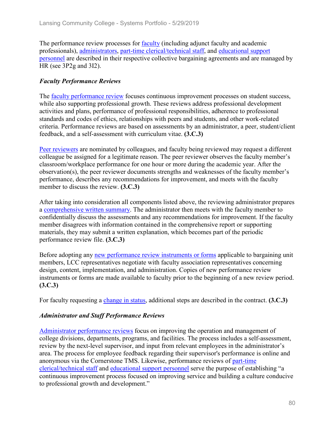The performance review processes for faculty (including adjunct faculty and academic professionals), administrators, part-time clerical/technical staff, and educational support personnel are described in their respective collective bargaining agreements and are managed by HR (see 3P2g and 3I2).

## *Faculty Performance Reviews*

The faculty performance review focuses continuous improvement processes on student success, while also supporting professional growth. These reviews address professional development activities and plans, performance of professional responsibilities, adherence to professional standards and codes of ethics, relationships with peers and students, and other work-related criteria. Performance reviews are based on assessments by an administrator, a peer, student/client feedback, and a self-assessment with curriculum vitae. **(3.C.3)**

Peer reviewers are nominated by colleagues, and faculty being reviewed may request a different colleague be assigned for a legitimate reason. The peer reviewer observes the faculty member's classroom/workplace performance for one hour or more during the academic year. After the observation(s), the peer reviewer documents strengths and weaknesses of the faculty member's performance, describes any recommendations for improvement, and meets with the faculty member to discuss the review. **(3.C.3)**

After taking into consideration all components listed above, the reviewing administrator prepares a comprehensive written summary. The administrator then meets with the faculty member to confidentially discuss the assessments and any recommendations for improvement. If the faculty member disagrees with information contained in the comprehensive report or supporting materials, they may submit a written explanation, which becomes part of the periodic performance review file. **(3.C.3)**

Before adopting any new performance review instruments or forms applicable to bargaining unit members, LCC representatives negotiate with faculty association representatives concerning design, content, implementation, and administration. Copies of new performance review instruments or forms are made available to faculty prior to the beginning of a new review period. **(3.C.3)**

For faculty requesting a change in status, additional steps are described in the contract. **(3.C.3)**

## *Administrator and Staff Performance Reviews*

Administrator performance reviews focus on improving the operation and management of college divisions, departments, programs, and facilities. The process includes a self-assessment, review by the next-level supervisor, and input from relevant employees in the administrator's area. The process for employee feedback regarding their supervisor's performance is online and anonymous via the Cornerstone TMS. Likewise, performance reviews of part-time clerical/technical staff and educational support personnel serve the purpose of establishing "a continuous improvement process focused on improving service and building a culture conducive to professional growth and development."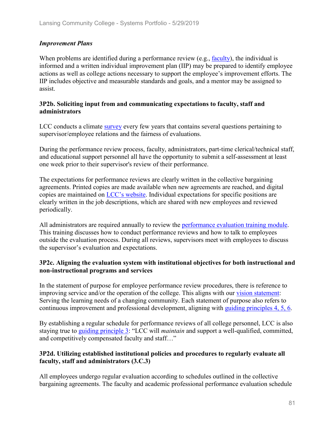## *Improvement Plans*

When problems are identified during a performance review (e.g., faculty), the individual is informed and a written individual improvement plan (IIP) may be prepared to identify employee actions as well as college actions necessary to support the employee's improvement efforts. The IIP includes objective and measurable standards and goals, and a mentor may be assigned to assist.

#### **3P2b. Soliciting input from and communicating expectations to faculty, staff and administrators**

LCC conducts a climate survey every few years that contains several questions pertaining to supervisor/employee relations and the fairness of evaluations.

During the performance review process, faculty, administrators, part-time clerical/technical staff, and educational support personnel all have the opportunity to submit a self-assessment at least one week prior to their supervisor's review of their performance.

The expectations for performance reviews are clearly written in the collective bargaining agreements. Printed copies are made available when new agreements are reached, and digital copies are maintained on LCC's website. Individual expectations for specific positions are clearly written in the job descriptions, which are shared with new employees and reviewed periodically.

All administrators are required annually to review the performance evaluation training module. This training discusses how to conduct performance reviews and how to talk to employees outside the evaluation process. During all reviews, supervisors meet with employees to discuss the supervisor's evaluation and expectations.

## **3P2c. Aligning the evaluation system with institutional objectives for both instructional and non-instructional programs and services**

In the statement of purpose for employee performance review procedures, there is reference to improving service and/or the operation of the college. This aligns with our vision statement: Serving the learning needs of a changing community. Each statement of purpose also refers to continuous improvement and professional development, aligning with guiding principles 4, 5, 6.

By establishing a regular schedule for performance reviews of all college personnel, LCC is also staying true to guiding principle 3: "LCC will *maintain* and support a well-qualified, committed, and competitively compensated faculty and staff…"

## **3P2d. Utilizing established institutional policies and procedures to regularly evaluate all faculty, staff and administrators (3.C.3)**

All employees undergo regular evaluation according to schedules outlined in the collective bargaining agreements. The faculty and academic professional performance evaluation schedule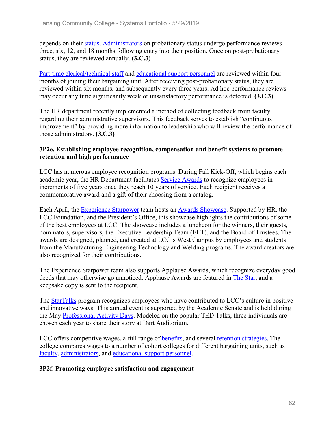depends on their status. Administrators on probationary status undergo performance reviews three, six, 12, and 18 months following entry into their position. Once on post-probationary status, they are reviewed annually. **(3.C.3)**

Part-time clerical/technical staff and educational support personnel are reviewed within four months of joining their bargaining unit. After receiving post-probationary status, they are reviewed within six months, and subsequently every three years. Ad hoc performance reviews may occur any time significantly weak or unsatisfactory performance is detected. **(3.C.3)**

The HR department recently implemented a method of collecting feedback from faculty regarding their administrative supervisors. This feedback serves to establish "continuous improvement" by providing more information to leadership who will review the performance of those administrators. **(3.C.3)**

## **3P2e. Establishing employee recognition, compensation and benefit systems to promote retention and high performance**

LCC has numerous employee recognition programs. During Fall Kick-Off, which begins each academic year, the HR Department facilitates Service Awards to recognize employees in increments of five years once they reach 10 years of service. Each recipient receives a commemorative award and a gift of their choosing from a catalog.

Each April, the Experience Starpower team hosts an Awards Showcase. Supported by HR, the LCC Foundation, and the President's Office, this showcase highlights the contributions of some of the best employees at LCC. The showcase includes a luncheon for the winners, their guests, nominators, supervisors, the Executive Leadership Team (ELT), and the Board of Trustees. The awards are designed, planned, and created at LCC's West Campus by employees and students from the Manufacturing Engineering Technology and Welding programs. The award creators are also recognized for their contributions.

The Experience Starpower team also supports Applause Awards, which recognize everyday good deeds that may otherwise go unnoticed. Applause Awards are featured in The Star, and a keepsake copy is sent to the recipient.

The **StarTalks** program recognizes employees who have contributed to LCC's culture in positive and innovative ways. This annual event is supported by the Academic Senate and is held during the May Professional Activity Days. Modeled on the popular TED Talks, three individuals are chosen each year to share their story at Dart Auditorium.

LCC offers competitive wages, a full range of benefits, and several retention strategies. The college compares wages to a number of cohort colleges for different bargaining units, such as faculty, administrators, and educational support personnel.

## **3P2f. Promoting employee satisfaction and engagement**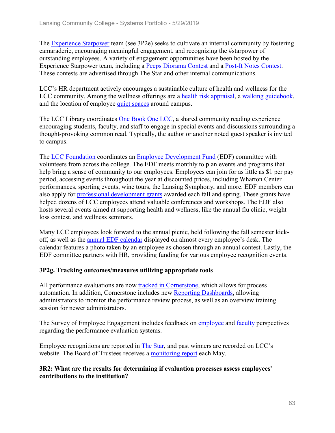The Experience Starpower team (see 3P2e) seeks to cultivate an internal community by fostering camaraderie, encouraging meaningful engagement, and recognizing the #starpower of outstanding employees. A variety of engagement opportunities have been hosted by the Experience Starpower team, including a Peeps Diorama Contest and a Post-It Notes Contest. These contests are advertised through The Star and other internal communications.

LCC's HR department actively encourages a sustainable culture of health and wellness for the LCC community. Among the wellness offerings are a health risk appraisal, a walking guidebook, and the location of employee quiet spaces around campus.

The LCC Library coordinates One Book One LCC, a shared community reading experience encouraging students, faculty, and staff to engage in special events and discussions surrounding a thought-provoking common read. Typically, the author or another noted guest speaker is invited to campus.

The LCC Foundation coordinates an Employee Development Fund (EDF) committee with volunteers from across the college. The EDF meets monthly to plan events and programs that help bring a sense of community to our employees. Employees can join for as little as \$1 per pay period, accessing events throughout the year at discounted prices, including Wharton Center performances, sporting events, wine tours, the Lansing Symphony, and more. EDF members can also apply for professional development grants awarded each fall and spring. These grants have helped dozens of LCC employees attend valuable conferences and workshops. The EDF also hosts several events aimed at supporting health and wellness, like the annual flu clinic, weight loss contest, and wellness seminars.

Many LCC employees look forward to the annual picnic, held following the fall semester kickoff, as well as the annual EDF calendar displayed on almost every employee's desk. The calendar features a photo taken by an employee as chosen through an annual contest. Lastly, the EDF committee partners with HR, providing funding for various employee recognition events.

## **3P2g. Tracking outcomes/measures utilizing appropriate tools**

All performance evaluations are now tracked in Cornerstone, which allows for process automation. In addition, Cornerstone includes new Reporting Dashboards, allowing administrators to monitor the performance review process, as well as an overview training session for newer administrators.

The Survey of Employee Engagement includes feedback on employee and faculty perspectives regarding the performance evaluation systems.

Employee recognitions are reported in The Star, and past winners are recorded on LCC's website. The Board of Trustees receives a monitoring report each May.

## **3R2: What are the results for determining if evaluation processes assess employees' contributions to the institution?**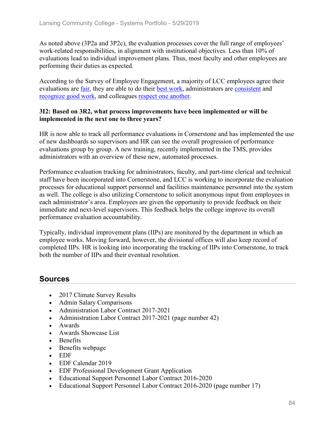As noted above (3P2a and 3P2c), the evaluation processes cover the full range of employees' work-related responsibilities, in alignment with institutional objectives. Less than 10% of evaluations lead to individual improvement plans. Thus, most faculty and other employees are performing their duties as expected.

According to the Survey of Employee Engagement, a majority of LCC employees agree their evaluations are fair, they are able to do their best work, administrators are consistent and recognize good work, and colleagues respect one another.

## **3I2: Based on 3R2, what process improvements have been implemented or will be implemented in the next one to three years?**

HR is now able to track all performance evaluations in Cornerstone and has implemented the use of new dashboards so supervisors and HR can see the overall progression of performance evaluations group by group. A new training, recently implemented in the TMS, provides administrators with an overview of these new, automated processes.

Performance evaluation tracking for administrators, faculty, and part-time clerical and technical staff have been incorporated into Cornerstone, and LCC is working to incorporate the evaluation processes for educational support personnel and facilities maintenance personnel into the system as well. The college is also utilizing Cornerstone to solicit anonymous input from employees in each administrator's area. Employees are given the opportunity to provide feedback on their immediate and next-level supervisors. This feedback helps the college improve its overall performance evaluation accountability.

Typically, individual improvement plans (IIPs) are monitored by the department in which an employee works. Moving forward, however, the divisional offices will also keep record of completed IIPs. HR is looking into incorporating the tracking of IIPs into Cornerstone, to track both the number of IIPs and their eventual resolution.

# **Sources**

- 2017 Climate Survey Results
- Admin Salary Comparisons
- Administration Labor Contract 2017-2021
- Administration Labor Contract 2017-2021 (page number 42)
- Awards
- Awards Showcase List
- Benefits
- Benefits webpage
- EDF
- EDF Calendar 2019
- EDF Professional Development Grant Application
- Educational Support Personnel Labor Contract 2016-2020
- Educational Support Personnel Labor Contract 2016-2020 (page number 17)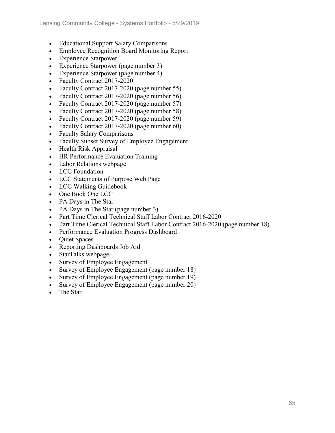- Educational Support Salary Comparisons
- Employee Recognition Board Monitoring Report
- Experience Starpower
- Experience Starpower (page number 3)
- Experience Starpower (page number 4)
- Faculty Contract 2017-2020
- Faculty Contract 2017-2020 (page number 55)
- Faculty Contract 2017-2020 (page number 56)
- Faculty Contract 2017-2020 (page number 57)
- Faculty Contract 2017-2020 (page number 58)
- Faculty Contract 2017-2020 (page number 59)
- Faculty Contract 2017-2020 (page number 60)
- Faculty Salary Comparisons
- Faculty Subset Survey of Employee Engagement
- Health Risk Appraisal
- HR Performance Evaluation Training
- Labor Relations webpage
- LCC Foundation
- LCC Statements of Purpose Web Page
- LCC Walking Guidebook
- One Book One LCC
- PA Days in The Star
- PA Days in The Star (page number 3)
- Part Time Clerical Technical Staff Labor Contract 2016-2020
- Part Time Clerical Technical Staff Labor Contract 2016-2020 (page number 18)
- Performance Evaluation Progress Dashboard
- Quiet Spaces
- Reporting Dashboards Job Aid
- StarTalks webpage
- Survey of Employee Engagement
- Survey of Employee Engagement (page number 18)
- Survey of Employee Engagement (page number 19)
- Survey of Employee Engagement (page number 20)
- The Star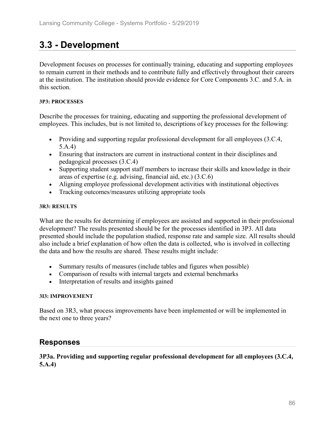# **3.3 - Development**

Development focuses on processes for continually training, educating and supporting employees to remain current in their methods and to contribute fully and effectively throughout their careers at the institution. The institution should provide evidence for Core Components 3.C. and 5.A. in this section.

#### **3P3: PROCESSES**

Describe the processes for training, educating and supporting the professional development of employees. This includes, but is not limited to, descriptions of key processes for the following:

- Providing and supporting regular professional development for all employees (3.C.4, 5.A.4)
- Ensuring that instructors are current in instructional content in their disciplines and pedagogical processes (3.C.4)
- Supporting student support staff members to increase their skills and knowledge in their areas of expertise (e.g. advising, financial aid, etc.) (3.C.6)
- Aligning employee professional development activities with institutional objectives
- Tracking outcomes/measures utilizing appropriate tools

#### **3R3: RESULTS**

What are the results for determining if employees are assisted and supported in their professional development? The results presented should be for the processes identified in 3P3. All data presented should include the population studied, response rate and sample size. All results should also include a brief explanation of how often the data is collected, who is involved in collecting the data and how the results are shared. These results might include:

- Summary results of measures (include tables and figures when possible)
- Comparison of results with internal targets and external benchmarks
- Interpretation of results and insights gained

## **3I3: IMPROVEMENT**

Based on 3R3, what process improvements have been implemented or will be implemented in the next one to three years?

## **Responses**

## **3P3a. Providing and supporting regular professional development for all employees (3.C.4, 5.A.4)**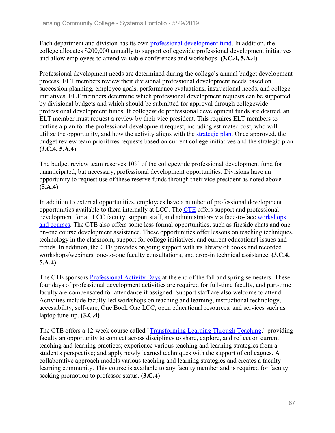Each department and division has its own professional development fund. In addition, the college allocates \$200,000 annually to support collegewide professional development initiatives and allow employees to attend valuable conferences and workshops. **(3.C.4, 5.A.4)**

Professional development needs are determined during the college's annual budget development process. ELT members review their divisional professional development needs based on succession planning, employee goals, performance evaluations, instructional needs, and college initiatives. ELT members determine which professional development requests can be supported by divisional budgets and which should be submitted for approval through collegewide professional development funds. If collegewide professional development funds are desired, an ELT member must request a review by their vice president. This requires ELT members to outline a plan for the professional development request, including estimated cost, who will utilize the opportunity, and how the activity aligns with the strategic plan. Once approved, the budget review team prioritizes requests based on current college initiatives and the strategic plan. **(3.C.4, 5.A.4)**

The budget review team reserves 10% of the collegewide professional development fund for unanticipated, but necessary, professional development opportunities. Divisions have an opportunity to request use of these reserve funds through their vice president as noted above. **(5.A.4)**

In addition to external opportunities, employees have a number of professional development opportunities available to them internally at LCC. The CTE offers support and professional development for all LCC faculty, support staff, and administrators via face-to-face workshops and courses. The CTE also offers some less formal opportunities, such as fireside chats and oneon-one course development assistance. These opportunities offer lessons on teaching techniques, technology in the classroom, support for college initiatives, and current educational issues and trends. In addition, the CTE provides ongoing support with its library of books and recorded workshops/webinars, one-to-one faculty consultations, and drop-in technical assistance. **(3.C.4, 5.A.4)**

The CTE sponsors Professional Activity Days at the end of the fall and spring semesters. These four days of professional development activities are required for full-time faculty, and part-time faculty are compensated for attendance if assigned. Support staff are also welcome to attend. Activities include faculty-led workshops on teaching and learning, instructional technology, accessibility, self-care, One Book One LCC, open educational resources, and services such as laptop tune-up. **(3.C.4)**

The CTE offers a 12-week course called "Transforming Learning Through Teaching," providing faculty an opportunity to connect across disciplines to share, explore, and reflect on current teaching and learning practices; experience various teaching and learning strategies from a student's perspective; and apply newly learned techniques with the support of colleagues. A collaborative approach models various teaching and learning strategies and creates a faculty learning community. This course is available to any faculty member and is required for faculty seeking promotion to professor status. **(3.C.4)**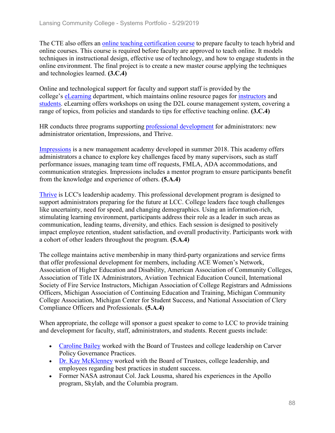The CTE also offers an online teaching certification course to prepare faculty to teach hybrid and online courses. This course is required before faculty are approved to teach online. It models techniques in instructional design, effective use of technology, and how to engage students in the online environment. The final project is to create a new master course applying the techniques and technologies learned. **(3.C.4)**

Online and technological support for faculty and support staff is provided by the college's eLearning department, which maintains online resource pages for instructors and students. eLearning offers workshops on using the D2L course management system, covering a range of topics, from policies and standards to tips for effective teaching online. **(3.C.4)**

HR conducts three programs supporting professional development for administrators: new administrator orientation, Impressions, and Thrive.

Impressions is a new management academy developed in summer 2018. This academy offers administrators a chance to explore key challenges faced by many supervisors, such as staff performance issues, managing team time off requests, FMLA, ADA accommodations, and communication strategies. Impressions includes a mentor program to ensure participants benefit from the knowledge and experience of others. **(5.A.4)**

Thrive is LCC's leadership academy. This professional development program is designed to support administrators preparing for the future at LCC. College leaders face tough challenges like uncertainty, need for speed, and changing demographics. Using an information-rich, stimulating learning environment, participants address their role as a leader in such areas as communication, leading teams, diversity, and ethics. Each session is designed to positively impact employee retention, student satisfaction, and overall productivity. Participants work with a cohort of other leaders throughout the program. **(5.A.4)**

The college maintains active membership in many third-party organizations and service firms that offer professional development for members, including ACE Women's Network, Association of Higher Education and Disability, American Association of Community Colleges, Association of Title IX Administrators, Aviation Technical Education Council, International Society of Fire Service Instructors, Michigan Association of College Registrars and Admissions Officers, Michigan Association of Continuing Education and Training, Michigan Community College Association, Michigan Center for Student Success, and National Association of Clery Compliance Officers and Professionals. **(5.A.4)**

When appropriate, the college will sponsor a guest speaker to come to LCC to provide training and development for faculty, staff, administrators, and students. Recent guests include:

- Caroline Bailey worked with the Board of Trustees and college leadership on Carver Policy Governance Practices.
- Dr. Kay McKlenney worked with the Board of Trustees, college leadership, and employees regarding best practices in student success.
- Former NASA astronaut Col. Jack Lousma, shared his experiences in the Apollo program, Skylab, and the Columbia program.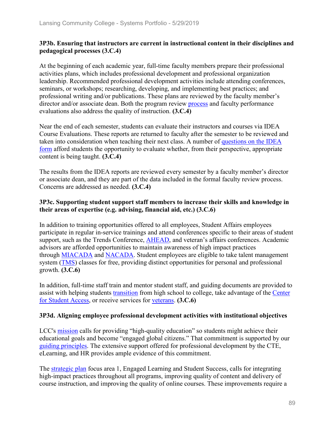## **3P3b. Ensuring that instructors are current in instructional content in their disciplines and pedagogical processes (3.C.4)**

At the beginning of each academic year, full-time faculty members prepare their professional activities plans, which includes professional development and professional organization leadership. Recommended professional development activities include attending conferences, seminars, or workshops; researching, developing, and implementing best practices; and professional writing and/or publications. These plans are reviewed by the faculty member's director and/or associate dean. Both the program review process and faculty performance evaluations also address the quality of instruction. **(3.C.4)**

Near the end of each semester, students can evaluate their instructors and courses via IDEA Course Evaluations. These reports are returned to faculty after the semester to be reviewed and taken into consideration when teaching their next class. A number of questions on the IDEA form afford students the opportunity to evaluate whether, from their perspective, appropriate content is being taught. **(3.C.4)**

The results from the IDEA reports are reviewed every semester by a faculty member's director or associate dean, and they are part of the data included in the formal faculty review process. Concerns are addressed as needed. **(3.C.4)**

## **3P3c. Supporting student support staff members to increase their skills and knowledge in their areas of expertise (e.g. advising, financial aid, etc.) (3.C.6)**

In addition to training opportunities offered to all employees, Student Affairs employees participate in regular in-service trainings and attend conferences specific to their areas of student support, such as the Trends Conference, AHEAD, and veteran's affairs conferences. Academic advisors are afforded opportunities to maintain awareness of high impact practices through MIACADA and NACADA. Student employees are eligible to take talent management system (TMS) classes for free, providing distinct opportunities for personal and professional growth. **(3.C.6)**

In addition, full-time staff train and mentor student staff, and guiding documents are provided to assist with helping students transition from high school to college, take advantage of the Center for Student Access, or receive services for veterans. **(3.C.6)**

## **3P3d. Aligning employee professional development activities with institutional objectives**

LCC's mission calls for providing "high-quality education" so students might achieve their educational goals and become "engaged global citizens." That commitment is supported by our guiding principles. The extensive support offered for professional development by the CTE, eLearning, and HR provides ample evidence of this commitment.

The strategic plan focus area 1, Engaged Learning and Student Success, calls for integrating high-impact practices throughout all programs, improving quality of content and delivery of course instruction, and improving the quality of online courses. These improvements require a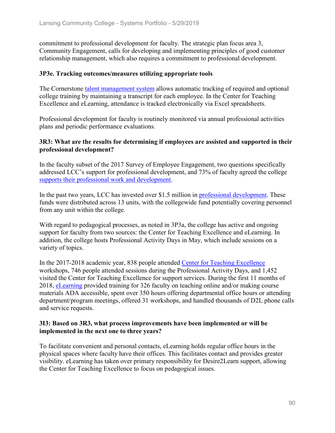commitment to professional development for faculty. The strategic plan focus area 3, Community Engagement, calls for developing and implementing principles of good customer relationship management, which also requires a commitment to professional development.

### **3P3e. Tracking outcomes/measures utilizing appropriate tools**

The Cornerstone talent management system allows automatic tracking of required and optional college training by maintaining a transcript for each employee. In the Center for Teaching Excellence and eLearning, attendance is tracked electronically via Excel spreadsheets.

Professional development for faculty is routinely monitored via annual professional activities plans and periodic performance evaluations.

## **3R3: What are the results for determining if employees are assisted and supported in their professional development?**

In the faculty subset of the 2017 Survey of Employee Engagement, two questions specifically addressed LCC's support for professional development, and 73% of faculty agreed the college supports their professional work and development.

In the past two years, LCC has invested over \$1.5 million in professional development. These funds were distributed across 13 units, with the collegewide fund potentially covering personnel from any unit within the college.

With regard to pedagogical processes, as noted in 3P3a, the college has active and ongoing support for faculty from two sources: the Center for Teaching Excellence and eLearning. In addition, the college hosts Professional Activity Days in May, which include sessions on a variety of topics.

In the 2017-2018 academic year, 838 people attended Center for Teaching Excellence workshops, 746 people attended sessions during the Professional Activity Days, and 1,452 visited the Center for Teaching Excellence for support services. During the first 11 months of 2018, eLearning provided training for 326 faculty on teaching online and/or making course materials ADA accessible, spent over 350 hours offering departmental office hours or attending department/program meetings, offered 31 workshops, and handled thousands of D2L phone calls and service requests.

#### **3I3: Based on 3R3, what process improvements have been implemented or will be implemented in the next one to three years?**

To facilitate convenient and personal contacts, eLearning holds regular office hours in the physical spaces where faculty have their offices. This facilitates contact and provides greater visibility. eLearning has taken over primary responsibility for Desire2Learn support, allowing the Center for Teaching Excellence to focus on pedagogical issues.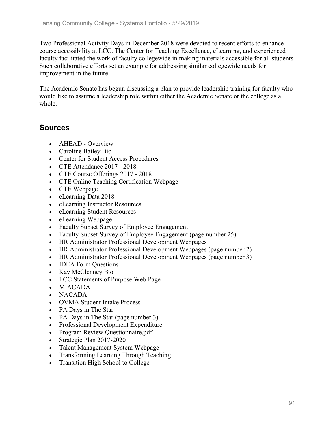Two Professional Activity Days in December 2018 were devoted to recent efforts to enhance course accessibility at LCC. The Center for Teaching Excellence, eLearning, and experienced faculty facilitated the work of faculty collegewide in making materials accessible for all students. Such collaborative efforts set an example for addressing similar collegewide needs for improvement in the future.

The Academic Senate has begun discussing a plan to provide leadership training for faculty who would like to assume a leadership role within either the Academic Senate or the college as a whole.

## **Sources**

- **AHEAD Overview**
- Caroline Bailey Bio
- Center for Student Access Procedures
- CTE Attendance 2017 2018
- CTE Course Offerings 2017 2018
- CTE Online Teaching Certification Webpage
- CTE Webpage
- eLearning Data 2018
- eLearning Instructor Resources
- eLearning Student Resources
- eLearning Webpage
- Faculty Subset Survey of Employee Engagement
- Faculty Subset Survey of Employee Engagement (page number 25)
- HR Administrator Professional Development Webpages
- HR Administrator Professional Development Webpages (page number 2)
- HR Administrator Professional Development Webpages (page number 3)
- **IDEA Form Questions**
- Kay McClenney Bio
- LCC Statements of Purpose Web Page
- MIACADA
- NACADA
- OVMA Student Intake Process
- PA Days in The Star
- PA Days in The Star (page number 3)
- Professional Development Expenditure
- Program Review Questionnaire.pdf
- Strategic Plan 2017-2020
- Talent Management System Webpage
- Transforming Learning Through Teaching
- Transition High School to College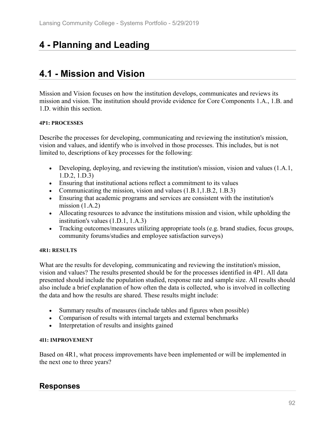# **4 - Planning and Leading**

# **4.1 - Mission and Vision**

Mission and Vision focuses on how the institution develops, communicates and reviews its mission and vision. The institution should provide evidence for Core Components 1.A., 1.B. and 1.D. within this section.

#### **4P1: PROCESSES**

Describe the processes for developing, communicating and reviewing the institution's mission, vision and values, and identify who is involved in those processes. This includes, but is not limited to, descriptions of key processes for the following:

- Developing, deploying, and reviewing the institution's mission, vision and values (1.A.1, 1.D.2, 1.D.3)
- Ensuring that institutional actions reflect a commitment to its values
- Communicating the mission, vision and values (1.B.1, 1.B.2, 1.B.3)
- Ensuring that academic programs and services are consistent with the institution's mission  $(1.A.2)$
- Allocating resources to advance the institutions mission and vision, while upholding the institution's values (1.D.1, 1.A.3)
- Tracking outcomes/measures utilizing appropriate tools (e.g. brand studies, focus groups, community forums/studies and employee satisfaction surveys)

#### **4R1: RESULTS**

What are the results for developing, communicating and reviewing the institution's mission, vision and values? The results presented should be for the processes identified in 4P1. All data presented should include the population studied, response rate and sample size. All results should also include a brief explanation of how often the data is collected, who is involved in collecting the data and how the results are shared. These results might include:

- Summary results of measures (include tables and figures when possible)
- Comparison of results with internal targets and external benchmarks
- Interpretation of results and insights gained

#### **4I1: IMPROVEMENT**

Based on 4R1, what process improvements have been implemented or will be implemented in the next one to three years?

## **Responses**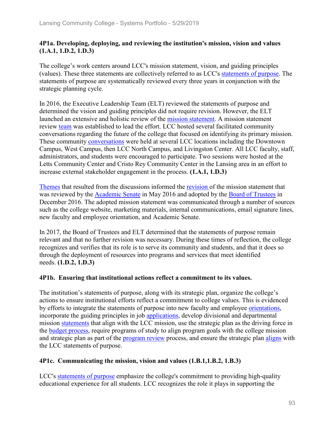## **4P1a. Developing, deploying, and reviewing the institution's mission, vision and values (1.A.1, 1.D.2, 1.D.3)**

The college's work centers around LCC's mission statement, vision, and guiding principles (values). These three statements are collectively referred to as LCC's statements of purpose. The statements of purpose are systematically reviewed every three years in conjunction with the strategic planning cycle.

In 2016, the Executive Leadership Team (ELT) reviewed the statements of purpose and determined the vision and guiding principles did not require revision. However, the ELT launched an extensive and holistic review of the mission statement. A mission statement review team was established to lead the effort. LCC hosted several facilitated community conversations regarding the future of the college that focused on identifying its primary mission. These community conversations were held at several LCC locations including the Downtown Campus, West Campus, then LCC North Campus, and Livingston Center. All LCC faculty, staff, administrators, and students were encouraged to participate. Two sessions were hosted at the Letts Community Center and Cristo Rey Community Center in the Lansing area in an effort to increase external stakeholder engagement in the process. **(1.A.1, 1.D.3)**

Themes that resulted from the discussions informed the revision of the mission statement that was reviewed by the **Academic Senate** in May 2016 and adopted by the Board of Trustees in December 2016. The adopted mission statement was communicated through a number of sources such as the college website, marketing materials, internal communications, email signature lines, new faculty and employee orientation, and Academic Senate.

In 2017, the Board of Trustees and ELT determined that the statements of purpose remain relevant and that no further revision was necessary. During these times of reflection, the college recognizes and verifies that its role is to serve its community and students, and that it does so through the deployment of resources into programs and services that meet identified needs. **(1.D.2, 1.D.3)**

## **4P1b. Ensuring that institutional actions reflect a commitment to its values.**

The institution's statements of purpose, along with its strategic plan, organize the college's actions to ensure institutional efforts reflect a commitment to college values. This is evidenced by efforts to integrate the statements of purpose into new faculty and employee orientations, incorporate the guiding principles in job applications, develop divisional and departmental mission statements that align with the LCC mission, use the strategic plan as the driving force in the budget process, require programs of study to align program goals with the college mission and strategic plan as part of the program review process, and ensure the strategic plan aligns with the LCC statements of purpose.

## **4P1c. Communicating the mission, vision and values (1.B.1,1.B.2, 1.B.3)**

LCC's statements of purpose emphasize the college's commitment to providing high-quality educational experience for all students. LCC recognizes the role it plays in supporting the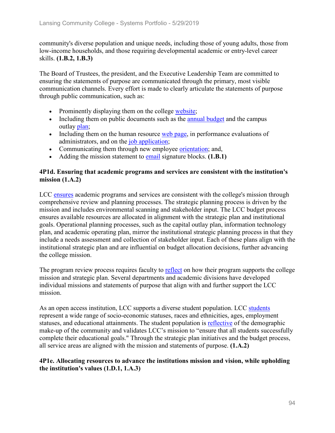community's diverse population and unique needs, including those of young adults, those from low-income households, and those requiring developmental academic or entry-level career skills. **(1.B.2, 1.B.3)**

The Board of Trustees, the president, and the Executive Leadership Team are committed to ensuring the statements of purpose are communicated through the primary, most visible communication channels. Every effort is made to clearly articulate the statements of purpose through public communication, such as:

- Prominently displaying them on the college website;
- Including them on public documents such as the **annual budget** and the campus outlay plan;
- Including them on the human resource web page, in performance evaluations of administrators, and on the job application;
- Communicating them through new employee orientation; and,
- Adding the mission statement to email signature blocks. **(1.B.1)**

## **4P1d. Ensuring that academic programs and services are consistent with the institution's mission (1.A.2)**

LCC ensures academic programs and services are consistent with the college's mission through comprehensive review and planning processes. The strategic planning process is driven by the mission and includes environmental scanning and stakeholder input. The LCC budget process ensures available resources are allocated in alignment with the strategic plan and institutional goals. Operational planning processes, such as the capital outlay plan, information technology plan, and academic operating plan, mirror the institutional strategic planning process in that they include a needs assessment and collection of stakeholder input. Each of these plans align with the institutional strategic plan and are influential on budget allocation decisions, further advancing the college mission.

The program review process requires faculty to **reflect** on how their program supports the college mission and strategic plan. Several departments and academic divisions have developed individual missions and statements of purpose that align with and further support the LCC mission.

As an open access institution, LCC supports a diverse student population. LCC students represent a wide range of socio-economic statuses, races and ethnicities, ages, employment statuses, and educational attainments. The student population is reflective of the demographic make-up of the community and validates LCC's mission to "ensure that all students successfully complete their educational goals." Through the strategic plan initiatives and the budget process, all service areas are aligned with the mission and statements of purpose. **(1.A.2)**

## **4P1e. Allocating resources to advance the institutions mission and vision, while upholding the institution's values (1.D.1, 1.A.3)**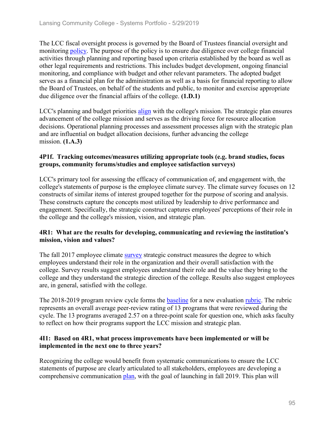The LCC fiscal oversight process is governed by the Board of Trustees financial oversight and monitoring policy. The purpose of the policy is to ensure due diligence over college financial activities through planning and reporting based upon criteria established by the board as well as other legal requirements and restrictions. This includes budget development, ongoing financial monitoring, and compliance with budget and other relevant parameters. The adopted budget serves as a financial plan for the administration as well as a basis for financial reporting to allow the Board of Trustees, on behalf of the students and public, to monitor and exercise appropriate due diligence over the financial affairs of the college. **(1.D.1)**

LCC's planning and budget priorities align with the college's mission. The strategic plan ensures advancement of the college mission and serves as the driving force for resource allocation decisions. Operational planning processes and assessment processes align with the strategic plan and are influential on budget allocation decisions, further advancing the college mission. **(1.A.3)**

## **4P1f. Tracking outcomes/measures utilizing appropriate tools (e.g. brand studies, focus groups, community forums/studies and employee satisfaction surveys)**

LCC's primary tool for assessing the efficacy of communication of, and engagement with, the college's statements of purpose is the employee climate survey. The climate survey focuses on 12 constructs of similar items of interest grouped together for the purpose of scoring and analysis. These constructs capture the concepts most utilized by leadership to drive performance and engagement. Specifically, the strategic construct captures employees' perceptions of their role in the college and the college's mission, vision, and strategic plan.

## **4R1: What are the results for developing, communicating and reviewing the institution's mission, vision and values?**

The fall 2017 employee climate survey strategic construct measures the degree to which employees understand their role in the organization and their overall satisfaction with the college. Survey results suggest employees understand their role and the value they bring to the college and they understand the strategic direction of the college. Results also suggest employees are, in general, satisfied with the college.

The 2018-2019 program review cycle forms the **baseline** for a new evaluation *rubric*. The rubric represents an overall average peer-review rating of 13 programs that were reviewed during the cycle. The 13 programs averaged 2.57 on a three-point scale for question one, which asks faculty to reflect on how their programs support the LCC mission and strategic plan.

## **4I1: Based on 4R1, what process improvements have been implemented or will be implemented in the next one to three years?**

Recognizing the college would benefit from systematic communications to ensure the LCC statements of purpose are clearly articulated to all stakeholders, employees are developing a comprehensive communication plan, with the goal of launching in fall 2019. This plan will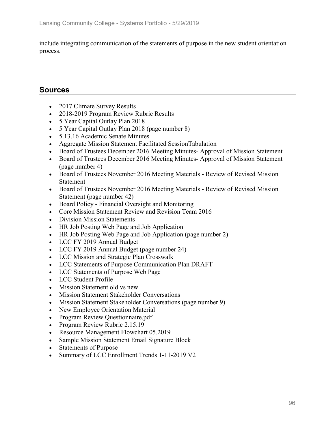include integrating communication of the statements of purpose in the new student orientation process.

# **Sources**

- 2017 Climate Survey Results
- 2018-2019 Program Review Rubric Results
- 5 Year Capital Outlay Plan 2018
- 5 Year Capital Outlay Plan 2018 (page number 8)
- 5.13.16 Academic Senate Minutes
- Aggregate Mission Statement Facilitated SessionTabulation
- Board of Trustees December 2016 Meeting Minutes-Approval of Mission Statement
- Board of Trustees December 2016 Meeting Minutes- Approval of Mission Statement (page number 4)
- Board of Trustees November 2016 Meeting Materials Review of Revised Mission **Statement**
- Board of Trustees November 2016 Meeting Materials Review of Revised Mission Statement (page number 42)
- Board Policy Financial Oversight and Monitoring
- Core Mission Statement Review and Revision Team 2016
- Division Mission Statements
- HR Job Posting Web Page and Job Application
- HR Job Posting Web Page and Job Application (page number 2)
- LCC FY 2019 Annual Budget
- LCC FY 2019 Annual Budget (page number 24)
- LCC Mission and Strategic Plan Crosswalk
- LCC Statements of Purpose Communication Plan DRAFT
- LCC Statements of Purpose Web Page
- LCC Student Profile
- Mission Statement old vs new
- Mission Statement Stakeholder Conversations
- Mission Statement Stakeholder Conversations (page number 9)
- New Employee Orientation Material
- Program Review Questionnaire.pdf
- Program Review Rubric 2.15.19
- Resource Management Flowchart 05.2019
- Sample Mission Statement Email Signature Block
- Statements of Purpose
- Summary of LCC Enrollment Trends 1-11-2019 V2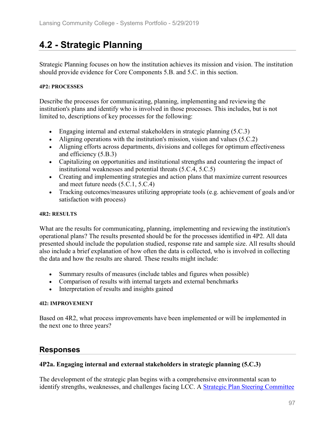# **4.2 - Strategic Planning**

Strategic Planning focuses on how the institution achieves its mission and vision. The institution should provide evidence for Core Components 5.B. and 5.C. in this section.

## **4P2: PROCESSES**

Describe the processes for communicating, planning, implementing and reviewing the institution's plans and identify who is involved in those processes. This includes, but is not limited to, descriptions of key processes for the following:

- Engaging internal and external stakeholders in strategic planning (5.C.3)
- Aligning operations with the institution's mission, vision and values (5.C.2)
- Aligning efforts across departments, divisions and colleges for optimum effectiveness and efficiency (5.B.3)
- Capitalizing on opportunities and institutional strengths and countering the impact of institutional weaknesses and potential threats (5.C.4, 5.C.5)
- Creating and implementing strategies and action plans that maximize current resources and meet future needs (5.C.1, 5.C.4)
- Tracking outcomes/measures utilizing appropriate tools (e.g. achievement of goals and/or satisfaction with process)

### **4R2: RESULTS**

What are the results for communicating, planning, implementing and reviewing the institution's operational plans? The results presented should be for the processes identified in 4P2. All data presented should include the population studied, response rate and sample size. All results should also include a brief explanation of how often the data is collected, who is involved in collecting the data and how the results are shared. These results might include:

- Summary results of measures (include tables and figures when possible)
- Comparison of results with internal targets and external benchmarks
- Interpretation of results and insights gained

## **4I2: IMPROVEMENT**

Based on 4R2, what process improvements have been implemented or will be implemented in the next one to three years?

# **Responses**

## **4P2a. Engaging internal and external stakeholders in strategic planning (5.C.3)**

The development of the strategic plan begins with a comprehensive environmental scan to identify strengths, weaknesses, and challenges facing LCC. A Strategic Plan Steering Committee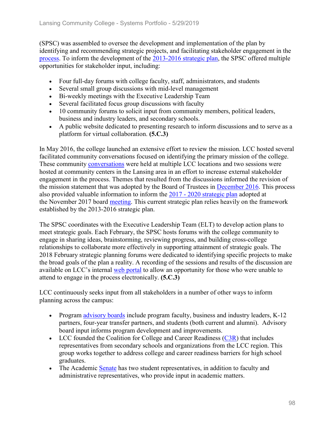(SPSC) was assembled to oversee the development and implementation of the plan by identifying and recommending strategic projects, and facilitating stakeholder engagement in the process. To inform the development of the 2013-2016 strategic plan, the SPSC offered multiple opportunities for stakeholder input, including:

- Four full-day forums with college faculty, staff, administrators, and students
- Several small group discussions with mid-level management
- Bi-weekly meetings with the Executive Leadership Team
- Several facilitated focus group discussions with faculty
- 10 community forums to solicit input from community members, political leaders, business and industry leaders, and secondary schools.
- A public website dedicated to presenting research to inform discussions and to serve as a platform for virtual collaboration. **(5.C.3)**

In May 2016, the college launched an extensive effort to review the mission. LCC hosted several facilitated community conversations focused on identifying the primary mission of the college. These community conversations were held at multiple LCC locations and two sessions were hosted at community centers in the Lansing area in an effort to increase external stakeholder engagement in the process. Themes that resulted from the discussions informed the revision of the mission statement that was adopted by the Board of Trustees in December 2016. This process also provided valuable information to inform the 2017 - 2020 strategic plan adopted at the November 2017 board meeting. This current strategic plan relies heavily on the framework established by the 2013-2016 strategic plan.

The SPSC coordinates with the Executive Leadership Team (ELT) to develop action plans to meet strategic goals. Each February, the SPSC hosts forums with the college community to engage in sharing ideas, brainstorming, reviewing progress, and building cross-college relationships to collaborate more effectively in supporting attainment of strategic goals. The 2018 February strategic planning forums were dedicated to identifying specific projects to make the broad goals of the plan a reality. A recording of the sessions and results of the discussion are available on LCC's internal web portal to allow an opportunity for those who were unable to attend to engage in the process electronically. **(5.C.3)**

LCC continuously seeks input from all stakeholders in a number of other ways to inform planning across the campus:

- Program advisory boards include program faculty, business and industry leaders, K-12 partners, four-year transfer partners, and students (both current and alumni). Advisory board input informs program development and improvements.
- LCC founded the Coalition for College and Career Readiness  $(C3R)$  that includes representatives from secondary schools and organizations from the LCC region. This group works together to address college and career readiness barriers for high school graduates.
- The Academic Senate has two student representatives, in addition to faculty and administrative representatives, who provide input in academic matters.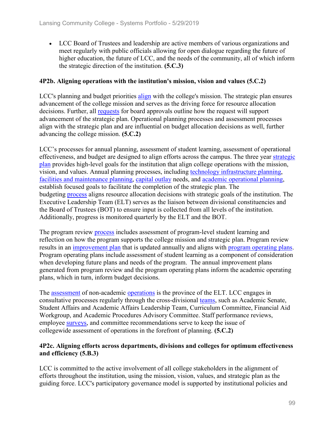• LCC Board of Trustees and leadership are active members of various organizations and meet regularly with public officials allowing for open dialogue regarding the future of higher education, the future of LCC, and the needs of the community, all of which inform the strategic direction of the institution. **(5.C.3)**

## **4P2b. Aligning operations with the institution's mission, vision and values (5.C.2)**

LCC's planning and budget priorities align with the college's mission. The strategic plan ensures advancement of the college mission and serves as the driving force for resource allocation decisions. Further, all requests for board approvals outline how the request will support advancement of the strategic plan. Operational planning processes and assessment processes align with the strategic plan and are influential on budget allocation decisions as well, further advancing the college mission. **(5.C.2)**

LCC's processes for annual planning, assessment of student learning, assessment of operational effectiveness, and budget are designed to align efforts across the campus. The three year strategic plan provides high-level goals for the institution that align college operations with the mission, vision, and values. Annual planning processes, including technology infrastructure planning, facilities and maintenance planning, capital outlay needs, and academic operational planning, establish focused goals to facilitate the completion of the strategic plan. The budgeting process aligns resource allocation decisions with strategic goals of the institution. The Executive Leadership Team (ELT) serves as the liaison between divisional constituencies and the Board of Trustees (BOT) to ensure input is collected from all levels of the institution. Additionally, progress is monitored quarterly by the ELT and the BOT.

The program review process includes assessment of program-level student learning and reflection on how the program supports the college mission and strategic plan. Program review results in an improvement plan that is updated annually and aligns with program operating plans. Program operating plans include assessment of student learning as a component of consideration when developing future plans and needs of the program. The annual improvement plans generated from program review and the program operating plans inform the academic operating plans, which in turn, inform budget decisions.

The assessment of non-academic operations is the province of the ELT. LCC engages in consultative processes regularly through the cross-divisional teams, such as Academic Senate, Student Affairs and Academic Affairs Leadership Team, Curriculum Committee, Financial Aid Workgroup, and Academic Procedures Advisory Committee. Staff performance reviews, employee surveys, and committee recommendations serve to keep the issue of collegewide assessment of operations in the forefront of planning. **(5.C.2)**

## **4P2c. Aligning efforts across departments, divisions and colleges for optimum effectiveness and efficiency (5.B.3)**

LCC is committed to the active involvement of all college stakeholders in the alignment of efforts throughout the institution, using the mission, vision, values, and strategic plan as the guiding force. LCC's participatory governance model is supported by institutional policies and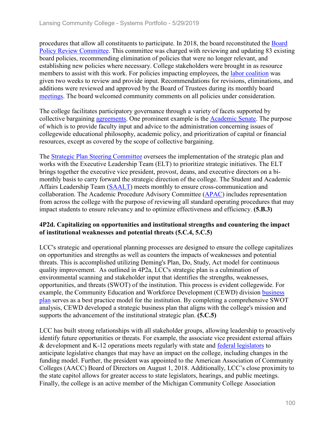procedures that allow all constituents to participate. In 2018, the board reconstituted the Board Policy Review Committee. This committee was charged with reviewing and updating 83 existing board policies, recommending elimination of policies that were no longer relevant, and establishing new policies where necessary. College stakeholders were brought in as resource members to assist with this work. For policies impacting employees, the labor coalition was given two weeks to review and provide input. Recommendations for revisions, eliminations, and additions were reviewed and approved by the Board of Trustees during its monthly board meetings. The board welcomed community comments on all policies under consideration.

The college facilitates participatory governance through a variety of facets supported by collective bargaining agreements. One prominent example is the Academic Senate. The purpose of which is to provide faculty input and advice to the administration concerning issues of collegewide educational philosophy, academic policy, and prioritization of capital or financial resources, except as covered by the scope of collective bargaining.

The Strategic Plan Steering Committee oversees the implementation of the strategic plan and works with the Executive Leadership Team (ELT) to prioritize strategic initiatives. The ELT brings together the executive vice president, provost, deans, and executive directors on a bimonthly basis to carry forward the strategic direction of the college. The Student and Academic Affairs Leadership Team (SAALT) meets monthly to ensure cross-communication and collaboration. The Academic Procedure Advisory Committee (APAC) includes representation from across the college with the purpose of reviewing all standard operating procedures that may impact students to ensure relevancy and to optimize effectiveness and efficiency. **(5.B.3)**

## **4P2d. Capitalizing on opportunities and institutional strengths and countering the impact of institutional weaknesses and potential threats (5.C.4, 5.C.5)**

LCC's strategic and operational planning processes are designed to ensure the college capitalizes on opportunities and strengths as well as counters the impacts of weaknesses and potential threats. This is accomplished utilizing Deming's Plan, Do, Study, Act model for continuous quality improvement. As outlined in 4P2a, LCC's strategic plan is a culmination of environmental scanning and stakeholder input that identifies the strengths, weaknesses, opportunities, and threats (SWOT) of the institution. This process is evident collegewide. For example, the Community Education and Workforce Development (CEWD) division business plan serves as a best practice model for the institution. By completing a comprehensive SWOT analysis, CEWD developed a strategic business plan that aligns with the college's mission and supports the advancement of the institutional strategic plan. **(5.C.5)**

LCC has built strong relationships with all stakeholder groups, allowing leadership to proactively identify future opportunities or threats. For example, the associate vice president external affairs & development and K-12 operations meets regularly with state and federal legislators to anticipate legislative changes that may have an impact on the college, including changes in the funding model. Further, the president was appointed to the American Association of Community Colleges (AACC) Board of Directors on August 1, 2018. Additionally, LCC's close proximity to the state capitol allows for greater access to state legislators, hearings, and public meetings. Finally, the college is an active member of the Michigan Community College Association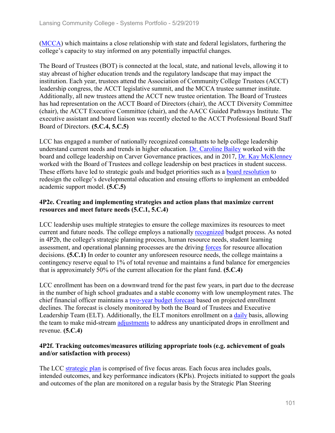(MCCA) which maintains a close relationship with state and federal legislators, furthering the college's capacity to stay informed on any potentially impactful changes.

The Board of Trustees (BOT) is connected at the local, state, and national levels, allowing it to stay abreast of higher education trends and the regulatory landscape that may impact the institution. Each year, trustees attend the Association of Community College Trustees (ACCT) leadership congress, the ACCT legislative summit, and the MCCA trustee summer institute. Additionally, all new trustees attend the ACCT new trustee orientation. The Board of Trustees has had representation on the ACCT Board of Directors (chair), the ACCT Diversity Committee (chair), the ACCT Executive Committee (chair), and the AACC Guided Pathways Institute. The executive assistant and board liaison was recently elected to the ACCT Professional Board Staff Board of Directors. **(5.C.4, 5.C.5)**

LCC has engaged a number of nationally recognized consultants to help college leadership understand current needs and trends in higher education. Dr. Caroline Bailey worked with the board and college leadership on Carver Governance practices, and in 2017, Dr. Kay McKlenney worked with the Board of Trustees and college leadership on best practices in student success. These efforts have led to strategic goals and budget priorities such as a board resolution to redesign the college's developmental education and ensuing efforts to implement an embedded academic support model. **(5.C.5)**

## **4P2e. Creating and implementing strategies and action plans that maximize current resources and meet future needs (5.C.1, 5.C.4)**

LCC leadership uses multiple strategies to ensure the college maximizes its resources to meet current and future needs. The college employs a nationally recognized budget process. As noted in 4P2b, the college's strategic planning process, human resource needs, student learning assessment, and operational planning processes are the driving forces for resource allocation decisions. **(5.C.1)** In order to counter any unforeseen resource needs, the college maintains a contingency reserve equal to 1% of total revenue and maintains a fund balance for emergencies that is approximately 50% of the current allocation for the plant fund. **(5.C.4)**

LCC enrollment has been on a downward trend for the past few years, in part due to the decrease in the number of high school graduates and a stable economy with low unemployment rates. The chief financial officer maintains a two-year budget forecast based on projected enrollment declines. The forecast is closely monitored by both the Board of Trustees and Executive Leadership Team (ELT). Additionally, the ELT monitors enrollment on a daily basis, allowing the team to make mid-stream adjustments to address any unanticipated drops in enrollment and revenue. **(5.C.4)**

## **4P2f. Tracking outcomes/measures utilizing appropriate tools (e.g. achievement of goals and/or satisfaction with process)**

The LCC strategic plan is comprised of five focus areas. Each focus area includes goals, intended outcomes, and key performance indicators (KPIs). Projects initiated to support the goals and outcomes of the plan are monitored on a regular basis by the Strategic Plan Steering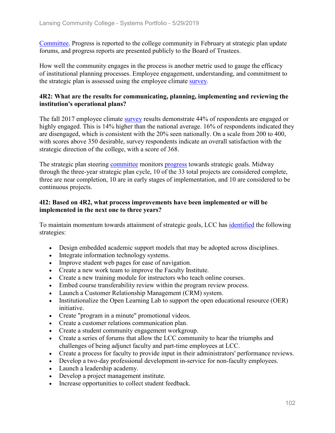Committee. Progress is reported to the college community in February at strategic plan update forums, and progress reports are presented publicly to the Board of Trustees.

How well the community engages in the process is another metric used to gauge the efficacy of institutional planning processes. Employee engagement, understanding, and commitment to the strategic plan is assessed using the employee climate survey.

## **4R2: What are the results for communicating, planning, implementing and reviewing the institution's operational plans?**

The fall 2017 employee climate survey results demonstrate 44% of respondents are engaged or highly engaged. This is 14% higher than the national average. 16% of respondents indicated they are disengaged, which is consistent with the 20% seen nationally. On a scale from 200 to 400, with scores above 350 desirable, survey respondents indicate an overall satisfaction with the strategic direction of the college, with a score of 368.

The strategic plan steering committee monitors progress towards strategic goals. Midway through the three-year strategic plan cycle, 10 of the 33 total projects are considered complete, three are near completion, 10 are in early stages of implementation, and 10 are considered to be continuous projects.

## **4I2: Based on 4R2, what process improvements have been implemented or will be implemented in the next one to three years?**

To maintain momentum towards attainment of strategic goals, LCC has identified the following strategies:

- Design embedded academic support models that may be adopted across disciplines.
- Integrate information technology systems.
- Improve student web pages for ease of navigation.
- Create a new work team to improve the Faculty Institute.
- Create a new training module for instructors who teach online courses.
- Embed course transferability review within the program review process.
- Launch a Customer Relationship Management (CRM) system.
- Institutionalize the Open Learning Lab to support the open educational resource (OER) initiative.
- Create "program in a minute" promotional videos.
- Create a customer relations communication plan.
- Create a student community engagement workgroup.
- Create a series of forums that allow the LCC community to hear the triumphs and challenges of being adjunct faculty and part-time employees at LCC.
- Create a process for faculty to provide input in their administrators' performance reviews.
- Develop a two-day professional development in-service for non-faculty employees.
- Launch a leadership academy.
- Develop a project management institute.
- Increase opportunities to collect student feedback.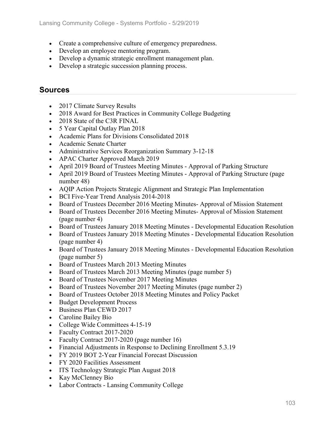- Create a comprehensive culture of emergency preparedness.
- Develop an employee mentoring program.
- Develop a dynamic strategic enrollment management plan.
- Develop a strategic succession planning process.

## **Sources**

- 2017 Climate Survey Results
- 2018 Award for Best Practices in Community College Budgeting
- 2018 State of the C3R FINAL
- 5 Year Capital Outlay Plan 2018
- Academic Plans for Divisions Consolidated 2018
- Academic Senate Charter
- Administrative Services Reorganization Summary 3-12-18
- APAC Charter Approved March 2019
- April 2019 Board of Trustees Meeting Minutes Approval of Parking Structure
- April 2019 Board of Trustees Meeting Minutes Approval of Parking Structure (page number 48)
- AQIP Action Projects Strategic Alignment and Strategic Plan Implementation
- BCI Five-Year Trend Analysis 2014-2018
- Board of Trustees December 2016 Meeting Minutes- Approval of Mission Statement
- Board of Trustees December 2016 Meeting Minutes-Approval of Mission Statement (page number 4)
- Board of Trustees January 2018 Meeting Minutes Developmental Education Resolution
- Board of Trustees January 2018 Meeting Minutes Developmental Education Resolution (page number 4)
- Board of Trustees January 2018 Meeting Minutes Developmental Education Resolution (page number 5)
- Board of Trustees March 2013 Meeting Minutes
- Board of Trustees March 2013 Meeting Minutes (page number 5)
- Board of Trustees November 2017 Meeting Minutes
- Board of Trustees November 2017 Meeting Minutes (page number 2)
- Board of Trustees October 2018 Meeting Minutes and Policy Packet
- Budget Development Process
- Business Plan CEWD 2017
- Caroline Bailey Bio
- College Wide Committees 4-15-19
- Faculty Contract 2017-2020
- Faculty Contract 2017-2020 (page number 16)
- Financial Adjustments in Response to Declining Enrollment 5.3.19
- FY 2019 BOT 2-Year Financial Forecast Discussion
- FY 2020 Facilities Assessment
- ITS Technology Strategic Plan August 2018
- Kay McClenney Bio
- Labor Contracts Lansing Community College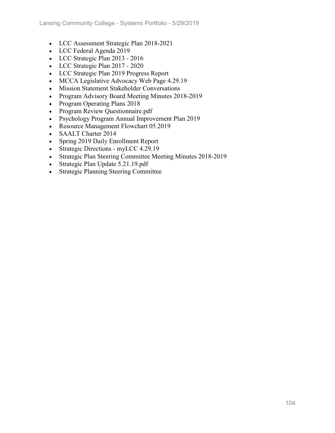- LCC Assessment Strategic Plan 2018-2021
- LCC Federal Agenda 2019
- LCC Strategic Plan 2013 2016
- LCC Strategic Plan 2017 2020
- LCC Strategic Plan 2019 Progress Report
- MCCA Legislative Advocacy Web Page 4.29.19
- Mission Statement Stakeholder Conversations
- Program Advisory Board Meeting Minutes 2018-2019
- Program Operating Plans 2018
- Program Review Questionnaire.pdf
- Psychology Program Annual Improvement Plan 2019
- Resource Management Flowchart 05.2019
- SAALT Charter 2014
- Spring 2019 Daily Enrollment Report
- Strategic Directions myLCC 4.29.19
- Strategic Plan Steering Committee Meeting Minutes 2018-2019
- Strategic Plan Update 5.21.19.pdf
- Strategic Planning Steering Committee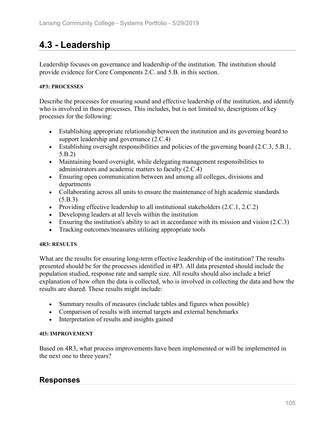# **4.3 - Leadership**

Leadership focuses on governance and leadership of the institution. The institution should provide evidence for Core Components 2.C. and 5.B. in this section.

### **4P3: PROCESSES**

Describe the processes for ensuring sound and effective leadership of the institution, and identify who is involved in those processes. This includes, but is not limited to, descriptions of key processes for the following:

- Establishing appropriate relationship between the institution and its governing board to support leadership and governance (2.C.4)
- Establishing oversight responsibilities and policies of the governing board (2.C.3, 5.B.1, 5.B.2)
- Maintaining board oversight, while delegating management responsibilities to administrators and academic matters to faculty (2.C.4)
- Ensuring open communication between and among all colleges, divisions and departments
- Collaborating across all units to ensure the maintenance of high academic standards (5.B.3)
- Providing effective leadership to all institutional stakeholders (2.C.1, 2.C.2)
- Developing leaders at all levels within the institution
- Ensuring the institution's ability to act in accordance with its mission and vision (2.C.3)
- Tracking outcomes/measures utilizing appropriate tools

#### **4R3: RESULTS**

What are the results for ensuring long-term effective leadership of the institution? The results presented should be for the processes identified in 4P3. All data presented should include the population studied, response rate and sample size. All results should also include a brief explanation of how often the data is collected, who is involved in collecting the data and how the results are shared. These results might include:

- Summary results of measures (include tables and figures when possible)
- Comparison of results with internal targets and external benchmarks
- Interpretation of results and insights gained

#### **4I3: IMPROVEMENT**

Based on 4R3, what process improvements have been implemented or will be implemented in the next one to three years?

## **Responses**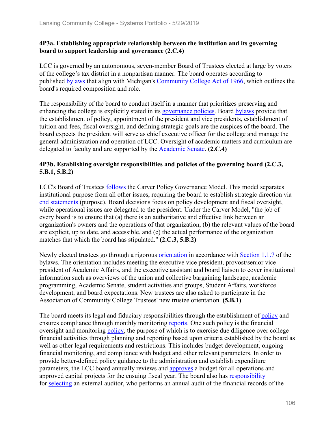## **4P3a. Establishing appropriate relationship between the institution and its governing board to support leadership and governance (2.C.4)**

LCC is governed by an autonomous, seven-member Board of Trustees elected at large by voters of the college's tax district in a nonpartisan manner. The board operates according to published bylaws that align with Michigan's Community College Act of 1966, which outlines the board's required composition and role.

The responsibility of the board to conduct itself in a manner that prioritizes preserving and enhancing the college is explicitly stated in its governance policies. Board bylaws provide that the establishment of policy, appointment of the president and vice presidents, establishment of tuition and fees, fiscal oversight, and defining strategic goals are the auspices of the board. The board expects the president will serve as chief executive officer for the college and manage the general administration and operation of LCC. Oversight of academic matters and curriculum are delegated to faculty and are supported by the Academic Senate. **(2.C.4)**

## **4P3b. Establishing oversight responsibilities and policies of the governing board (2.C.3, 5.B.1, 5.B.2)**

LCC's Board of Trustees follows the Carver Policy Governance Model. This model separates institutional purpose from all other issues, requiring the board to establish strategic direction via end statements (purpose). Board decisions focus on policy development and fiscal oversight, while operational issues are delegated to the president. Under the Carver Model, "the job of every board is to ensure that (a) there is an authoritative and effective link between an organization's owners and the operations of that organization, (b) the relevant values of the board are explicit, up to date, and accessible, and (c) the actual performance of the organization matches that which the board has stipulated." **(2.C.3, 5.B.2)**

Newly elected trustees go through a rigorous orientation in accordance with Section 1.1.7 of the bylaws. The orientation includes meeting the executive vice president, provost/senior vice president of Academic Affairs, and the executive assistant and board liaison to cover institutional information such as overviews of the union and collective bargaining landscape, academic programming, Academic Senate, student activities and groups, Student Affairs, workforce development, and board expectations. New trustees are also asked to participate in the Association of Community College Trustees' new trustee orientation. **(5.B.1)**

The board meets its legal and fiduciary responsibilities through the establishment of policy and ensures compliance through monthly monitoring reports. One such policy is the financial oversight and monitoring policy, the purpose of which is to exercise due diligence over college financial activities through planning and reporting based upon criteria established by the board as well as other legal requirements and restrictions. This includes budget development, ongoing financial monitoring, and compliance with budget and other relevant parameters. In order to provide better-defined policy guidance to the administration and establish expenditure parameters, the LCC board annually reviews and approves a budget for all operations and approved capital projects for the ensuing fiscal year. The board also has responsibility for selecting an external auditor, who performs an annual audit of the financial records of the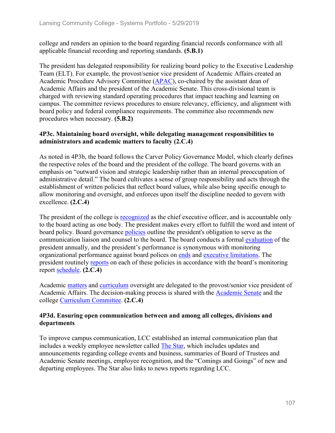college and renders an opinion to the board regarding financial records conformance with all applicable financial recording and reporting standards. **(5.B.1)**

The president has delegated responsibility for realizing board policy to the Executive Leadership Team (ELT). For example, the provost/senior vice president of Academic Affairs created an Academic Procedure Advisory Committee (APAC), co-chaired by the assistant dean of Academic Affairs and the president of the Academic Senate. This cross-divisional team is charged with reviewing standard operating procedures that impact teaching and learning on campus. The committee reviews procedures to ensure relevancy, efficiency, and alignment with board policy and federal compliance requirements. The committee also recommends new procedures when necessary. **(5.B.2)**

## **4P3c. Maintaining board oversight, while delegating management responsibilities to administrators and academic matters to faculty (2.C.4)**

As noted in 4P3b, the board follows the Carver Policy Governance Model, which clearly defines the respective roles of the board and the president of the college. The board governs with an emphasis on "outward vision and strategic leadership rather than an internal preoccupation of administrative detail." The board cultivates a sense of group responsibility and acts through the establishment of written policies that reflect board values, while also being specific enough to allow monitoring and oversight, and enforces upon itself the discipline needed to govern with excellence. **(2.C.4)**

The president of the college is recognized as the chief executive officer, and is accountable only to the board acting as one body. The president makes every effort to fulfill the word and intent of board policy. Board governance policies outline the president's obligation to serve as the communication liaison and counsel to the board. The board conducts a formal evaluation of the president annually, and the president's performance is synonymous with monitoring organizational performance against board polices on ends and executive limitations. The president routinely reports on each of these policies in accordance with the board's monitoring report schedule. **(2.C.4)**

Academic matters and curriculum oversight are delegated to the provost/senior vice president of Academic Affairs. The decision-making process is shared with the Academic Senate and the college Curriculum Committee. **(2.C.4)**

## **4P3d. Ensuring open communication between and among all colleges, divisions and departments**

To improve campus communication, LCC established an internal communication plan that includes a weekly employee newsletter called The Star, which includes updates and announcements regarding college events and business, summaries of Board of Trustees and Academic Senate meetings, employee recognition, and the "Comings and Goings" of new and departing employees. The Star also links to news reports regarding LCC.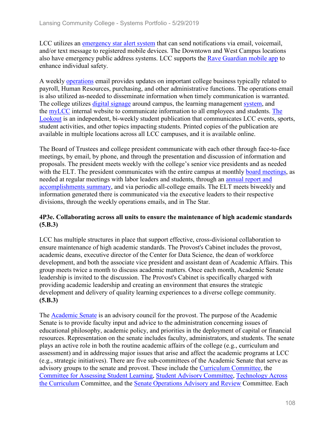LCC utilizes an emergency star alert system that can send notifications via email, voicemail, and/or text message to registered mobile devices. The Downtown and West Campus locations also have emergency public address systems. LCC supports the Rave Guardian mobile app to enhance individual safety.

A weekly operations email provides updates on important college business typically related to payroll, Human Resources, purchasing, and other administrative functions. The operations email is also utilized as-needed to disseminate information when timely communication is warranted. The college utilizes digital signage around campus, the learning management system, and the myLCC internal website to communicate information to all employees and students. The Lookout is an independent, bi-weekly student publication that communicates LCC events, sports, student activities, and other topics impacting students. Printed copies of the publication are available in multiple locations across all LCC campuses, and it is available online.

The Board of Trustees and college president communicate with each other through face-to-face meetings, by email, by phone, and through the presentation and discussion of information and proposals. The president meets weekly with the college's senior vice presidents and as needed with the ELT. The president communicates with the entire campus at monthly board meetings, as needed at regular meetings with labor leaders and students, through an annual report and accomplishments summary, and via periodic all-college emails. The ELT meets biweekly and information generated there is communicated via the executive leaders to their respective divisions, through the weekly operations emails, and in The Star.

## **4P3e. Collaborating across all units to ensure the maintenance of high academic standards (5.B.3)**

LCC has multiple structures in place that support effective, cross-divisional collaboration to ensure maintenance of high academic standards. The Provost's Cabinet includes the provost, academic deans, executive director of the Center for Data Science, the dean of workforce development, and both the associate vice president and assistant dean of Academic Affairs. This group meets twice a month to discuss academic matters. Once each month, Academic Senate leadership is invited to the discussion. The Provost's Cabinet is specifically charged with providing academic leadership and creating an environment that ensures the strategic development and delivery of quality learning experiences to a diverse college community. **(5.B.3)**

The Academic Senate is an advisory council for the provost. The purpose of the Academic Senate is to provide faculty input and advice to the administration concerning issues of educational philosophy, academic policy, and priorities in the deployment of capital or financial resources. Representation on the senate includes faculty, administrators, and students. The senate plays an active role in both the routine academic affairs of the college (e.g., curriculum and assessment) and in addressing major issues that arise and affect the academic programs at LCC (e.g., strategic initiatives). There are five sub-committees of the Academic Senate that serve as advisory groups to the senate and provost. These include the Curriculum Committee, the Committee for Assessing Student Learning, Student Advisory Committee, Technology Across the Curriculum Committee, and the Senate Operations Advisory and Review Committee. Each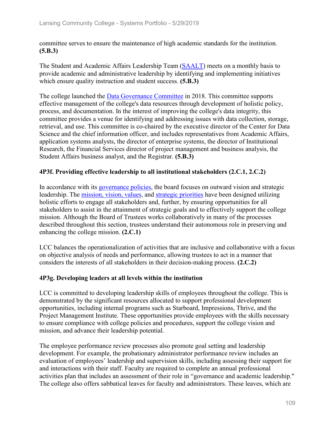committee serves to ensure the maintenance of high academic standards for the institution. **(5.B.3)**

The Student and Academic Affairs Leadership Team (SAALT) meets on a monthly basis to provide academic and administrative leadership by identifying and implementing initiatives which ensure quality instruction and student success. **(5.B.3)**

The college launched the Data Governance Committee in 2018. This committee supports effective management of the college's data resources through development of holistic policy, process, and documentation. In the interest of improving the college's data integrity, this committee provides a venue for identifying and addressing issues with data collection, storage, retrieval, and use. This committee is co-chaired by the executive director of the Center for Data Science and the chief information officer, and includes representatives from Academic Affairs, application systems analysts, the director of enterprise systems, the director of Institutional Research, the Financial Services director of project management and business analysis, the Student Affairs business analyst, and the Registrar. **(5.B.3)**

## **4P3f. Providing effective leadership to all institutional stakeholders (2.C.1, 2.C.2)**

In accordance with its governance policies, the board focuses on outward vision and strategic leadership. The mission, vision, values, and strategic priorities have been designed utilizing holistic efforts to engage all stakeholders and, further, by ensuring opportunities for all stakeholders to assist in the attainment of strategic goals and to effectively support the college mission. Although the Board of Trustees works collaboratively in many of the processes described throughout this section, trustees understand their autonomous role in preserving and enhancing the college mission. **(2.C.1)** 

LCC balances the operationalization of activities that are inclusive and collaborative with a focus on objective analysis of needs and performance, allowing trustees to act in a manner that considers the interests of all stakeholders in their decision-making process. **(2.C.2)**

## **4P3g. Developing leaders at all levels within the institution**

LCC is committed to developing leadership skills of employees throughout the college. This is demonstrated by the significant resources allocated to support professional development opportunities, including internal programs such as Starboard, Impressions, Thrive, and the Project Management Institute. These opportunities provide employees with the skills necessary to ensure compliance with college policies and procedures, support the college vision and mission, and advance their leadership potential.

The employee performance review processes also promote goal setting and leadership development. For example, the probationary administrator performance review includes an evaluation of employees' leadership and supervision skills, including assessing their support for and interactions with their staff. Faculty are required to complete an annual professional activities plan that includes an assessment of their role in "governance and academic leadership." The college also offers sabbatical leaves for faculty and administrators. These leaves, which are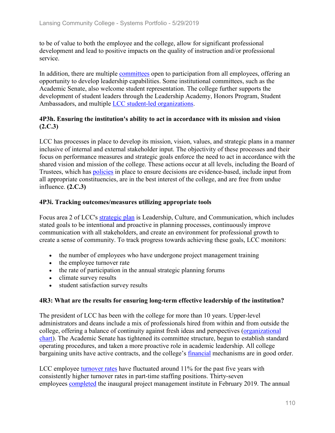to be of value to both the employee and the college, allow for significant professional development and lead to positive impacts on the quality of instruction and/or professional service.

In addition, there are multiple committees open to participation from all employees, offering an opportunity to develop leadership capabilities. Some institutional committees, such as the Academic Senate, also welcome student representation. The college further supports the development of student leaders through the Leadership Academy, Honors Program, Student Ambassadors, and multiple LCC student-led organizations.

## **4P3h. Ensuring the institution's ability to act in accordance with its mission and vision (2.C.3)**

LCC has processes in place to develop its mission, vision, values, and strategic plans in a manner inclusive of internal and external stakeholder input. The objectivity of these processes and their focus on performance measures and strategic goals enforce the need to act in accordance with the shared vision and mission of the college. These actions occur at all levels, including the Board of Trustees, which has policies in place to ensure decisions are evidence-based, include input from all appropriate constituencies, are in the best interest of the college, and are free from undue influence. **(2.C.3)**

## **4P3i. Tracking outcomes/measures utilizing appropriate tools**

Focus area 2 of LCC's strategic plan is Leadership, Culture, and Communication, which includes stated goals to be intentional and proactive in planning processes, continuously improve communication with all stakeholders, and create an environment for professional growth to create a sense of community. To track progress towards achieving these goals, LCC monitors:

- the number of employees who have undergone project management training
- the employee turnover rate
- the rate of participation in the annual strategic planning forums
- climate survey results
- student satisfaction survey results

## **4R3: What are the results for ensuring long-term effective leadership of the institution?**

The president of LCC has been with the college for more than 10 years. Upper-level administrators and deans include a mix of professionals hired from within and from outside the college, offering a balance of continuity against fresh ideas and perspectives (organizational chart). The Academic Senate has tightened its committee structure, begun to establish standard operating procedures, and taken a more proactive role in academic leadership. All college bargaining units have active contracts, and the college's financial mechanisms are in good order.

LCC employee turnover rates have fluctuated around 11% for the past five years with consistently higher turnover rates in part-time staffing positions. Thirty-seven employees completed the inaugural project management institute in February 2019. The annual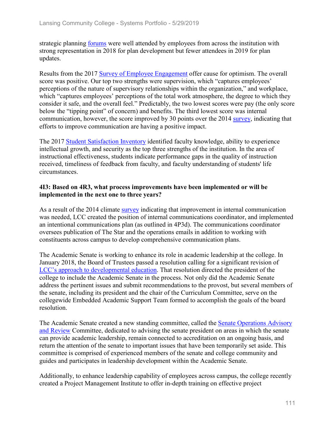strategic planning forums were well attended by employees from across the institution with strong representation in 2018 for plan development but fewer attendees in 2019 for plan updates.

Results from the 2017 Survey of Employee Engagement offer cause for optimism. The overall score was positive. Our top two strengths were supervision, which "captures employees' perceptions of the nature of supervisory relationships within the organization," and workplace, which "captures employees' perceptions of the total work atmosphere, the degree to which they consider it safe, and the overall feel." Predictably, the two lowest scores were pay (the only score below the "tipping point" of concern) and benefits. The third lowest score was internal communication, however, the score improved by 30 points over the 2014 survey, indicating that efforts to improve communication are having a positive impact.

The 2017 Student Satisfaction Inventory identified faculty knowledge, ability to experience intellectual growth, and security as the top three strengths of the institution. In the area of instructional effectiveness, students indicate performance gaps in the quality of instruction received, timeliness of feedback from faculty, and faculty understanding of students' life circumstances.

## **4I3: Based on 4R3, what process improvements have been implemented or will be implemented in the next one to three years?**

As a result of the 2014 climate survey indicating that improvement in internal communication was needed, LCC created the position of internal communications coordinator, and implemented an intentional communications plan (as outlined in 4P3d). The communications coordinator oversees publication of The Star and the operations emails in addition to working with constituents across campus to develop comprehensive communication plans.

The Academic Senate is working to enhance its role in academic leadership at the college. In January 2018, the Board of Trustees passed a resolution calling for a significant revision of LCC's approach to developmental education. That resolution directed the president of the college to include the Academic Senate in the process. Not only did the Academic Senate address the pertinent issues and submit recommendations to the provost, but several members of the senate, including its president and the chair of the Curriculum Committee, serve on the collegewide Embedded Academic Support Team formed to accomplish the goals of the board resolution.

The Academic Senate created a new standing committee, called the Senate Operations Advisory and Review Committee, dedicated to advising the senate president on areas in which the senate can provide academic leadership, remain connected to accreditation on an ongoing basis, and return the attention of the senate to important issues that have been temporarily set aside. This committee is comprised of experienced members of the senate and college community and guides and participates in leadership development within the Academic Senate.

Additionally, to enhance leadership capability of employees across campus, the college recently created a Project Management Institute to offer in-depth training on effective project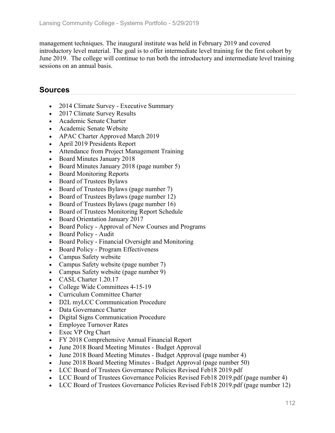management techniques. The inaugural institute was held in February 2019 and covered introductory level material. The goal is to offer intermediate level training for the first cohort by June 2019. The college will continue to run both the introductory and intermediate level training sessions on an annual basis.

- 2014 Climate Survey Executive Summary
- 2017 Climate Survey Results
- Academic Senate Charter
- Academic Senate Website
- APAC Charter Approved March 2019
- April 2019 Presidents Report
- Attendance from Project Management Training
- Board Minutes January 2018
- Board Minutes January 2018 (page number 5)
- Board Monitoring Reports
- Board of Trustees Bylaws
- Board of Trustees Bylaws (page number 7)
- Board of Trustees Bylaws (page number 12)
- Board of Trustees Bylaws (page number 16)
- Board of Trustees Monitoring Report Schedule
- Board Orientation January 2017
- Board Policy Approval of New Courses and Programs
- Board Policy Audit
- Board Policy Financial Oversight and Monitoring
- Board Policy Program Effectiveness
- Campus Safety website
- Campus Safety website (page number 7)
- Campus Safety website (page number 9)
- CASL Charter 1.20.17
- College Wide Committees 4-15-19
- Curriculum Committee Charter
- D2L myLCC Communication Procedure
- Data Governance Charter
- Digital Signs Communication Procedure
- Employee Turnover Rates
- Exec VP Org Chart
- FY 2018 Comprehensive Annual Financial Report
- June 2018 Board Meeting Minutes Budget Approval
- June 2018 Board Meeting Minutes Budget Approval (page number 4)
- June 2018 Board Meeting Minutes Budget Approval (page number 50)
- LCC Board of Trustees Governance Policies Revised Feb18 2019.pdf
- LCC Board of Trustees Governance Policies Revised Feb18 2019.pdf (page number 4)
- LCC Board of Trustees Governance Policies Revised Feb18 2019.pdf (page number 12)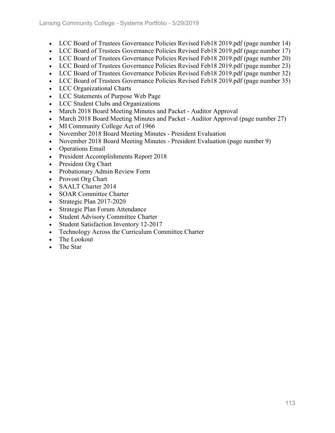- LCC Board of Trustees Governance Policies Revised Feb18 2019.pdf (page number 14)
- LCC Board of Trustees Governance Policies Revised Feb18 2019.pdf (page number 17)
- LCC Board of Trustees Governance Policies Revised Feb18 2019.pdf (page number 20)
- LCC Board of Trustees Governance Policies Revised Feb18 2019.pdf (page number 23)
- LCC Board of Trustees Governance Policies Revised Feb18 2019.pdf (page number 32)
- LCC Board of Trustees Governance Policies Revised Feb18 2019.pdf (page number 35)
- LCC Organizational Charts
- LCC Statements of Purpose Web Page
- LCC Student Clubs and Organizations
- March 2018 Board Meeting Minutes and Packet Auditor Approval
- March 2018 Board Meeting Minutes and Packet Auditor Approval (page number 27)
- MI Community College Act of 1966
- November 2018 Board Meeting Minutes President Evaluation
- November 2018 Board Meeting Minutes President Evaluation (page number 9)
- Operations Email
- President Accomplishments Report 2018
- President Org Chart
- Probationary Admin Review Form
- Provost Org Chart
- SAALT Charter 2014
- SOAR Committee Charter
- Strategic Plan 2017-2020
- Strategic Plan Forum Attendance
- Student Advisory Committee Charter
- Student Satisfaction Inventory 12-2017
- Technology Across the Curriculum Committee Charter
- The Lookout
- The Star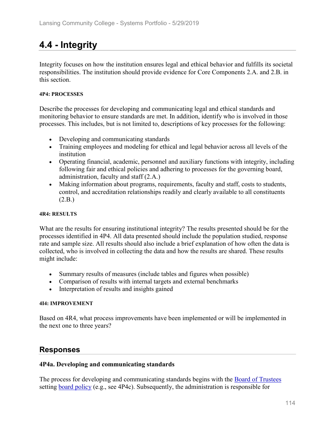# **4.4 - Integrity**

Integrity focuses on how the institution ensures legal and ethical behavior and fulfills its societal responsibilities. The institution should provide evidence for Core Components 2.A. and 2.B. in this section.

### **4P4: PROCESSES**

Describe the processes for developing and communicating legal and ethical standards and monitoring behavior to ensure standards are met. In addition, identify who is involved in those processes. This includes, but is not limited to, descriptions of key processes for the following:

- Developing and communicating standards
- Training employees and modeling for ethical and legal behavior across all levels of the institution
- Operating financial, academic, personnel and auxiliary functions with integrity, including following fair and ethical policies and adhering to processes for the governing board, administration, faculty and staff (2.A.)
- Making information about programs, requirements, faculty and staff, costs to students, control, and accreditation relationships readily and clearly available to all constituents (2.B.)

### **4R4: RESULTS**

What are the results for ensuring institutional integrity? The results presented should be for the processes identified in 4P4. All data presented should include the population studied, response rate and sample size. All results should also include a brief explanation of how often the data is collected, who is involved in collecting the data and how the results are shared. These results might include:

- Summary results of measures (include tables and figures when possible)
- Comparison of results with internal targets and external benchmarks
- Interpretation of results and insights gained

### **4I4: IMPROVEMENT**

Based on 4R4, what process improvements have been implemented or will be implemented in the next one to three years?

# **Responses**

## **4P4a. Developing and communicating standards**

The process for developing and communicating standards begins with the Board of Trustees setting board policy (e.g., see 4P4c). Subsequently, the administration is responsible for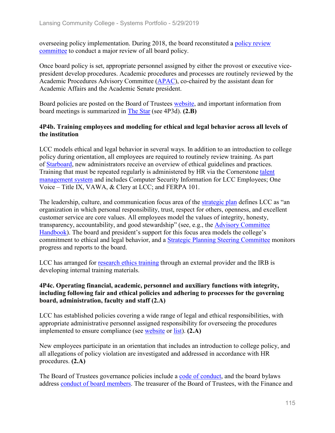overseeing policy implementation. During 2018, the board reconstituted a policy review committee to conduct a major review of all board policy.

Once board policy is set, appropriate personnel assigned by either the provost or executive vicepresident develop procedures. Academic procedures and processes are routinely reviewed by the Academic Procedures Advisory Committee (APAC), co-chaired by the assistant dean for Academic Affairs and the Academic Senate president.

Board policies are posted on the Board of Trustees website, and important information from board meetings is summarized in The Star (see 4P3d). **(2.B)**

## **4P4b. Training employees and modeling for ethical and legal behavior across all levels of the institution**

LCC models ethical and legal behavior in several ways. In addition to an introduction to college policy during orientation, all employees are required to routinely review training. As part of Starboard, new administrators receive an overview of ethical guidelines and practices. Training that must be repeated regularly is administered by HR via the Cornerstone talent management system and includes Computer Security Information for LCC Employees; One Voice – Title IX, VAWA, & Clery at LCC; and FERPA 101.

The leadership, culture, and communication focus area of the strategic plan defines LCC as "an organization in which personal responsibility, trust, respect for others, openness, and excellent customer service are core values. All employees model the values of integrity, honesty, transparency, accountability, and good stewardship" (see, e.g., the Advisory Committee Handbook). The board and president's support for this focus area models the college's commitment to ethical and legal behavior, and a Strategic Planning Steering Committee monitors progress and reports to the board.

LCC has arranged for research ethics training through an external provider and the IRB is developing internal training materials.

## **4P4c. Operating financial, academic, personnel and auxiliary functions with integrity, including following fair and ethical policies and adhering to processes for the governing board, administration, faculty and staff (2.A)**

LCC has established policies covering a wide range of legal and ethical responsibilities, with appropriate administrative personnel assigned responsibility for overseeing the procedures implemented to ensure compliance (see website or list). **(2.A)**

New employees participate in an orientation that includes an introduction to college policy, and all allegations of policy violation are investigated and addressed in accordance with HR procedures. **(2.A)**

The Board of Trustees governance policies include a code of conduct, and the board bylaws address conduct of board members. The treasurer of the Board of Trustees, with the Finance and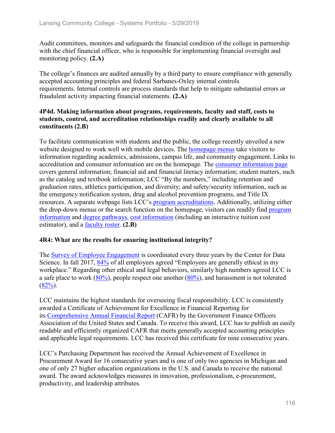Audit committees, monitors and safeguards the financial condition of the college in partnership with the chief financial officer, who is responsible for implementing financial oversight and monitoring policy. **(2.A)**

The college's finances are audited annually by a third party to ensure compliance with generally accepted accounting principles and federal Sarbanes-Oxley internal controls requirements. Internal controls are process standards that help to mitigate substantial errors or fraudulent activity impacting financial statements. **(2.A)**

## **4P4d. Making information about programs, requirements, faculty and staff, costs to students, control, and accreditation relationships readily and clearly available to all constituents (2.B)**

To facilitate communication with students and the public, the college recently unveiled a new website designed to work well with mobile devices. The homepage menus take visitors to information regarding academics, admissions, campus life, and community engagement. Links to accreditation and consumer information are on the homepage. The consumer information page covers general information; financial aid and financial literacy information; student matters, such as the catalog and textbook information; LCC "By the numbers," including retention and graduation rates, athletics participation, and diversity; and safety/security information, such as the emergency notification system, drug and alcohol prevention programs, and Title IX resources. A separate webpage lists LCC's program accreditations. Additionally, utilizing either the drop-down menus or the search function on the homepage, visitors can readily find program information and degree pathways, cost information (including an interactive tuition cost estimator), and a faculty roster. **(2.B)**

## **4R4: What are the results for ensuring institutional integrity?**

The Survey of Employee Engagement is coordinated every three years by the Center for Data Science. In fall 2017, 84% of all employees agreed "Employees are generally ethical in my workplace." Regarding other ethical and legal behaviors, similarly high numbers agreed LCC is a safe place to work  $(80\%)$ , people respect one another  $(80\%)$ , and harassment is not tolerated  $(82\%)$ .

LCC maintains the highest standards for overseeing fiscal responsibility. LCC is consistently awarded a Certificate of Achievement for Excellence in Financial Reporting for its Comprehensive Annual Financial Report (CAFR) by the Government Finance Officers Association of the United States and Canada. To receive this award, LCC has to publish an easily readable and efficiently organized CAFR that meets generally accepted accounting principles and applicable legal requirements. LCC has received this certificate for nine consecutive years.

LCC's Purchasing Department has received the Annual Achievement of Excellence in Procurement Award for 16 consecutive years and is one of only two agencies in Michigan and one of only 27 higher education organizations in the U.S. and Canada to receive the national award. The award acknowledges measures in innovation, professionalism, e-procurement, productivity, and leadership attributes.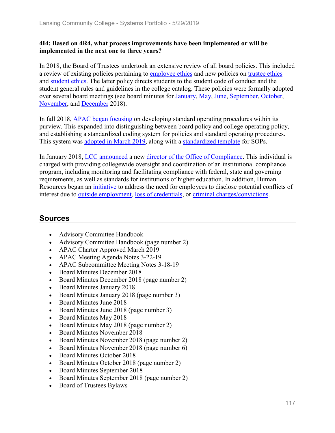## **4I4: Based on 4R4, what process improvements have been implemented or will be implemented in the next one to three years?**

In 2018, the Board of Trustees undertook an extensive review of all board policies. This included a review of existing policies pertaining to employee ethics and new policies on trustee ethics and student ethics. The latter policy directs students to the student code of conduct and the student general rules and guidelines in the college catalog. These policies were formally adopted over several board meetings (see board minutes for January, May, June, September, October, November, and December 2018).

In fall 2018, APAC began focusing on developing standard operating procedures within its purview. This expanded into distinguishing between board policy and college operating policy, and establishing a standardized coding system for policies and standard operating procedures. This system was adopted in March 2019, along with a standardized template for SOPs.

In January 2018, LCC announced a new director of the Office of Compliance. This individual is charged with providing collegewide oversight and coordination of an institutional compliance program, including monitoring and facilitating compliance with federal, state and governing requirements, as well as standards for institutions of higher education. In addition, Human Resources began an initiative to address the need for employees to disclose potential conflicts of interest due to outside employment, loss of credentials, or criminal charges/convictions.

- Advisory Committee Handbook
- Advisory Committee Handbook (page number 2)
- APAC Charter Approved March 2019
- APAC Meeting Agenda Notes 3-22-19
- APAC Subcommittee Meeting Notes 3-18-19
- Board Minutes December 2018
- Board Minutes December 2018 (page number 2)
- Board Minutes January 2018
- Board Minutes January 2018 (page number 3)
- Board Minutes June 2018
- Board Minutes June 2018 (page number 3)
- Board Minutes May 2018
- Board Minutes May 2018 (page number 2)
- Board Minutes November 2018
- Board Minutes November 2018 (page number 2)
- Board Minutes November 2018 (page number 6)
- Board Minutes October 2018
- Board Minutes October 2018 (page number 2)
- Board Minutes September 2018
- Board Minutes September 2018 (page number 2)
- Board of Trustees Bylaws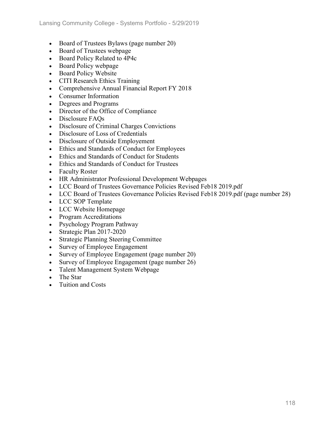- Board of Trustees Bylaws (page number 20)
- Board of Trustees webpage
- Board Policy Related to 4P4c
- Board Policy webpage
- Board Policy Website
- CITI Research Ethics Training
- Comprehensive Annual Financial Report FY 2018
- Consumer Information
- Degrees and Programs
- Director of the Office of Compliance
- Disclosure FAOs
- Disclosure of Criminal Charges Convictions
- Disclosure of Loss of Credentials
- Disclosure of Outside Employement
- Ethics and Standards of Conduct for Employees
- Ethics and Standards of Conduct for Students
- Ethics and Standards of Conduct for Trustees
- Faculty Roster
- HR Administrator Professional Development Webpages
- LCC Board of Trustees Governance Policies Revised Feb18 2019.pdf
- LCC Board of Trustees Governance Policies Revised Feb18 2019.pdf (page number 28)
- LCC SOP Template
- LCC Website Homepage
- Program Accreditations
- Psychology Program Pathway
- Strategic Plan 2017-2020
- Strategic Planning Steering Committee
- Survey of Employee Engagement
- Survey of Employee Engagement (page number 20)
- Survey of Employee Engagement (page number 26)
- Talent Management System Webpage
- The Star
- Tuition and Costs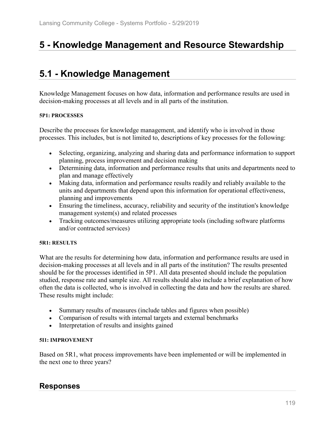# **5 - Knowledge Management and Resource Stewardship**

# **5.1 - Knowledge Management**

Knowledge Management focuses on how data, information and performance results are used in decision-making processes at all levels and in all parts of the institution.

### **5P1: PROCESSES**

Describe the processes for knowledge management, and identify who is involved in those processes. This includes, but is not limited to, descriptions of key processes for the following:

- Selecting, organizing, analyzing and sharing data and performance information to support planning, process improvement and decision making
- Determining data, information and performance results that units and departments need to plan and manage effectively
- Making data, information and performance results readily and reliably available to the units and departments that depend upon this information for operational effectiveness, planning and improvements
- Ensuring the timeliness, accuracy, reliability and security of the institution's knowledge management system(s) and related processes
- Tracking outcomes/measures utilizing appropriate tools (including software platforms and/or contracted services)

### **5R1: RESULTS**

What are the results for determining how data, information and performance results are used in decision-making processes at all levels and in all parts of the institution? The results presented should be for the processes identified in 5P1. All data presented should include the population studied, response rate and sample size. All results should also include a brief explanation of how often the data is collected, who is involved in collecting the data and how the results are shared. These results might include:

- Summary results of measures (include tables and figures when possible)
- Comparison of results with internal targets and external benchmarks
- Interpretation of results and insights gained

### **5I1: IMPROVEMENT**

Based on 5R1, what process improvements have been implemented or will be implemented in the next one to three years?

# **Responses**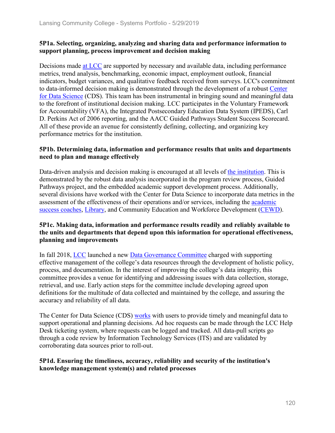## **5P1a. Selecting, organizing, analyzing and sharing data and performance information to support planning, process improvement and decision making**

Decisions made at LCC are supported by necessary and available data, including performance metrics, trend analysis, benchmarking, economic impact, employment outlook, financial indicators, budget variances, and qualitative feedback received from surveys. LCC's commitment to data-informed decision making is demonstrated through the development of a robust Center for Data Science (CDS). This team has been instrumental in bringing sound and meaningful data to the forefront of institutional decision making. LCC participates in the Voluntary Framework for Accountability (VFA), the Integrated Postsecondary Education Data System (IPEDS), Carl D. Perkins Act of 2006 reporting, and the AACC Guided Pathways Student Success Scorecard. All of these provide an avenue for consistently defining, collecting, and organizing key performance metrics for the institution.

### **5P1b. Determining data, information and performance results that units and departments need to plan and manage effectively**

Data-driven analysis and decision making is encouraged at all levels of the institution. This is demonstrated by the robust data analysis incorporated in the program review process, Guided Pathways project, and the embedded academic support development process. Additionally, several divisions have worked with the Center for Data Science to incorporate data metrics in the assessment of the effectiveness of their operations and/or services, including the academic success coaches, Library, and Community Education and Workforce Development (CEWD).

## **5P1c. Making data, information and performance results readily and reliably available to the units and departments that depend upon this information for operational effectiveness, planning and improvements**

In fall 2018, LCC launched a new Data Governance Committee charged with supporting effective management of the college's data resources through the development of holistic policy, process, and documentation. In the interest of improving the college's data integrity, this committee provides a venue for identifying and addressing issues with data collection, storage, retrieval, and use. Early action steps for the committee include developing agreed upon definitions for the multitude of data collected and maintained by the college, and assuring the accuracy and reliability of all data.

The Center for Data Science (CDS) works with users to provide timely and meaningful data to support operational and planning decisions. Ad hoc requests can be made through the LCC Help Desk ticketing system, where requests can be logged and tracked. All data-pull scripts go through a code review by Information Technology Services (ITS) and are validated by corroborating data sources prior to roll-out.

## **5P1d. Ensuring the timeliness, accuracy, reliability and security of the institution's knowledge management system(s) and related processes**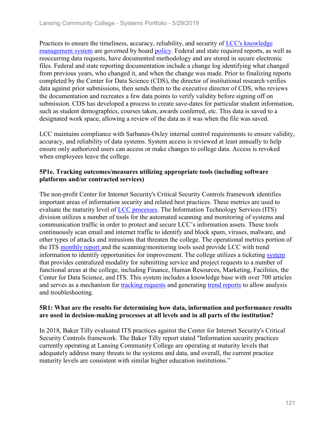Practices to ensure the timeliness, accuracy, reliability, and security of LCC's knowledge management system are governed by board policy. Federal and state required reports, as well as reoccurring data requests, have documented methodology and are stored in secure electronic files. Federal and state reporting documentation include a change log identifying what changed from previous years, who changed it, and when the change was made. Prior to finalizing reports completed by the Center for Data Science (CDS), the director of institutional research verifies data against prior submissions, then sends them to the executive director of CDS, who reviews the documentation and recreates a few data points to verify validity before signing off on submission. CDS has developed a process to create save-dates for particular student information, such as student demographics, courses taken, awards conferred, etc. This data is saved to a designated work space, allowing a review of the data as it was when the file was saved.

LCC maintains compliance with Sarbanes-Oxley internal control requirements to ensure validity, accuracy, and reliability of data systems. System access is reviewed at least annually to help ensure only authorized users can access or make changes to college data. Access is revoked when employees leave the college.

## **5P1e. Tracking outcomes/measures utilizing appropriate tools (including software platforms and/or contracted services)**

The non-profit Center for Internet Security's Critical Security Controls framework identifies important areas of information security and related best practices. These metrics are used to evaluate the maturity level of LCC processes. The Information Technology Services (ITS) division utilizes a number of tools for the automated scanning and monitoring of systems and communication traffic in order to protect and secure LCC's information assets. These tools continuously scan email and internet traffic to identify and block spam, viruses, malware, and other types of attacks and intrusions that threaten the college. The operational metrics portion of the ITS monthly report and the scanning/monitoring tools used provide LCC with trend information to identify opportunities for improvement. The college utilizes a ticketing system that provides centralized modality for submitting service and project requests to a number of functional areas at the college, including Finance, Human Resources, Marketing, Facilities, the Center for Data Science, and ITS. This system includes a knowledge base with over 700 articles and serves as a mechanism for tracking requests and generating trend reports to allow analysis and troubleshooting.

## **5R1: What are the results for determining how data, information and performance results are used in decision-making processes at all levels and in all parts of the institution?**

In 2018, Baker Tilly evaluated ITS practices against the Center for Internet Security's Critical Security Controls framework. The Baker Tilly report stated "Information security practices currently operating at Lansing Community College are operating at maturity levels that adequately address many threats to the systems and data, and overall, the current practice maturity levels are consistent with similar higher education institutions."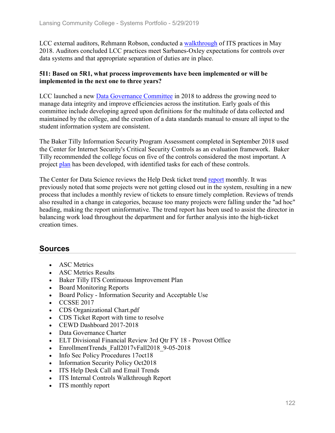LCC external auditors, Rehmann Robson, conducted a walkthrough of ITS practices in May 2018. Auditors concluded LCC practices meet Sarbanes-Oxley expectations for controls over data systems and that appropriate separation of duties are in place.

### **5I1: Based on 5R1, what process improvements have been implemented or will be implemented in the next one to three years?**

LCC launched a new Data Governance Committee in 2018 to address the growing need to manage data integrity and improve efficiencies across the institution. Early goals of this committee include developing agreed upon definitions for the multitude of data collected and maintained by the college, and the creation of a data standards manual to ensure all input to the student information system are consistent.

The Baker Tilly Information Security Program Assessment completed in September 2018 used the Center for Internet Security's Critical Security Controls as an evaluation framework. Baker Tilly recommended the college focus on five of the controls considered the most important. A project plan has been developed, with identified tasks for each of these controls.

The Center for Data Science reviews the Help Desk ticket trend report monthly. It was previously noted that some projects were not getting closed out in the system, resulting in a new process that includes a monthly review of tickets to ensure timely completion. Reviews of trends also resulted in a change in categories, because too many projects were falling under the "ad hoc" heading, making the report uninformative. The trend report has been used to assist the director in balancing work load throughout the department and for further analysis into the high-ticket creation times.

- ASC Metrics
- ASC Metrics Results
- Baker Tilly ITS Continuous Improvement Plan
- Board Monitoring Reports
- Board Policy Information Security and Acceptable Use
- CCSSE 2017
- CDS Organizational Chart.pdf
- CDS Ticket Report with time to resolve
- CEWD Dashboard 2017-2018
- Data Governance Charter
- ELT Divisional Financial Review 3rd Qtr FY 18 Provost Office
- EnrollmentTrends Fall2017vFall2018 9-05-2018
- Info Sec Policy Procedures 17oct18
- Information Security Policy Oct2018
- ITS Help Desk Call and Email Trends
- ITS Internal Controls Walkthrough Report
- ITS monthly report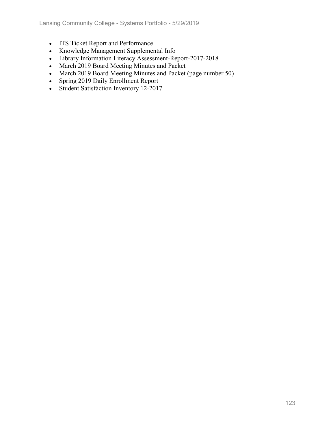- ITS Ticket Report and Performance
- Knowledge Management Supplemental Info
- Library Information Literacy Assessment-Report-2017-2018
- March 2019 Board Meeting Minutes and Packet
- March 2019 Board Meeting Minutes and Packet (page number 50)
- Spring 2019 Daily Enrollment Report
- Student Satisfaction Inventory 12-2017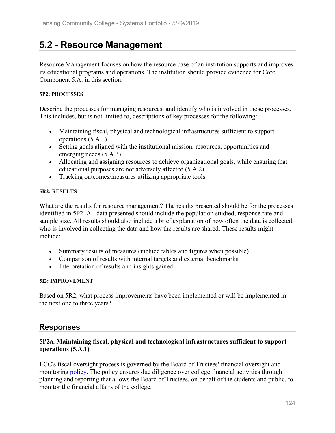# **5.2 - Resource Management**

Resource Management focuses on how the resource base of an institution supports and improves its educational programs and operations. The institution should provide evidence for Core Component 5.A. in this section.

### **5P2: PROCESSES**

Describe the processes for managing resources, and identify who is involved in those processes. This includes, but is not limited to, descriptions of key processes for the following:

- Maintaining fiscal, physical and technological infrastructures sufficient to support operations (5.A.1)
- Setting goals aligned with the institutional mission, resources, opportunities and emerging needs (5.A.3)
- Allocating and assigning resources to achieve organizational goals, while ensuring that educational purposes are not adversely affected (5.A.2)
- Tracking outcomes/measures utilizing appropriate tools

### **5R2: RESULTS**

What are the results for resource management? The results presented should be for the processes identified in 5P2. All data presented should include the population studied, response rate and sample size. All results should also include a brief explanation of how often the data is collected, who is involved in collecting the data and how the results are shared. These results might include:

- Summary results of measures (include tables and figures when possible)
- Comparison of results with internal targets and external benchmarks
- Interpretation of results and insights gained

### **5I2: IMPROVEMENT**

Based on 5R2, what process improvements have been implemented or will be implemented in the next one to three years?

# **Responses**

## **5P2a. Maintaining fiscal, physical and technological infrastructures sufficient to support operations (5.A.1)**

LCC's fiscal oversight process is governed by the Board of Trustees' financial oversight and monitoring policy. The policy ensures due diligence over college financial activities through planning and reporting that allows the Board of Trustees, on behalf of the students and public, to monitor the financial affairs of the college.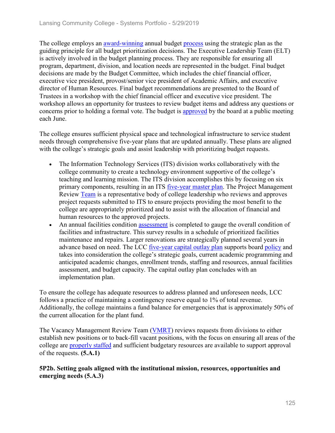The college employs an award-winning annual budget process using the strategic plan as the guiding principle for all budget prioritization decisions. The Executive Leadership Team (ELT) is actively involved in the budget planning process. They are responsible for ensuring all program, department, division, and location needs are represented in the budget. Final budget decisions are made by the Budget Committee, which includes the chief financial officer, executive vice president, provost/senior vice president of Academic Affairs, and executive director of Human Resources. Final budget recommendations are presented to the Board of Trustees in a workshop with the chief financial officer and executive vice president. The workshop allows an opportunity for trustees to review budget items and address any questions or concerns prior to holding a formal vote. The budget is approved by the board at a public meeting each June.

The college ensures sufficient physical space and technological infrastructure to service student needs through comprehensive five-year plans that are updated annually. These plans are aligned with the college's strategic goals and assist leadership with prioritizing budget requests.

- The Information Technology Services (ITS) division works collaboratively with the college community to create a technology environment supportive of the college's teaching and learning mission. The ITS division accomplishes this by focusing on six primary components, resulting in an ITS five-year master plan. The Project Management Review Team is a representative body of college leadership who reviews and approves project requests submitted to ITS to ensure projects providing the most benefit to the college are appropriately prioritized and to assist with the allocation of financial and human resources to the approved projects.
- An annual facilities condition assessment is completed to gauge the overall condition of facilities and infrastructure. This survey results in a schedule of prioritized facilities maintenance and repairs. Larger renovations are strategically planned several years in advance based on need. The LCC five-year capital outlay plan supports board policy and takes into consideration the college's strategic goals, current academic programming and anticipated academic changes, enrollment trends, staffing and resources, annual facilities assessment, and budget capacity. The capital outlay plan concludes with an implementation plan.

To ensure the college has adequate resources to address planned and unforeseen needs, LCC follows a practice of maintaining a contingency reserve equal to 1% of total revenue. Additionally, the college maintains a fund balance for emergencies that is approximately 50% of the current allocation for the plant fund.

The Vacancy Management Review Team (VMRT) reviews requests from divisions to either establish new positions or to back-fill vacant positions, with the focus on ensuring all areas of the college are **properly staffed** and sufficient budgetary resources are available to support approval of the requests. **(5.A.1)**

## **5P2b. Setting goals aligned with the institutional mission, resources, opportunities and emerging needs (5.A.3)**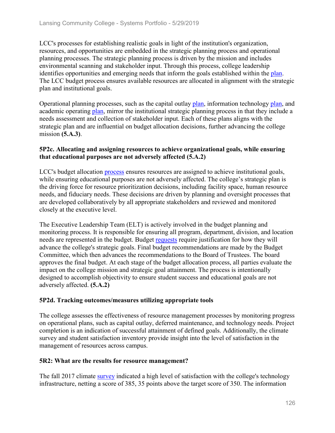LCC's processes for establishing realistic goals in light of the institution's organization, resources, and opportunities are embedded in the strategic planning process and operational planning processes. The strategic planning process is driven by the mission and includes environmental scanning and stakeholder input. Through this process, college leadership identifies opportunities and emerging needs that inform the goals established within the plan. The LCC budget process ensures available resources are allocated in alignment with the strategic plan and institutional goals.

Operational planning processes, such as the capital outlay plan, information technology plan, and academic operating plan, mirror the institutional strategic planning process in that they include a needs assessment and collection of stakeholder input. Each of these plans aligns with the strategic plan and are influential on budget allocation decisions, further advancing the college mission **(5.A.3)**.

### **5P2c. Allocating and assigning resources to achieve organizational goals, while ensuring that educational purposes are not adversely affected (5.A.2)**

LCC's budget allocation process ensures resources are assigned to achieve institutional goals, while ensuring educational purposes are not adversely affected. The college's strategic plan is the driving force for resource prioritization decisions, including facility space, human resource needs, and fiduciary needs. These decisions are driven by planning and oversight processes that are developed collaboratively by all appropriate stakeholders and reviewed and monitored closely at the executive level.

The Executive Leadership Team (ELT) is actively involved in the budget planning and monitoring process. It is responsible for ensuring all program, department, division, and location needs are represented in the budget. Budget requests require justification for how they will advance the college's strategic goals. Final budget recommendations are made by the Budget Committee, which then advances the recommendations to the Board of Trustees. The board approves the final budget. At each stage of the budget allocation process, all parties evaluate the impact on the college mission and strategic goal attainment. The process is intentionally designed to accomplish objectivity to ensure student success and educational goals are not adversely affected. **(5.A.2)**

## **5P2d. Tracking outcomes/measures utilizing appropriate tools**

The college assesses the effectiveness of resource management processes by monitoring progress on operational plans, such as capital outlay, deferred maintenance, and technology needs. Project completion is an indication of successful attainment of defined goals. Additionally, the climate survey and student satisfaction inventory provide insight into the level of satisfaction in the management of resources across campus.

## **5R2: What are the results for resource management?**

The fall 2017 climate survey indicated a high level of satisfaction with the college's technology infrastructure, netting a score of 385, 35 points above the target score of 350. The information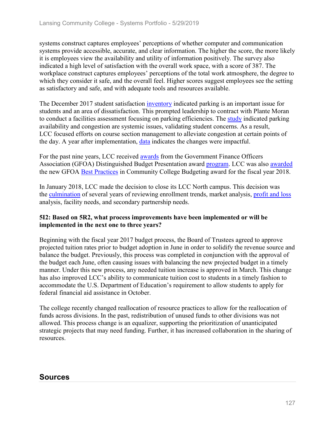systems construct captures employees' perceptions of whether computer and communication systems provide accessible, accurate, and clear information. The higher the score, the more likely it is employees view the availability and utility of information positively. The survey also indicated a high level of satisfaction with the overall work space, with a score of 387. The workplace construct captures employees' perceptions of the total work atmosphere, the degree to which they consider it safe, and the overall feel. Higher scores suggest employees see the setting as satisfactory and safe, and with adequate tools and resources available.

The December 2017 student satisfaction inventory indicated parking is an important issue for students and an area of dissatisfaction. This prompted leadership to contract with Plante Moran to conduct a facilities assessment focusing on parking efficiencies. The study indicated parking availability and congestion are systemic issues, validating student concerns. As a result, LCC focused efforts on course section management to alleviate congestion at certain points of the day. A year after implementation, data indicates the changes were impactful.

For the past nine years, LCC received awards from the Government Finance Officers Association (GFOA) Distinguished Budget Presentation award program. LCC was also awarded the new GFOA Best Practices in Community College Budgeting award for the fiscal year 2018.

In January 2018, LCC made the decision to close its LCC North campus. This decision was the culmination of several years of reviewing enrollment trends, market analysis, profit and loss analysis, facility needs, and secondary partnership needs.

## **5I2: Based on 5R2, what process improvements have been implemented or will be implemented in the next one to three years?**

Beginning with the fiscal year 2017 budget process, the Board of Trustees agreed to approve projected tuition rates prior to budget adoption in June in order to solidify the revenue source and balance the budget. Previously, this process was completed in conjunction with the approval of the budget each June, often causing issues with balancing the new projected budget in a timely manner. Under this new process, any needed tuition increase is approved in March. This change has also improved LCC's ability to communicate tuition cost to students in a timely fashion to accommodate the U.S. Department of Education's requirement to allow students to apply for federal financial aid assistance in October.

The college recently changed reallocation of resource practices to allow for the reallocation of funds across divisions. In the past, redistribution of unused funds to other divisions was not allowed. This process change is an equalizer, supporting the prioritization of unanticipated strategic projects that may need funding. Further, it has increased collaboration in the sharing of resources.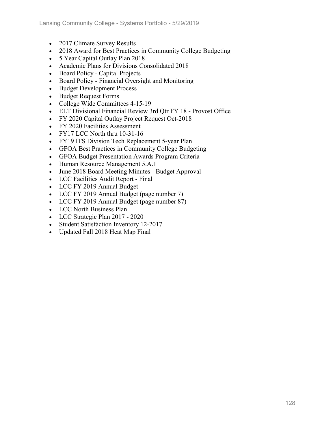- 2017 Climate Survey Results
- 2018 Award for Best Practices in Community College Budgeting
- 5 Year Capital Outlay Plan 2018
- Academic Plans for Divisions Consolidated 2018
- Board Policy Capital Projects
- Board Policy Financial Oversight and Monitoring
- Budget Development Process
- Budget Request Forms
- College Wide Committees 4-15-19
- ELT Divisional Financial Review 3rd Qtr FY 18 Provost Office
- FY 2020 Capital Outlay Project Request Oct-2018
- FY 2020 Facilities Assessment
- FY17 LCC North thru 10-31-16
- FY19 ITS Division Tech Replacement 5-year Plan
- GFOA Best Practices in Community College Budgeting
- GFOA Budget Presentation Awards Program Criteria
- Human Resource Management 5.A.1
- June 2018 Board Meeting Minutes Budget Approval
- LCC Facilities Audit Report Final
- LCC FY 2019 Annual Budget
- LCC FY 2019 Annual Budget (page number 7)
- LCC FY 2019 Annual Budget (page number 87)
- LCC North Business Plan
- LCC Strategic Plan 2017 2020
- Student Satisfaction Inventory 12-2017
- Updated Fall 2018 Heat Map Final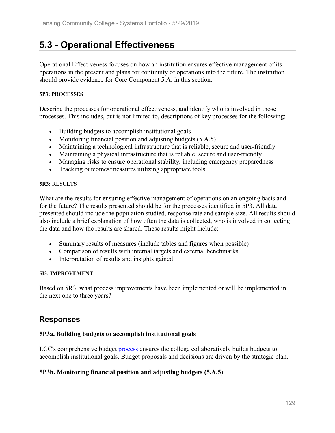# **5.3 - Operational Effectiveness**

Operational Effectiveness focuses on how an institution ensures effective management of its operations in the present and plans for continuity of operations into the future. The institution should provide evidence for Core Component 5.A. in this section.

#### **5P3: PROCESSES**

Describe the processes for operational effectiveness, and identify who is involved in those processes. This includes, but is not limited to, descriptions of key processes for the following:

- Building budgets to accomplish institutional goals
- Monitoring financial position and adjusting budgets (5.A.5)
- Maintaining a technological infrastructure that is reliable, secure and user-friendly
- Maintaining a physical infrastructure that is reliable, secure and user-friendly
- Managing risks to ensure operational stability, including emergency preparedness
- Tracking outcomes/measures utilizing appropriate tools

#### **5R3: RESULTS**

What are the results for ensuring effective management of operations on an ongoing basis and for the future? The results presented should be for the processes identified in 5P3. All data presented should include the population studied, response rate and sample size. All results should also include a brief explanation of how often the data is collected, who is involved in collecting the data and how the results are shared. These results might include:

- Summary results of measures (include tables and figures when possible)
- Comparison of results with internal targets and external benchmarks
- Interpretation of results and insights gained

### **5I3: IMPROVEMENT**

Based on 5R3, what process improvements have been implemented or will be implemented in the next one to three years?

# **Responses**

## **5P3a. Building budgets to accomplish institutional goals**

LCC's comprehensive budget process ensures the college collaboratively builds budgets to accomplish institutional goals. Budget proposals and decisions are driven by the strategic plan.

## **5P3b. Monitoring financial position and adjusting budgets (5.A.5)**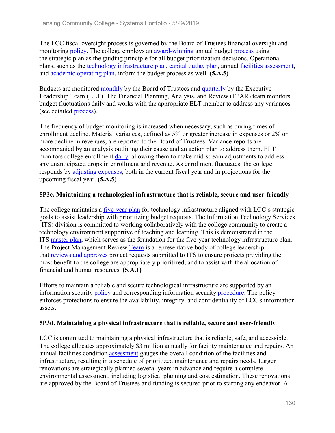The LCC fiscal oversight process is governed by the Board of Trustees financial oversight and monitoring policy. The college employs an award-winning annual budget process using the strategic plan as the guiding principle for all budget prioritization decisions. Operational plans, such as the technology infrastructure plan, capital outlay plan, annual facilities assessment, and academic operating plan, inform the budget process as well. **(5.A.5)**

Budgets are monitored monthly by the Board of Trustees and quarterly by the Executive Leadership Team (ELT). The Financial Planning, Analysis, and Review (FPAR) team monitors budget fluctuations daily and works with the appropriate ELT member to address any variances (see detailed process).

The frequency of budget monitoring is increased when necessary, such as during times of enrollment decline. Material variances, defined as 5% or greater increase in expenses or 2% or more decline in revenues, are reported to the Board of Trustees. Variance reports are accompanied by an analysis outlining their cause and an action plan to address them. ELT monitors college enrollment daily, allowing them to make mid-stream adjustments to address any unanticipated drops in enrollment and revenue. As enrollment fluctuates, the college responds by adjusting expenses, both in the current fiscal year and in projections for the upcoming fiscal year. **(5.A.5)**

## **5P3c. Maintaining a technological infrastructure that is reliable, secure and user-friendly**

The college maintains a five-year plan for technology infrastructure aligned with LCC's strategic goals to assist leadership with prioritizing budget requests. The Information Technology Services (ITS) division is committed to working collaboratively with the college community to create a technology environment supportive of teaching and learning. This is demonstrated in the ITS master plan, which serves as the foundation for the five-year technology infrastructure plan. The Project Management Review Team is a representative body of college leadership that reviews and approves project requests submitted to ITS to ensure projects providing the most benefit to the college are appropriately prioritized, and to assist with the allocation of financial and human resources. **(5.A.1)**

Efforts to maintain a reliable and secure technological infrastructure are supported by an information security policy and corresponding information security procedure. The policy enforces protections to ensure the availability, integrity, and confidentiality of LCC's information assets.

## **5P3d. Maintaining a physical infrastructure that is reliable, secure and user-friendly**

LCC is committed to maintaining a physical infrastructure that is reliable, safe, and accessible. The college allocates approximately \$3 million annually for facility maintenance and repairs. An annual facilities condition assessment gauges the overall condition of the facilities and infrastructure, resulting in a schedule of prioritized maintenance and repairs needs. Larger renovations are strategically planned several years in advance and require a complete environmental assessment, including logistical planning and cost estimation. These renovations are approved by the Board of Trustees and funding is secured prior to starting any endeavor. A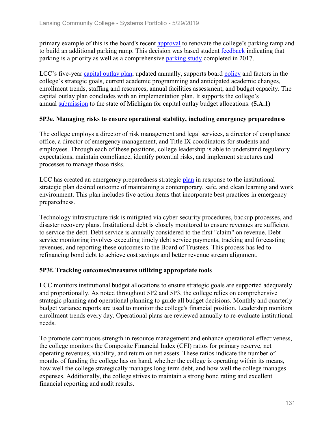primary example of this is the board's recent approval to renovate the college's parking ramp and to build an additional parking ramp. This decision was based student feedback indicating that parking is a priority as well as a comprehensive parking study completed in 2017.

LCC's five-year capital outlay plan, updated annually, supports board policy and factors in the college's strategic goals, current academic programming and anticipated academic changes, enrollment trends, staffing and resources, annual facilities assessment, and budget capacity. The capital outlay plan concludes with an implementation plan. It supports the college's annual submission to the state of Michigan for capital outlay budget allocations. **(5.A.1)**

## **5P3e. Managing risks to ensure operational stability, including emergency preparedness**

The college employs a director of risk management and legal services, a director of compliance office, a director of emergency management, and Title IX coordinators for students and employees. Through each of these positions, college leadership is able to understand regulatory expectations, maintain compliance, identify potential risks, and implement structures and processes to manage those risks.

LCC has created an emergency preparedness strategic plan in response to the institutional strategic plan desired outcome of maintaining a contemporary, safe, and clean learning and work environment. This plan includes five action items that incorporate best practices in emergency preparedness.

Technology infrastructure risk is mitigated via cyber-security procedures, backup processes, and disaster recovery plans. Institutional debt is closely monitored to ensure revenues are sufficient to service the debt. Debt service is annually considered to the first "claim" on revenue. Debt service monitoring involves executing timely debt service payments, tracking and forecasting revenues, and reporting these outcomes to the Board of Trustees. This process has led to refinancing bond debt to achieve cost savings and better revenue stream alignment.

## **5P3f. Tracking outcomes/measures utilizing appropriate tools**

LCC monitors institutional budget allocations to ensure strategic goals are supported adequately and proportionally. As noted throughout 5P2 and 5P3, the college relies on comprehensive strategic planning and operational planning to guide all budget decisions. Monthly and quarterly budget variance reports are used to monitor the college's financial position. Leadership monitors enrollment trends every day. Operational plans are reviewed annually to re-evaluate institutional needs.

To promote continuous strength in resource management and enhance operational effectiveness, the college monitors the Composite Financial Index (CFI) ratios for primary reserve, net operating revenues, viability, and return on net assets. These ratios indicate the number of months of funding the college has on hand, whether the college is operating within its means, how well the college strategically manages long-term debt, and how well the college manages expenses. Additionally, the college strives to maintain a strong bond rating and excellent financial reporting and audit results.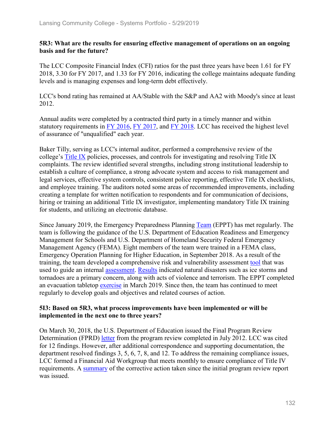## **5R3: What are the results for ensuring effective management of operations on an ongoing basis and for the future?**

The LCC Composite Financial Index (CFI) ratios for the past three years have been 1.61 for FY 2018, 3.30 for FY 2017, and 1.33 for FY 2016, indicating the college maintains adequate funding levels and is managing expenses and long-term debt effectively.

LCC's bond rating has remained at AA/Stable with the S&P and AA2 with Moody's since at least 2012.

Annual audits were completed by a contracted third party in a timely manner and within statutory requirements in FY 2016, FY 2017, and FY 2018. LCC has received the highest level of assurance of "unqualified" each year.

Baker Tilly, serving as LCC's internal auditor, performed a comprehensive review of the college's Title IX policies, processes, and controls for investigating and resolving Title IX complaints. The review identified several strengths, including strong institutional leadership to establish a culture of compliance, a strong advocate system and access to risk management and legal services, effective system controls, consistent police reporting, effective Title IX checklists, and employee training. The auditors noted some areas of recommended improvements, including creating a template for written notification to respondents and for communication of decisions, hiring or training an additional Title IX investigator, implementing mandatory Title IX training for students, and utilizing an electronic database.

Since January 2019, the Emergency Preparedness Planning Team (EPPT) has met regularly. The team is following the guidance of the U.S. Department of Education Readiness and Emergency Management for Schools and U.S. Department of Homeland Security Federal Emergency Management Agency (FEMA). Eight members of the team were trained in a FEMA class, Emergency Operation Planning for Higher Education, in September 2018. As a result of the training, the team developed a comprehensive risk and vulnerability assessment tool that was used to guide an internal assessment. Results indicated natural disasters such as ice storms and tornadoes are a primary concern, along with acts of violence and terrorism. The EPPT completed an evacuation tabletop exercise in March 2019. Since then, the team has continued to meet regularly to develop goals and objectives and related courses of action.

## **5I3: Based on 5R3, what process improvements have been implemented or will be implemented in the next one to three years?**

On March 30, 2018, the U.S. Department of Education issued the Final Program Review Determination (FPRD) letter from the program review completed in July 2012. LCC was cited for 12 findings. However, after additional correspondence and supporting documentation, the department resolved findings 3, 5, 6, 7, 8, and 12. To address the remaining compliance issues, LCC formed a Financial Aid Workgroup that meets monthly to ensure compliance of Title IV requirements. A summary of the corrective action taken since the initial program review report was issued.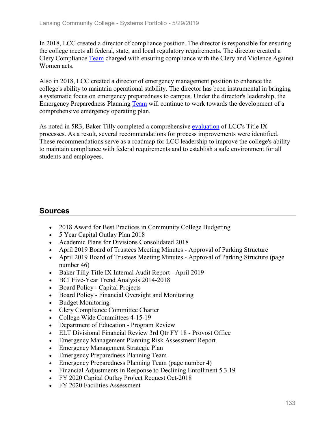In 2018, LCC created a director of compliance position. The director is responsible for ensuring the college meets all federal, state, and local regulatory requirements. The director created a Clery Compliance Team charged with ensuring compliance with the Clery and Violence Against Women acts.

Also in 2018, LCC created a director of emergency management position to enhance the college's ability to maintain operational stability. The director has been instrumental in bringing a systematic focus on emergency preparedness to campus. Under the director's leadership, the Emergency Preparedness Planning Team will continue to work towards the development of a comprehensive emergency operating plan.

As noted in 5R3, Baker Tilly completed a comprehensive evaluation of LCC's Title IX processes. As a result, several recommendations for process improvements were identified. These recommendations serve as a roadmap for LCC leadership to improve the college's ability to maintain compliance with federal requirements and to establish a safe environment for all students and employees.

- 2018 Award for Best Practices in Community College Budgeting
- 5 Year Capital Outlay Plan 2018
- Academic Plans for Divisions Consolidated 2018
- April 2019 Board of Trustees Meeting Minutes Approval of Parking Structure
- April 2019 Board of Trustees Meeting Minutes Approval of Parking Structure (page number 46)
- Baker Tilly Title IX Internal Audit Report April 2019
- BCI Five-Year Trend Analysis 2014-2018
- Board Policy Capital Projects
- Board Policy Financial Oversight and Monitoring
- Budget Monitoring
- Clery Compliance Committee Charter
- College Wide Committees 4-15-19
- Department of Education Program Review
- ELT Divisional Financial Review 3rd Qtr FY 18 Provost Office
- Emergency Management Planning Risk Assessment Report
- Emergency Management Strategic Plan
- Emergency Preparedness Planning Team
- Emergency Preparedness Planning Team (page number 4)
- Financial Adjustments in Response to Declining Enrollment 5.3.19
- FY 2020 Capital Outlay Project Request Oct-2018
- FY 2020 Facilities Assessment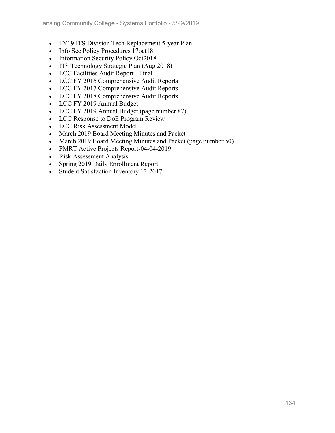- FY19 ITS Division Tech Replacement 5-year Plan
- Info Sec Policy Procedures 17oct18
- Information Security Policy Oct2018
- ITS Technology Strategic Plan (Aug 2018)
- LCC Facilities Audit Report Final
- LCC FY 2016 Comprehensive Audit Reports
- LCC FY 2017 Comprehensive Audit Reports
- LCC FY 2018 Comprehensive Audit Reports
- LCC FY 2019 Annual Budget
- LCC FY 2019 Annual Budget (page number 87)
- LCC Response to DoE Program Review
- LCC Risk Assessment Model
- March 2019 Board Meeting Minutes and Packet
- March 2019 Board Meeting Minutes and Packet (page number 50)
- PMRT Active Projects Report-04-04-2019
- Risk Assessment Analysis
- Spring 2019 Daily Enrollment Report
- Student Satisfaction Inventory 12-2017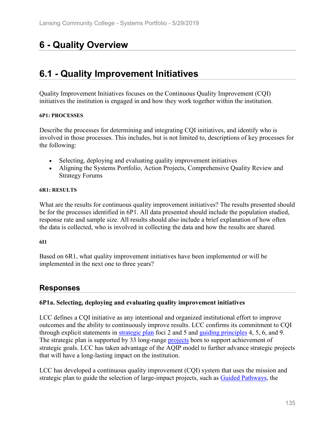# **6 - Quality Overview**

# **6.1 - Quality Improvement Initiatives**

Quality Improvement Initiatives focuses on the Continuous Quality Improvement (CQI) initiatives the institution is engaged in and how they work together within the institution.

### **6P1: PROCESSES**

Describe the processes for determining and integrating CQI initiatives, and identify who is involved in those processes. This includes, but is not limited to, descriptions of key processes for the following:

- Selecting, deploying and evaluating quality improvement initiatives
- Aligning the Systems Portfolio, Action Projects, Comprehensive Quality Review and Strategy Forums

### **6R1: RESULTS**

What are the results for continuous quality improvement initiatives? The results presented should be for the processes identified in 6P1. All data presented should include the population studied, response rate and sample size. All results should also include a brief explanation of how often the data is collected, who is involved in collecting the data and how the results are shared.

### **6I1**

Based on 6R1, what quality improvement initiatives have been implemented or will be implemented in the next one to three years?

# **Responses**

## **6P1a. Selecting, deploying and evaluating quality improvement initiatives**

LCC defines a CQI initiative as any intentional and organized institutional effort to improve outcomes and the ability to continuously improve results. LCC confirms its commitment to CQI through explicit statements in strategic plan foci 2 and 5 and guiding principles 4, 5, 6, and 9. The strategic plan is supported by 33 long-range projects born to support achievement of strategic goals. LCC has taken advantage of the AQIP model to further advance strategic projects that will have a long-lasting impact on the institution.

LCC has developed a continuous quality improvement (CQI) system that uses the mission and strategic plan to guide the selection of large-impact projects, such as **Guided Pathways**, the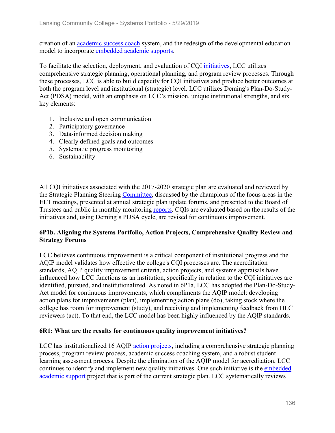creation of an academic success coach system, and the redesign of the developmental education model to incorporate embedded academic supports.

To facilitate the selection, deployment, and evaluation of CQI initiatives, LCC utilizes comprehensive strategic planning, operational planning, and program review processes. Through these processes, LCC is able to build capacity for CQI initiatives and produce better outcomes at both the program level and institutional (strategic) level. LCC utilizes Deming's Plan-Do-Study-Act (PDSA) model, with an emphasis on LCC's mission, unique institutional strengths, and six key elements:

- 1. Inclusive and open communication
- 2. Participatory governance
- 3. Data-informed decision making
- 4. Clearly defined goals and outcomes
- 5. Systematic progress monitoring
- 6. Sustainability

All CQI initiatives associated with the 2017-2020 strategic plan are evaluated and reviewed by the Strategic Planning Steering Committee, discussed by the champions of the focus areas in the ELT meetings, presented at annual strategic plan update forums, and presented to the Board of Trustees and public in monthly monitoring reports. CQIs are evaluated based on the results of the initiatives and, using Deming's PDSA cycle, are revised for continuous improvement.

## **6P1b. Aligning the Systems Portfolio, Action Projects, Comprehensive Quality Review and Strategy Forums**

LCC believes continuous improvement is a critical component of institutional progress and the AQIP model validates how effective the college's CQI processes are. The accreditation standards, AQIP quality improvement criteria, action projects, and systems appraisals have influenced how LCC functions as an institution, specifically in relation to the CQI initiatives are identified, pursued, and institutionalized. As noted in 6P1a, LCC has adopted the Plan-Do-Study-Act model for continuous improvements, which compliments the AQIP model: developing action plans for improvements (plan), implementing action plans (do), taking stock where the college has room for improvement (study), and receiving and implementing feedback from HLC reviewers (act). To that end, the LCC model has been highly influenced by the AQIP standards.

### **6R1: What are the results for continuous quality improvement initiatives?**

LCC has institutionalized 16 AQIP action projects, including a comprehensive strategic planning process, program review process, academic success coaching system, and a robust student learning assessment process. Despite the elimination of the AQIP model for accreditation, LCC continues to identify and implement new quality initiatives. One such initiative is the embedded academic support project that is part of the current strategic plan. LCC systematically reviews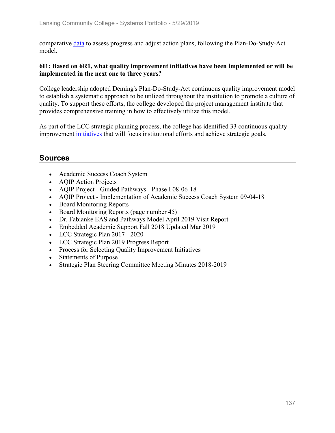comparative data to assess progress and adjust action plans, following the Plan-Do-Study-Act model.

## **6I1: Based on 6R1, what quality improvement initiatives have been implemented or will be implemented in the next one to three years?**

College leadership adopted Deming's Plan-Do-Study-Act continuous quality improvement model to establish a systematic approach to be utilized throughout the institution to promote a culture of quality. To support these efforts, the college developed the project management institute that provides comprehensive training in how to effectively utilize this model.

As part of the LCC strategic planning process, the college has identified 33 continuous quality improvement initiatives that will focus institutional efforts and achieve strategic goals.

- Academic Success Coach System
- AQIP Action Projects
- AQIP Project Guided Pathways Phase I 08-06-18
- AQIP Project Implementation of Academic Success Coach System 09-04-18
- Board Monitoring Reports
- Board Monitoring Reports (page number 45)
- Dr. Fabianke EAS and Pathways Model April 2019 Visit Report
- Embedded Academic Support Fall 2018 Updated Mar 2019
- LCC Strategic Plan 2017 2020
- LCC Strategic Plan 2019 Progress Report
- Process for Selecting Quality Improvement Initiatives
- Statements of Purpose
- Strategic Plan Steering Committee Meeting Minutes 2018-2019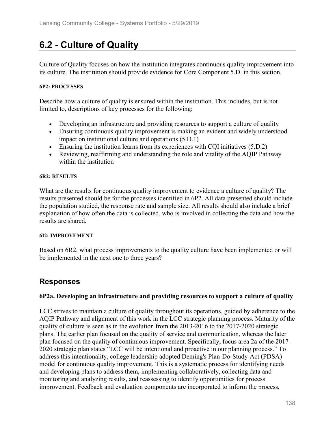# **6.2 - Culture of Quality**

Culture of Quality focuses on how the institution integrates continuous quality improvement into its culture. The institution should provide evidence for Core Component 5.D. in this section.

### **6P2: PROCESSES**

Describe how a culture of quality is ensured within the institution. This includes, but is not limited to, descriptions of key processes for the following:

- Developing an infrastructure and providing resources to support a culture of quality
- Ensuring continuous quality improvement is making an evident and widely understood impact on institutional culture and operations (5.D.1)
- Ensuring the institution learns from its experiences with CQI initiatives (5.D.2)
- Reviewing, reaffirming and understanding the role and vitality of the AQIP Pathway within the institution

#### **6R2: RESULTS**

What are the results for continuous quality improvement to evidence a culture of quality? The results presented should be for the processes identified in 6P2. All data presented should include the population studied, the response rate and sample size. All results should also include a brief explanation of how often the data is collected, who is involved in collecting the data and how the results are shared.

### **6I2: IMPROVEMENT**

Based on 6R2, what process improvements to the quality culture have been implemented or will be implemented in the next one to three years?

# **Responses**

## **6P2a. Developing an infrastructure and providing resources to support a culture of quality**

LCC strives to maintain a culture of quality throughout its operations, guided by adherence to the AQIP Pathway and alignment of this work in the LCC strategic planning process. Maturity of the quality of culture is seen as in the evolution from the 2013-2016 to the 2017-2020 strategic plans. The earlier plan focused on the quality of service and communication, whereas the later plan focused on the quality of continuous improvement. Specifically, focus area 2a of the 2017- 2020 strategic plan states "LCC will be intentional and proactive in our planning process." To address this intentionality, college leadership adopted Deming's Plan-Do-Study-Act (PDSA) model for continuous quality improvement. This is a systematic process for identifying needs and developing plans to address them, implementing collaboratively, collecting data and monitoring and analyzing results, and reassessing to identify opportunities for process improvement. Feedback and evaluation components are incorporated to inform the process,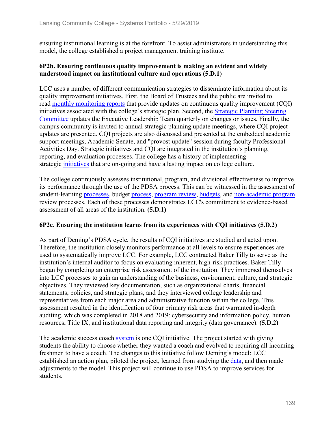ensuring institutional learning is at the forefront. To assist administrators in understanding this model, the college established a project management training institute.

## **6P2b. Ensuring continuous quality improvement is making an evident and widely understood impact on institutional culture and operations (5.D.1)**

LCC uses a number of different communication strategies to disseminate information about its quality improvement initiatives. First, the Board of Trustees and the public are invited to read monthly monitoring reports that provide updates on continuous quality improvement (CQI) initiatives associated with the college's strategic plan. Second, the Strategic Planning Steering Committee updates the Executive Leadership Team quarterly on changes or issues. Finally, the campus community is invited to annual strategic planning update meetings, where CQI project updates are presented. CQI projects are also discussed and presented at the embedded academic support meetings, Academic Senate, and "provost update" session during faculty Professional Activities Day. Strategic initiatives and CQI are integrated in the institution's planning, reporting, and evaluation processes. The college has a history of implementing strategic initiatives that are on-going and have a lasting impact on college culture.

The college continuously assesses institutional, program, and divisional effectiveness to improve its performance through the use of the PDSA process. This can be witnessed in the assessment of student-learning processes, budget process, program review, budgets, and non-academic program review processes. Each of these processes demonstrates LCC's commitment to evidence-based assessment of all areas of the institution. **(5.D.1)**

## **6P2c. Ensuring the institution learns from its experiences with CQI initiatives (5.D.2)**

As part of Deming's PDSA cycle, the results of CQI initiatives are studied and acted upon. Therefore, the institution closely monitors performance at all levels to ensure experiences are used to systematically improve LCC. For example, LCC contracted Baker Tilly to serve as the institution's internal auditor to focus on evaluating inherent, high-risk practices. Baker Tilly began by completing an enterprise risk assessment of the institution. They immersed themselves into LCC processes to gain an understanding of the business, environment, culture, and strategic objectives. They reviewed key documentation, such as organizational charts, financial statements, policies, and strategic plans, and they interviewed college leadership and representatives from each major area and administrative function within the college. This assessment resulted in the identification of four primary risk areas that warranted in-depth auditing, which was completed in 2018 and 2019: cybersecurity and information policy, human resources, Title IX, and institutional data reporting and integrity (data governance). **(5.D.2)**

The academic success coach system is one CQI initiative. The project started with giving students the ability to choose whether they wanted a coach and evolved to requiring all incoming freshmen to have a coach. The changes to this initiative follow Deming's model: LCC established an action plan, piloted the project, learned from studying the data, and then made adjustments to the model. This project will continue to use PDSA to improve services for students.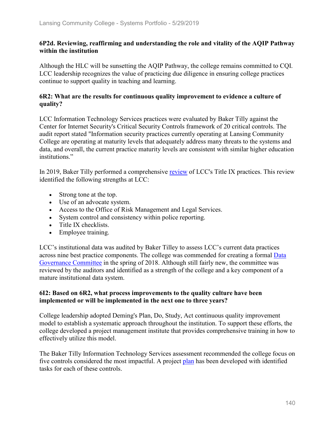## **6P2d. Reviewing, reaffirming and understanding the role and vitality of the AQIP Pathway within the institution**

Although the HLC will be sunsetting the AQIP Pathway, the college remains committed to CQI. LCC leadership recognizes the value of practicing due diligence in ensuring college practices continue to support quality in teaching and learning.

## **6R2: What are the results for continuous quality improvement to evidence a culture of quality?**

LCC Information Technology Services practices were evaluated by Baker Tilly against the Center for Internet Security's Critical Security Controls framework of 20 critical controls. The audit report stated "Information security practices currently operating at Lansing Community College are operating at maturity levels that adequately address many threats to the systems and data, and overall, the current practice maturity levels are consistent with similar higher education institutions."

In 2019, Baker Tilly performed a comprehensive review of LCC's Title IX practices. This review identified the following strengths at LCC:

- Strong tone at the top.
- Use of an advocate system.
- Access to the Office of Risk Management and Legal Services.
- System control and consistency within police reporting.
- Title IX checklists.
- Employee training.

LCC's institutional data was audited by Baker Tilley to assess LCC's current data practices across nine best practice components. The college was commended for creating a formal Data Governance Committee in the spring of 2018. Although still fairly new, the committee was reviewed by the auditors and identified as a strength of the college and a key component of a mature institutional data system.

## **6I2: Based on 6R2, what process improvements to the quality culture have been implemented or will be implemented in the next one to three years?**

College leadership adopted Deming's Plan, Do, Study, Act continuous quality improvement model to establish a systematic approach throughout the institution. To support these efforts, the college developed a project management institute that provides comprehensive training in how to effectively utilize this model.

The Baker Tilly Information Technology Services assessment recommended the college focus on five controls considered the most impactful. A project plan has been developed with identified tasks for each of these controls.